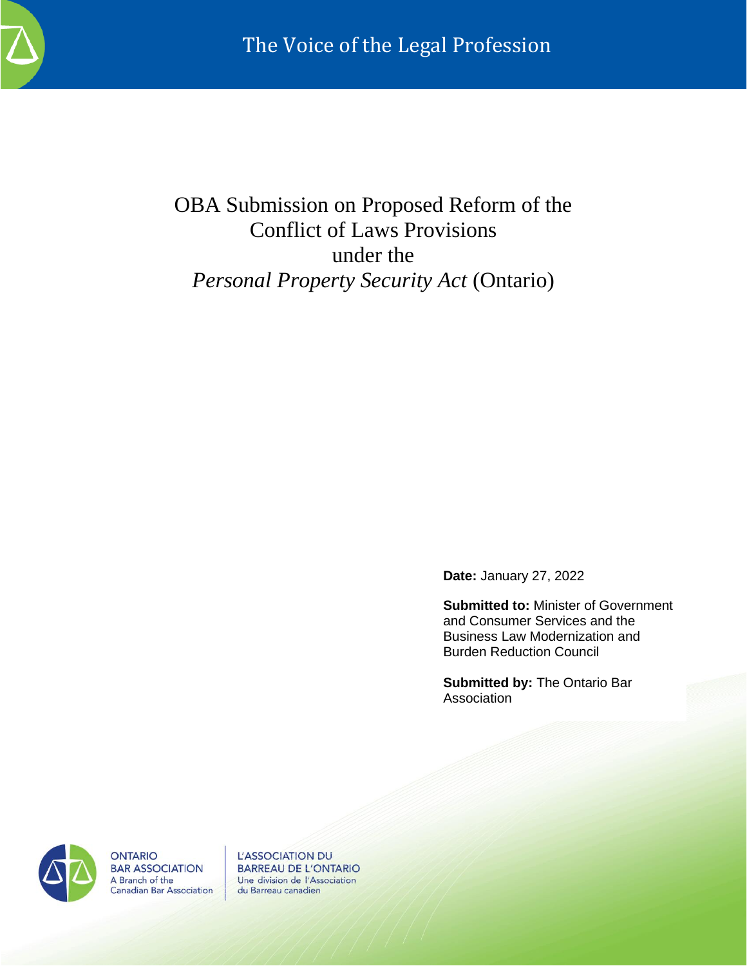

OBA Submission on Proposed Reform of the Conflict of Laws Provisions under the *Personal Property Security Act* (Ontario)

**Date:** January 27, 2022

**Submitted to:** Minister of Government and Consumer Services and the Business Law Modernization and Burden Reduction Council

**Submitted by:** The Ontario Bar Association



**ONTARIO BAR ASSOCIATION** A Branch of the **Canadian Bar Association**  L'ASSOCIATION DU **BARREAU DE L'ONTARIO** Une division de l'Association du Barreau canadien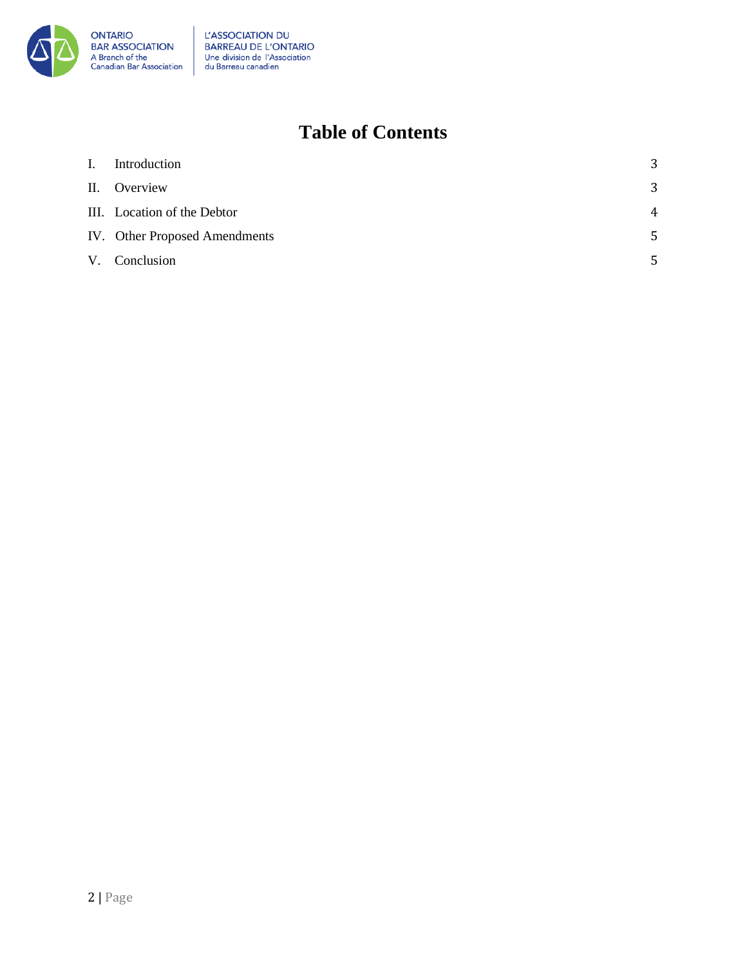

# **Table of Contents**

| $\mathbf{I}$ . | Introduction                  | 3 |
|----------------|-------------------------------|---|
|                | II. Overview                  | 3 |
|                | III. Location of the Debtor   | 4 |
|                | IV. Other Proposed Amendments | 5 |
|                | V. Conclusion                 | 5 |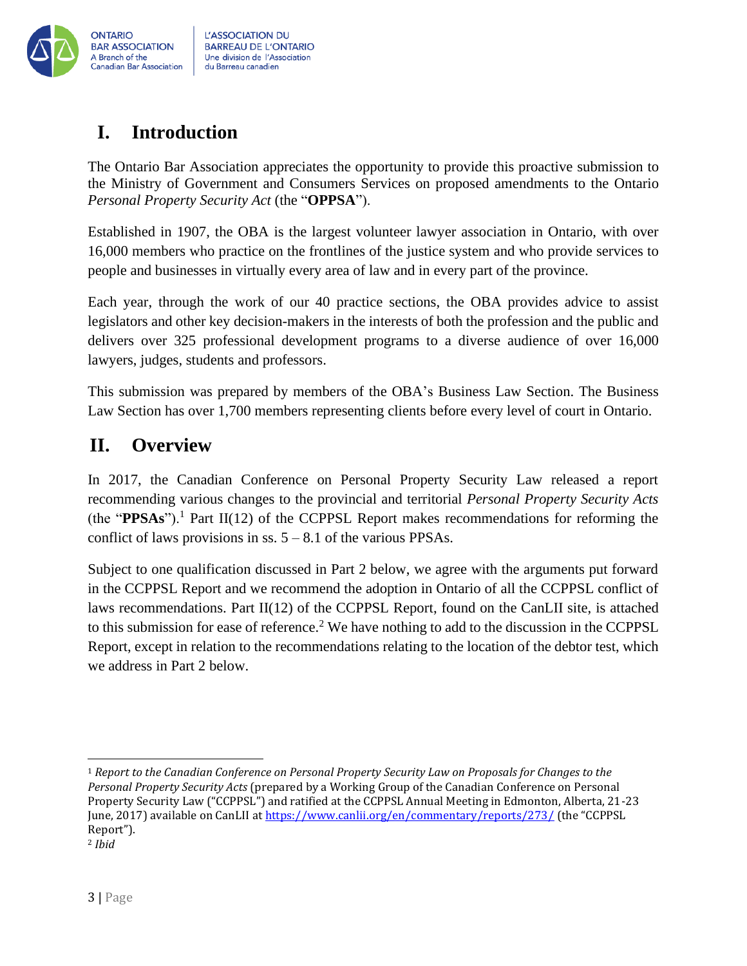

# <span id="page-2-0"></span>**I. Introduction**

The Ontario Bar Association appreciates the opportunity to provide this proactive submission to the Ministry of Government and Consumers Services on proposed amendments to the Ontario *Personal Property Security Act* (the "**OPPSA**").

Established in 1907, the OBA is the largest volunteer lawyer association in Ontario, with over 16,000 members who practice on the frontlines of the justice system and who provide services to people and businesses in virtually every area of law and in every part of the province.

Each year, through the work of our 40 practice sections, the OBA provides advice to assist legislators and other key decision-makers in the interests of both the profession and the public and delivers over 325 professional development programs to a diverse audience of over 16,000 lawyers, judges, students and professors.

This submission was prepared by members of the OBA's Business Law Section. The Business Law Section has over 1,700 members representing clients before every level of court in Ontario.

# <span id="page-2-1"></span>**II. Overview**

In 2017, the Canadian Conference on Personal Property Security Law released a report recommending various changes to the provincial and territorial *Personal Property Security Acts* (the "**PPSAs**").<sup>1</sup> Part II(12) of the CCPPSL Report makes recommendations for reforming the conflict of laws provisions in ss.  $5 - 8.1$  of the various PPSAs.

Subject to one qualification discussed in Part 2 below, we agree with the arguments put forward in the CCPPSL Report and we recommend the adoption in Ontario of all the CCPPSL conflict of laws recommendations. Part II(12) of the CCPPSL Report, found on the CanLII site, is attached to this submission for ease of reference. <sup>2</sup> We have nothing to add to the discussion in the CCPPSL Report, except in relation to the recommendations relating to the location of the debtor test, which we address in Part 2 below.

<sup>1</sup> *Report to the Canadian Conference on Personal Property Security Law on Proposals for Changes to the Personal Property Security Acts* (prepared by a Working Group of the Canadian Conference on Personal Property Security Law ("CCPPSL") and ratified at the CCPPSL Annual Meeting in Edmonton, Alberta, 21-23 June, 2017) available on CanLII a[t https://www.canlii.org/en/commentary/reports/273/](https://www.canlii.org/en/commentary/reports/273/) (the "CCPPSL Report").

<sup>2</sup> *Ibid*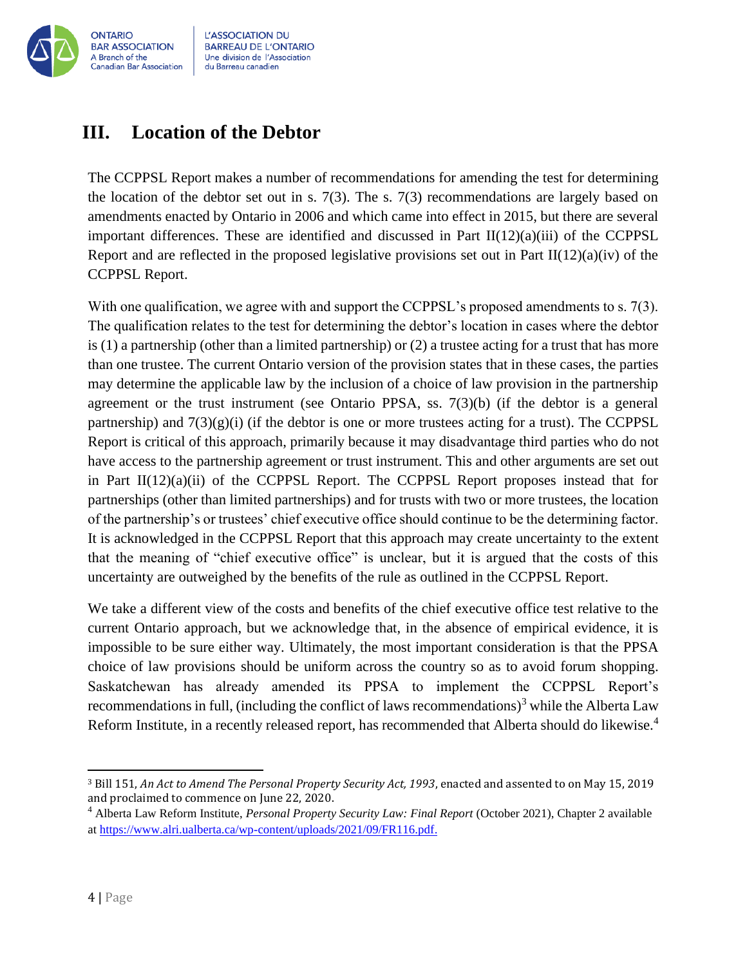

# <span id="page-3-0"></span>**III. Location of the Debtor**

The CCPPSL Report makes a number of recommendations for amending the test for determining the location of the debtor set out in s.  $7(3)$ . The s.  $7(3)$  recommendations are largely based on amendments enacted by Ontario in 2006 and which came into effect in 2015, but there are several important differences. These are identified and discussed in Part II(12)(a)(iii) of the CCPPSL Report and are reflected in the proposed legislative provisions set out in Part  $II(12)(a)(iv)$  of the CCPPSL Report.

With one qualification, we agree with and support the CCPPSL's proposed amendments to s. 7(3). The qualification relates to the test for determining the debtor's location in cases where the debtor is  $(1)$  a partnership (other than a limited partnership) or  $(2)$  a trustee acting for a trust that has more than one trustee. The current Ontario version of the provision states that in these cases, the parties may determine the applicable law by the inclusion of a choice of law provision in the partnership agreement or the trust instrument (see Ontario PPSA, ss. 7(3)(b) (if the debtor is a general partnership) and  $7(3)(g)(i)$  (if the debtor is one or more trustees acting for a trust). The CCPPSL Report is critical of this approach, primarily because it may disadvantage third parties who do not have access to the partnership agreement or trust instrument. This and other arguments are set out in Part II(12)(a)(ii) of the CCPPSL Report. The CCPPSL Report proposes instead that for partnerships (other than limited partnerships) and for trusts with two or more trustees, the location of the partnership's or trustees' chief executive office should continue to be the determining factor. It is acknowledged in the CCPPSL Report that this approach may create uncertainty to the extent that the meaning of "chief executive office" is unclear, but it is argued that the costs of this uncertainty are outweighed by the benefits of the rule as outlined in the CCPPSL Report.

We take a different view of the costs and benefits of the chief executive office test relative to the current Ontario approach, but we acknowledge that, in the absence of empirical evidence, it is impossible to be sure either way. Ultimately, the most important consideration is that the PPSA choice of law provisions should be uniform across the country so as to avoid forum shopping. Saskatchewan has already amended its PPSA to implement the CCPPSL Report's recommendations in full, (including the conflict of laws recommendations)<sup>3</sup> while the Alberta Law Reform Institute, in a recently released report, has recommended that Alberta should do likewise.<sup>4</sup>

<sup>3</sup> Bill 151, *An Act to Amend The Personal Property Security Act, 1993*, enacted and assented to on May 15, 2019 and proclaimed to commence on June 22, 2020.

<sup>&</sup>lt;sup>4</sup> Alberta Law Reform Institute, *Personal Property Security Law: Final Report* (October 2021), Chapter 2 available at [https://www.alri.ualberta.ca/wp-content/uploads/2021/09/FR116.pdf.](https://can01.safelinks.protection.outlook.com/?url=https%3A%2F%2Fwww.alri.ualberta.ca%2Fwp-content%2Fuploads%2F2021%2F09%2FFR116.pdf&data=04%7C01%7Ctony.duggan%40utoronto.ca%7C64bf66a08e5a4db96b1608d98ff2edd8%7C78aac2262f034b4d9037b46d56c55210%7C0%7C0%7C637699097309950821%7CUnknown%7CTWFpbGZsb3d8eyJWIjoiMC4wLjAwMDAiLCJQIjoiV2luMzIiLCJBTiI6Ik1haWwiLCJXVCI6Mn0%3D%7C3000&sdata=cV2U%2BX66KrNe3eSwShhd91T5cP43mOpHF2BcY29Mpjs%3D&reserved=0)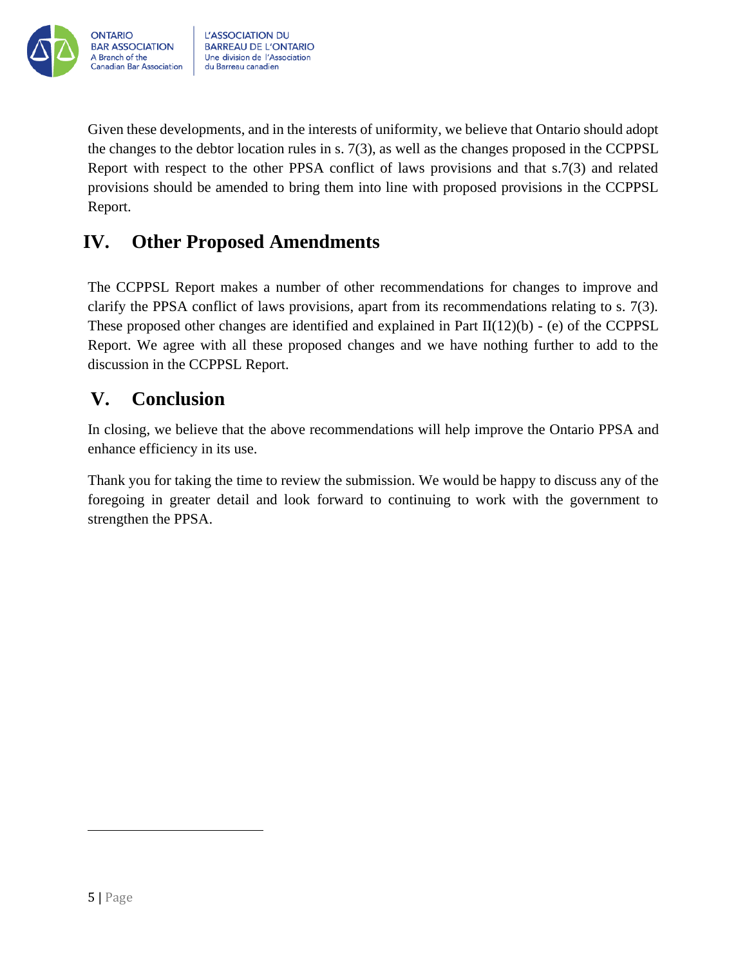

L'ASSOCIATION DU **BARREAU DE L'ONTARIO** Une division de l'Association du Barreau canadien

Given these developments, and in the interests of uniformity, we believe that Ontario should adopt the changes to the debtor location rules in s. 7(3), as well as the changes proposed in the CCPPSL Report with respect to the other PPSA conflict of laws provisions and that s.7(3) and related provisions should be amended to bring them into line with proposed provisions in the CCPPSL Report.

# <span id="page-4-0"></span>**IV. Other Proposed Amendments**

The CCPPSL Report makes a number of other recommendations for changes to improve and clarify the PPSA conflict of laws provisions, apart from its recommendations relating to s. 7(3). These proposed other changes are identified and explained in Part  $II(12)(b)$  - (e) of the CCPPSL Report. We agree with all these proposed changes and we have nothing further to add to the discussion in the CCPPSL Report.

## <span id="page-4-1"></span>**V. Conclusion**

In closing, we believe that the above recommendations will help improve the Ontario PPSA and enhance efficiency in its use.

Thank you for taking the time to review the submission. We would be happy to discuss any of the foregoing in greater detail and look forward to continuing to work with the government to strengthen the PPSA.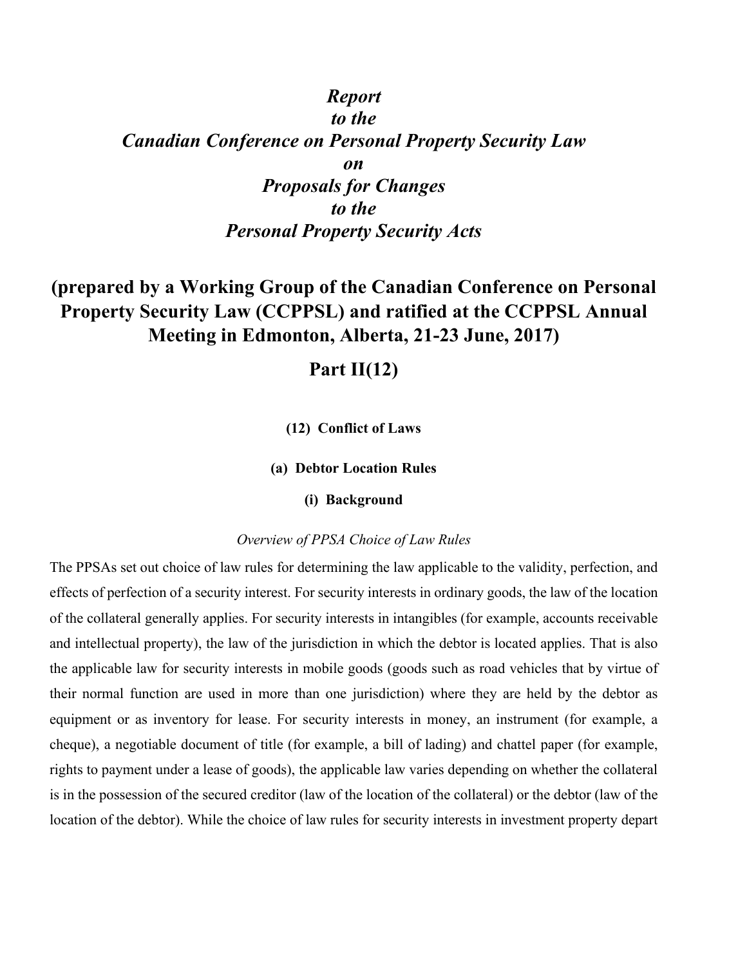## *Report*

# *to the Canadian Conference on Personal Property Security Law on Proposals for Changes to the Personal Property Security Acts*

# **(prepared by a Working Group of the Canadian Conference on Personal Property Security Law (CCPPSL) and ratified at the CCPPSL Annual Meeting in Edmonton, Alberta, 21-23 June, 2017)**

## **Part II(12)**

## **(12) Conflict of Laws**

#### **(a) Debtor Location Rules**

#### **(i) Background**

#### *Overview of PPSA Choice of Law Rules*

The PPSAs set out choice of law rules for determining the law applicable to the validity, perfection, and effects of perfection of a security interest. For security interests in ordinary goods, the law of the location of the collateral generally applies. For security interests in intangibles (for example, accounts receivable and intellectual property), the law of the jurisdiction in which the debtor is located applies. That is also the applicable law for security interests in mobile goods (goods such as road vehicles that by virtue of their normal function are used in more than one jurisdiction) where they are held by the debtor as equipment or as inventory for lease. For security interests in money, an instrument (for example, a cheque), a negotiable document of title (for example, a bill of lading) and chattel paper (for example, rights to payment under a lease of goods), the applicable law varies depending on whether the collateral is in the possession of the secured creditor (law of the location of the collateral) or the debtor (law of the location of the debtor). While the choice of law rules for security interests in investment property depart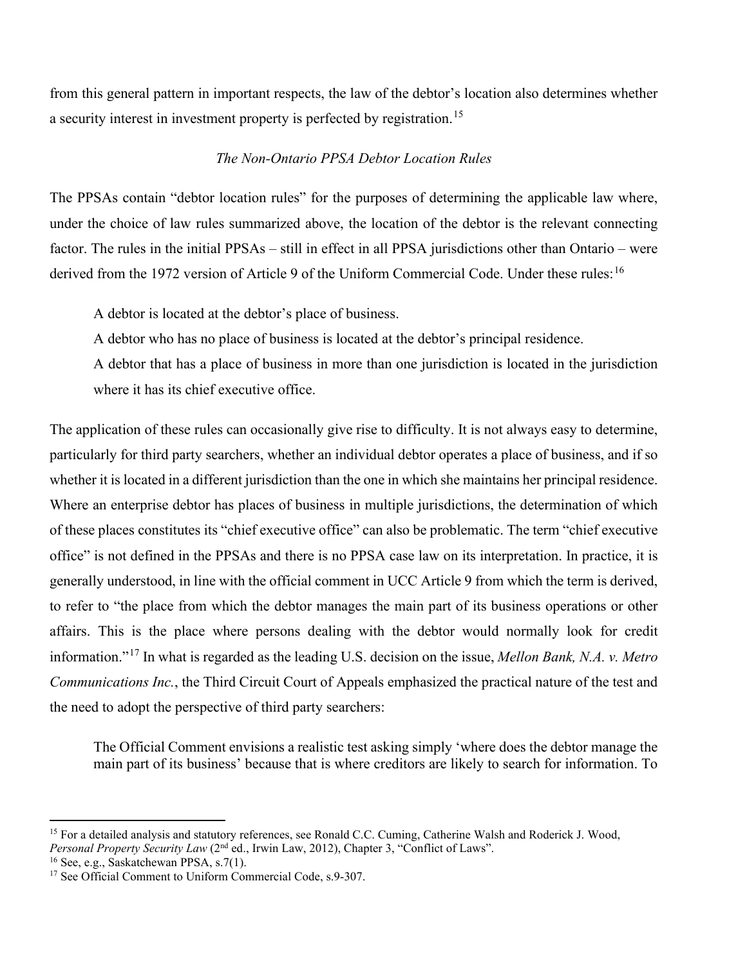from this general pattern in important respects, the law of the debtor's location also determines whether a security interest in investment property is perfected by registration.<sup>[15](#page-6-0)</sup>

## *The Non-Ontario PPSA Debtor Location Rules*

The PPSAs contain "debtor location rules" for the purposes of determining the applicable law where, under the choice of law rules summarized above, the location of the debtor is the relevant connecting factor. The rules in the initial PPSAs – still in effect in all PPSA jurisdictions other than Ontario – were derived from the 1972 version of Article 9 of the Uniform Commercial Code. Under these rules:<sup>[16](#page-6-1)</sup>

A debtor is located at the debtor's place of business.

A debtor who has no place of business is located at the debtor's principal residence.

A debtor that has a place of business in more than one jurisdiction is located in the jurisdiction where it has its chief executive office.

The application of these rules can occasionally give rise to difficulty. It is not always easy to determine, particularly for third party searchers, whether an individual debtor operates a place of business, and if so whether it is located in a different jurisdiction than the one in which she maintains her principal residence. Where an enterprise debtor has places of business in multiple jurisdictions, the determination of which of these places constitutes its "chief executive office" can also be problematic. The term "chief executive office" is not defined in the PPSAs and there is no PPSA case law on its interpretation. In practice, it is generally understood, in line with the official comment in UCC Article 9 from which the term is derived, to refer to "the place from which the debtor manages the main part of its business operations or other affairs. This is the place where persons dealing with the debtor would normally look for credit information."[17](#page-6-2) In what is regarded as the leading U.S. decision on the issue, *Mellon Bank, N.A. v. Metro Communications Inc.*, the Third Circuit Court of Appeals emphasized the practical nature of the test and the need to adopt the perspective of third party searchers:

The Official Comment envisions a realistic test asking simply 'where does the debtor manage the main part of its business' because that is where creditors are likely to search for information. To

<span id="page-6-0"></span><sup>&</sup>lt;sup>15</sup> For a detailed analysis and statutory references, see Ronald C.C. Cuming, Catherine Walsh and Roderick J. Wood, *Personal Property Security Law* (2<sup>nd</sup> ed., Irwin Law, 2012), Chapter 3, "Conflict of Laws".

<span id="page-6-1"></span> $16$  See, e.g., Saskatchewan PPSA, s.7(1).

<span id="page-6-2"></span><sup>&</sup>lt;sup>17</sup> See Official Comment to Uniform Commercial Code, s.9-307.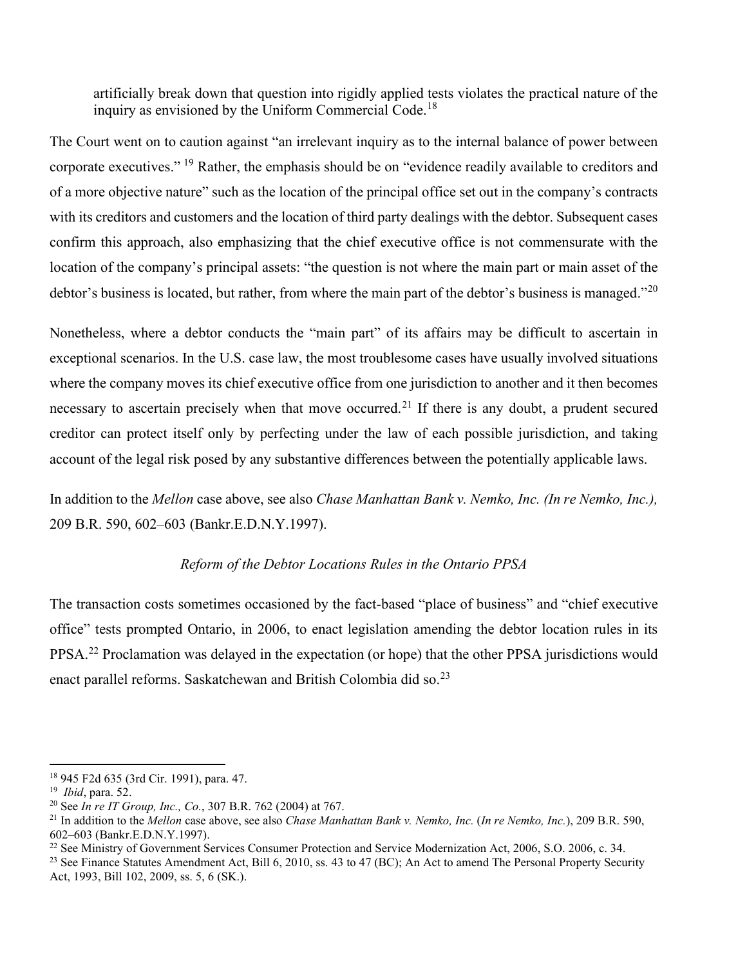artificially break down that question into rigidly applied tests violates the practical nature of the inquiry as envisioned by the Uniform Commercial Code.<sup>[18](#page-7-0)</sup>

The Court went on to caution against "an irrelevant inquiry as to the internal balance of power between corporate executives." [19](#page-7-1) Rather, the emphasis should be on "evidence readily available to creditors and of a more objective nature" such as the location of the principal office set out in the company's contracts with its creditors and customers and the location of third party dealings with the debtor. Subsequent cases confirm this approach, also emphasizing that the chief executive office is not commensurate with the location of the company's principal assets: "the question is not where the main part or main asset of the debtor's business is located, but rather, from where the main part of the debtor's business is managed."<sup>[20](#page-7-2)</sup>

Nonetheless, where a debtor conducts the "main part" of its affairs may be difficult to ascertain in exceptional scenarios. In the U.S. case law, the most troublesome cases have usually involved situations where the company moves its chief executive office from one jurisdiction to another and it then becomes necessary to ascertain precisely when that move occurred.<sup>[21](#page-7-3)</sup> If there is any doubt, a prudent secured creditor can protect itself only by perfecting under the law of each possible jurisdiction, and taking account of the legal risk posed by any substantive differences between the potentially applicable laws.

In addition to the *Mellon* case above, see also *Chase Manhattan Bank v. Nemko, Inc. (In re Nemko, Inc.),*  209 B.R. 590, 602–603 (Bankr.E.D.N.Y.1997).

## *Reform of the Debtor Locations Rules in the Ontario PPSA*

The transaction costs sometimes occasioned by the fact-based "place of business" and "chief executive office" tests prompted Ontario, in 2006, to enact legislation amending the debtor location rules in its PPSA.[22](#page-7-4) Proclamation was delayed in the expectation (or hope) that the other PPSA jurisdictions would enact parallel reforms. Saskatchewan and British Colombia did so.<sup>[23](#page-7-5)</sup>

<span id="page-7-0"></span><sup>18</sup> 945 F2d 635 (3rd Cir. 1991), para. 47.

<span id="page-7-1"></span><sup>19</sup> *Ibid*, para. 52.

<span id="page-7-2"></span><sup>20</sup> See *In re IT Group, Inc., Co.*, 307 B.R. 762 (2004) at 767.

<span id="page-7-3"></span><sup>21</sup> In addition to the *Mellon* case above, see also *Chase Manhattan Bank v. Nemko, Inc.* (*In re Nemko, Inc.*), 209 B.R. 590, 602–603 (Bankr.E.D.N.Y.1997).

<span id="page-7-4"></span><sup>&</sup>lt;sup>22</sup> See Ministry of Government Services Consumer Protection and Service Modernization Act, 2006, S.O. 2006, c. 34.

<span id="page-7-5"></span><sup>&</sup>lt;sup>23</sup> See Finance Statutes Amendment Act, Bill 6, 2010, ss. 43 to 47 (BC); An Act to amend The Personal Property Security Act, 1993, Bill 102, 2009, ss. 5, 6 (SK.).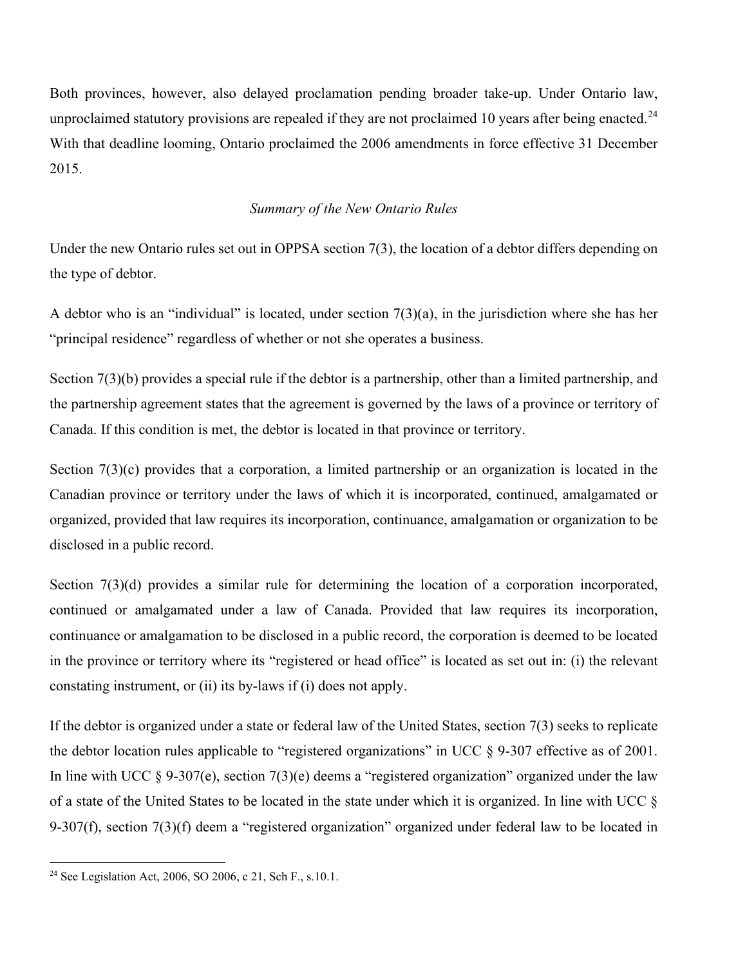Both provinces, however, also delayed proclamation pending broader take-up. Under Ontario law, unproclaimed statutory provisions are repealed if they are not proclaimed 10 years after being enacted.<sup>[24](#page-8-0)</sup> With that deadline looming, Ontario proclaimed the 2006 amendments in force effective 31 December 2015.

#### *Summary of the New Ontario Rules*

Under the new Ontario rules set out in OPPSA section 7(3), the location of a debtor differs depending on the type of debtor.

A debtor who is an "individual" is located, under section  $7(3)(a)$ , in the jurisdiction where she has her "principal residence" regardless of whether or not she operates a business.

Section 7(3)(b) provides a special rule if the debtor is a partnership, other than a limited partnership, and the partnership agreement states that the agreement is governed by the laws of a province or territory of Canada. If this condition is met, the debtor is located in that province or territory.

Section 7(3)(c) provides that a corporation, a limited partnership or an organization is located in the Canadian province or territory under the laws of which it is incorporated, continued, amalgamated or organized, provided that law requires its incorporation, continuance, amalgamation or organization to be disclosed in a public record.

Section 7(3)(d) provides a similar rule for determining the location of a corporation incorporated, continued or amalgamated under a law of Canada. Provided that law requires its incorporation, continuance or amalgamation to be disclosed in a public record, the corporation is deemed to be located in the province or territory where its "registered or head office" is located as set out in: (i) the relevant constating instrument, or (ii) its by-laws if (i) does not apply.

If the debtor is organized under a state or federal law of the United States, section 7(3) seeks to replicate the debtor location rules applicable to "registered organizations" in UCC § 9-307 effective as of 2001. In line with UCC § 9-307(e), section 7(3)(e) deems a "registered organization" organized under the law of a state of the United States to be located in the state under which it is organized. In line with UCC § 9-307(f), section 7(3)(f) deem a "registered organization" organized under federal law to be located in

<span id="page-8-0"></span><sup>24</sup> See Legislation Act, 2006, SO 2006, c 21, Sch F., s.10.1.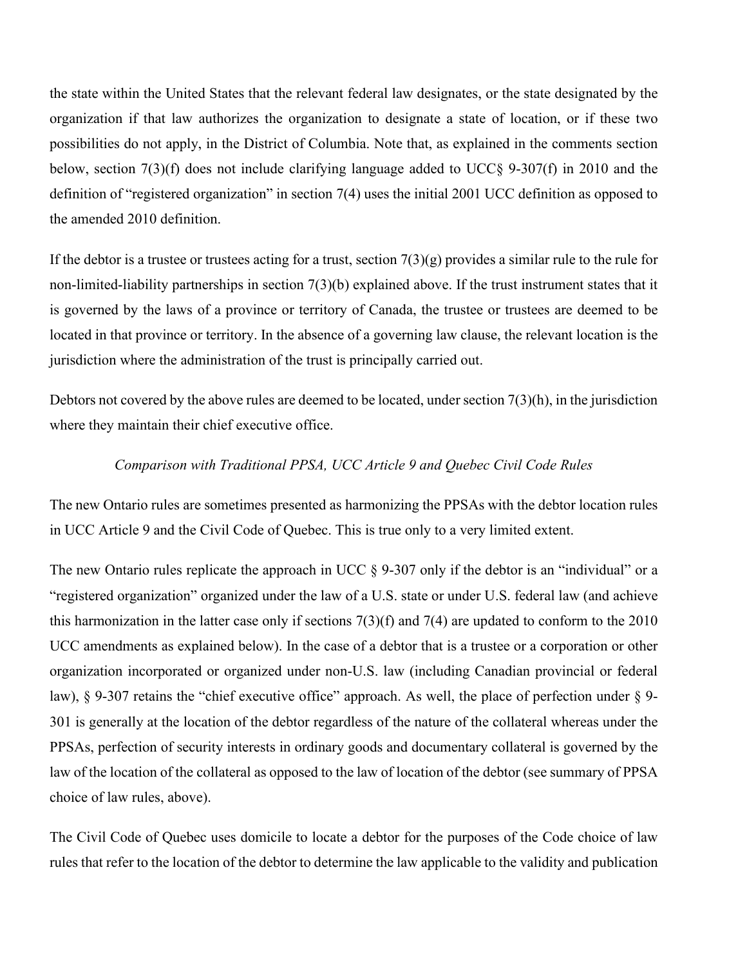the state within the United States that the relevant federal law designates, or the state designated by the organization if that law authorizes the organization to designate a state of location, or if these two possibilities do not apply, in the District of Columbia. Note that, as explained in the comments section below, section 7(3)(f) does not include clarifying language added to UCC§ 9-307(f) in 2010 and the definition of "registered organization" in section 7(4) uses the initial 2001 UCC definition as opposed to the amended 2010 definition.

If the debtor is a trustee or trustees acting for a trust, section  $7(3)(g)$  provides a similar rule to the rule for non-limited-liability partnerships in section 7(3)(b) explained above. If the trust instrument states that it is governed by the laws of a province or territory of Canada, the trustee or trustees are deemed to be located in that province or territory. In the absence of a governing law clause, the relevant location is the jurisdiction where the administration of the trust is principally carried out.

Debtors not covered by the above rules are deemed to be located, under section 7(3)(h), in the jurisdiction where they maintain their chief executive office.

#### *Comparison with Traditional PPSA, UCC Article 9 and Quebec Civil Code Rules*

The new Ontario rules are sometimes presented as harmonizing the PPSAs with the debtor location rules in UCC Article 9 and the Civil Code of Quebec. This is true only to a very limited extent.

The new Ontario rules replicate the approach in UCC § 9-307 only if the debtor is an "individual" or a "registered organization" organized under the law of a U.S. state or under U.S. federal law (and achieve this harmonization in the latter case only if sections 7(3)(f) and 7(4) are updated to conform to the 2010 UCC amendments as explained below). In the case of a debtor that is a trustee or a corporation or other organization incorporated or organized under non-U.S. law (including Canadian provincial or federal law), § 9-307 retains the "chief executive office" approach. As well, the place of perfection under § 9- 301 is generally at the location of the debtor regardless of the nature of the collateral whereas under the PPSAs, perfection of security interests in ordinary goods and documentary collateral is governed by the law of the location of the collateral as opposed to the law of location of the debtor (see summary of PPSA choice of law rules, above).

The Civil Code of Quebec uses domicile to locate a debtor for the purposes of the Code choice of law rules that refer to the location of the debtor to determine the law applicable to the validity and publication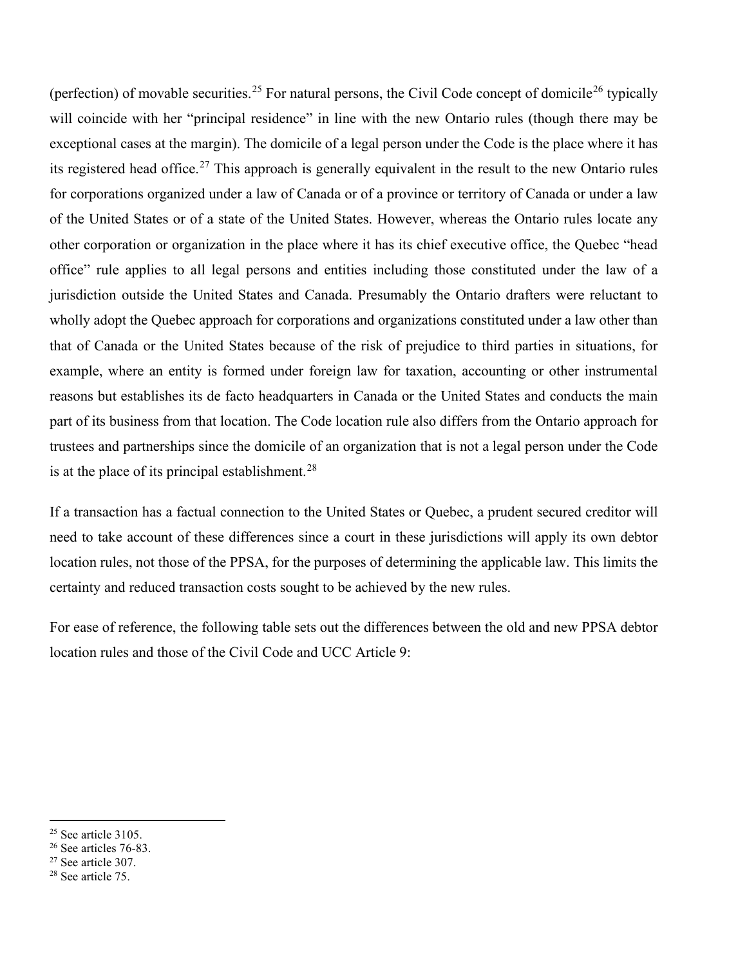(perfection) of movable securities.<sup>[25](#page-10-0)</sup> For natural persons, the Civil Code concept of domicile<sup>[26](#page-10-1)</sup> typically will coincide with her "principal residence" in line with the new Ontario rules (though there may be exceptional cases at the margin). The domicile of a legal person under the Code is the place where it has its registered head office.<sup>[27](#page-10-2)</sup> This approach is generally equivalent in the result to the new Ontario rules for corporations organized under a law of Canada or of a province or territory of Canada or under a law of the United States or of a state of the United States. However, whereas the Ontario rules locate any other corporation or organization in the place where it has its chief executive office, the Quebec "head office" rule applies to all legal persons and entities including those constituted under the law of a jurisdiction outside the United States and Canada. Presumably the Ontario drafters were reluctant to wholly adopt the Quebec approach for corporations and organizations constituted under a law other than that of Canada or the United States because of the risk of prejudice to third parties in situations, for example, where an entity is formed under foreign law for taxation, accounting or other instrumental reasons but establishes its de facto headquarters in Canada or the United States and conducts the main part of its business from that location. The Code location rule also differs from the Ontario approach for trustees and partnerships since the domicile of an organization that is not a legal person under the Code is at the place of its principal establishment.<sup>[28](#page-10-3)</sup>

If a transaction has a factual connection to the United States or Quebec, a prudent secured creditor will need to take account of these differences since a court in these jurisdictions will apply its own debtor location rules, not those of the PPSA, for the purposes of determining the applicable law. This limits the certainty and reduced transaction costs sought to be achieved by the new rules.

For ease of reference, the following table sets out the differences between the old and new PPSA debtor location rules and those of the Civil Code and UCC Article 9:

<span id="page-10-0"></span><sup>25</sup> See article 3105.

<span id="page-10-1"></span><sup>26</sup> See articles 76-83.

<span id="page-10-2"></span> $27$  See article 307.

<span id="page-10-3"></span><sup>28</sup> See article 75.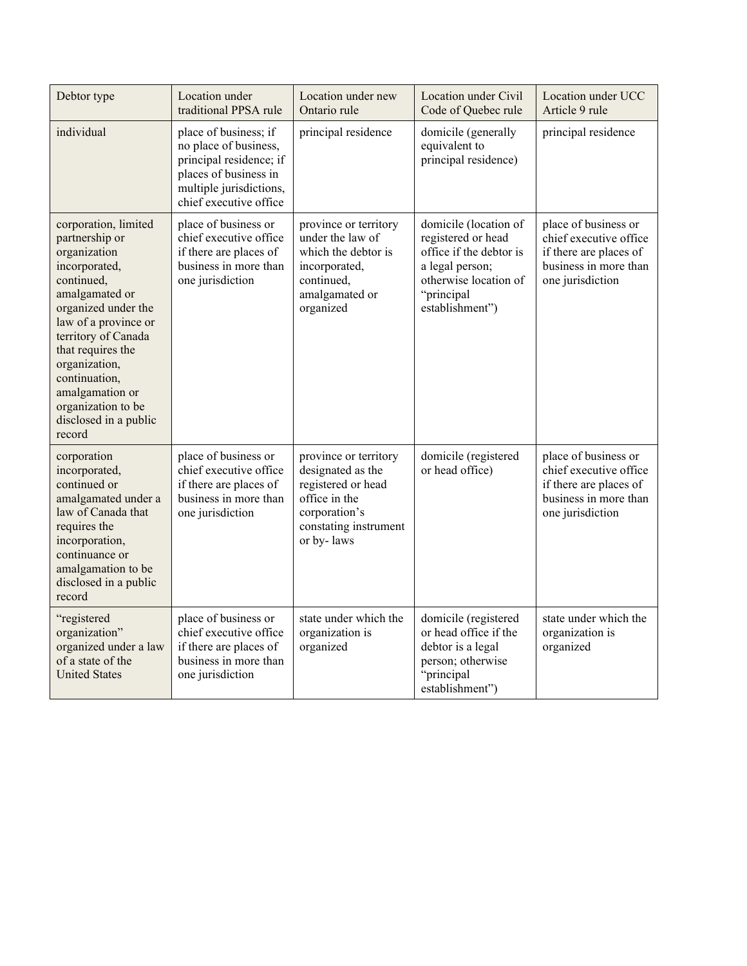| Debtor type                                                                                                                                                                                                                                                                                                      | Location under<br>traditional PPSA rule                                                                                                                 | Location under new<br>Ontario rule                                                                                                        | Location under Civil<br>Code of Quebec rule                                                                                                         | Location under UCC<br>Article 9 rule                                                                                  |
|------------------------------------------------------------------------------------------------------------------------------------------------------------------------------------------------------------------------------------------------------------------------------------------------------------------|---------------------------------------------------------------------------------------------------------------------------------------------------------|-------------------------------------------------------------------------------------------------------------------------------------------|-----------------------------------------------------------------------------------------------------------------------------------------------------|-----------------------------------------------------------------------------------------------------------------------|
| individual                                                                                                                                                                                                                                                                                                       | place of business; if<br>no place of business,<br>principal residence; if<br>places of business in<br>multiple jurisdictions,<br>chief executive office | principal residence                                                                                                                       | domicile (generally<br>equivalent to<br>principal residence)                                                                                        | principal residence                                                                                                   |
| corporation, limited<br>partnership or<br>organization<br>incorporated,<br>continued,<br>amalgamated or<br>organized under the<br>law of a province or<br>territory of Canada<br>that requires the<br>organization,<br>continuation,<br>amalgamation or<br>organization to be<br>disclosed in a public<br>record | place of business or<br>chief executive office<br>if there are places of<br>business in more than<br>one jurisdiction                                   | province or territory<br>under the law of<br>which the debtor is<br>incorporated,<br>continued,<br>amalgamated or<br>organized            | domicile (location of<br>registered or head<br>office if the debtor is<br>a legal person;<br>otherwise location of<br>"principal<br>establishment") | place of business or<br>chief executive office<br>if there are places of<br>business in more than<br>one jurisdiction |
| corporation<br>incorporated,<br>continued or<br>amalgamated under a<br>law of Canada that<br>requires the<br>incorporation,<br>continuance or<br>amalgamation to be<br>disclosed in a public<br>record                                                                                                           | place of business or<br>chief executive office<br>if there are places of<br>business in more than<br>one jurisdiction                                   | province or territory<br>designated as the<br>registered or head<br>office in the<br>corporation's<br>constating instrument<br>or by-laws | domicile (registered<br>or head office)                                                                                                             | place of business or<br>chief executive office<br>if there are places of<br>business in more than<br>one jurisdiction |
| "registered<br>organization"<br>organized under a law<br>of a state of the<br><b>United States</b>                                                                                                                                                                                                               | place of business or<br>chief executive office<br>if there are places of<br>business in more than<br>one jurisdiction                                   | state under which the<br>organization is<br>organized                                                                                     | domicile (registered<br>or head office if the<br>debtor is a legal<br>person; otherwise<br>"principal<br>establishment")                            | state under which the<br>organization is<br>organized                                                                 |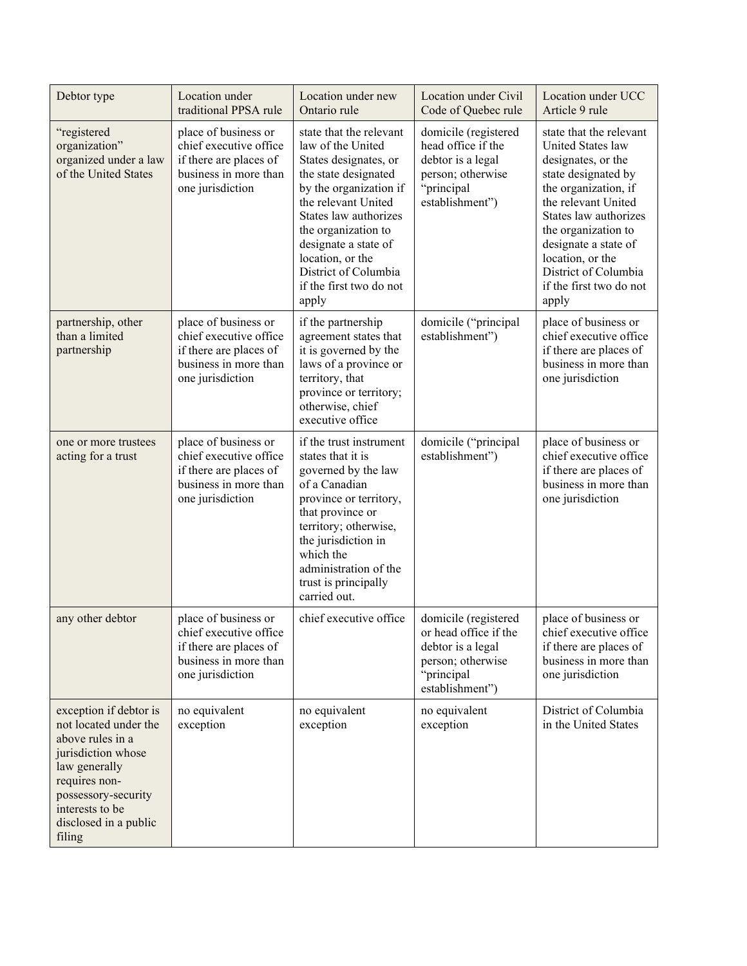| Debtor type                                                                                                                                                                                              | Location under<br>traditional PPSA rule                                                                               | Location under new<br>Ontario rule                                                                                                                                                                                                                                                                     | Location under Civil<br>Code of Quebec rule                                                                              | Location under UCC<br>Article 9 rule                                                                                                                                                                                                                                                             |
|----------------------------------------------------------------------------------------------------------------------------------------------------------------------------------------------------------|-----------------------------------------------------------------------------------------------------------------------|--------------------------------------------------------------------------------------------------------------------------------------------------------------------------------------------------------------------------------------------------------------------------------------------------------|--------------------------------------------------------------------------------------------------------------------------|--------------------------------------------------------------------------------------------------------------------------------------------------------------------------------------------------------------------------------------------------------------------------------------------------|
| "registered<br>organization"<br>organized under a law<br>of the United States                                                                                                                            | place of business or<br>chief executive office<br>if there are places of<br>business in more than<br>one jurisdiction | state that the relevant<br>law of the United<br>States designates, or<br>the state designated<br>by the organization if<br>the relevant United<br>States law authorizes<br>the organization to<br>designate a state of<br>location, or the<br>District of Columbia<br>if the first two do not<br>apply | domicile (registered<br>head office if the<br>debtor is a legal<br>person; otherwise<br>"principal<br>establishment")    | state that the relevant<br>United States law<br>designates, or the<br>state designated by<br>the organization, if<br>the relevant United<br>States law authorizes<br>the organization to<br>designate a state of<br>location, or the<br>District of Columbia<br>if the first two do not<br>apply |
| partnership, other<br>than a limited<br>partnership                                                                                                                                                      | place of business or<br>chief executive office<br>if there are places of<br>business in more than<br>one jurisdiction | if the partnership<br>agreement states that<br>it is governed by the<br>laws of a province or<br>territory, that<br>province or territory;<br>otherwise, chief<br>executive office                                                                                                                     | domicile ("principal<br>establishment")                                                                                  | place of business or<br>chief executive office<br>if there are places of<br>business in more than<br>one jurisdiction                                                                                                                                                                            |
| one or more trustees<br>acting for a trust                                                                                                                                                               | place of business or<br>chief executive office<br>if there are places of<br>business in more than<br>one jurisdiction | if the trust instrument<br>states that it is<br>governed by the law<br>of a Canadian<br>province or territory,<br>that province or<br>territory; otherwise,<br>the jurisdiction in<br>which the<br>administration of the<br>trust is principally<br>carried out.                                       | domicile ("principal<br>establishment")                                                                                  | place of business or<br>chief executive office<br>if there are places of<br>business in more than<br>one jurisdiction                                                                                                                                                                            |
| any other debtor                                                                                                                                                                                         | place of business or<br>chief executive office<br>if there are places of<br>business in more than<br>one jurisdiction | chief executive office                                                                                                                                                                                                                                                                                 | domicile (registered<br>or head office if the<br>debtor is a legal<br>person; otherwise<br>"principal<br>establishment") | place of business or<br>chief executive office<br>if there are places of<br>business in more than<br>one jurisdiction                                                                                                                                                                            |
| exception if debtor is<br>not located under the<br>above rules in a<br>jurisdiction whose<br>law generally<br>requires non-<br>possessory-security<br>interests to be<br>disclosed in a public<br>filing | no equivalent<br>exception                                                                                            | no equivalent<br>exception                                                                                                                                                                                                                                                                             | no equivalent<br>exception                                                                                               | District of Columbia<br>in the United States                                                                                                                                                                                                                                                     |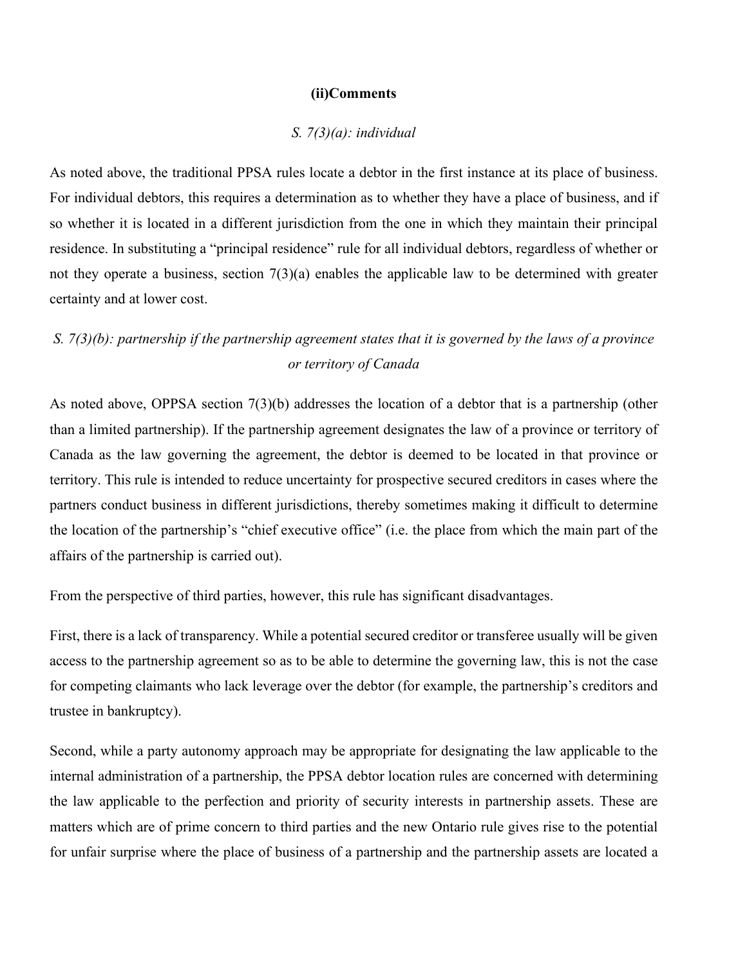#### **(ii)Comments**

#### *S. 7(3)(a): individual*

As noted above, the traditional PPSA rules locate a debtor in the first instance at its place of business. For individual debtors, this requires a determination as to whether they have a place of business, and if so whether it is located in a different jurisdiction from the one in which they maintain their principal residence. In substituting a "principal residence" rule for all individual debtors, regardless of whether or not they operate a business, section 7(3)(a) enables the applicable law to be determined with greater certainty and at lower cost.

## *S. 7(3)(b): partnership if the partnership agreement states that it is governed by the laws of a province or territory of Canada*

As noted above, OPPSA section 7(3)(b) addresses the location of a debtor that is a partnership (other than a limited partnership). If the partnership agreement designates the law of a province or territory of Canada as the law governing the agreement, the debtor is deemed to be located in that province or territory. This rule is intended to reduce uncertainty for prospective secured creditors in cases where the partners conduct business in different jurisdictions, thereby sometimes making it difficult to determine the location of the partnership's "chief executive office" (i.e. the place from which the main part of the affairs of the partnership is carried out).

From the perspective of third parties, however, this rule has significant disadvantages.

First, there is a lack of transparency. While a potential secured creditor or transferee usually will be given access to the partnership agreement so as to be able to determine the governing law, this is not the case for competing claimants who lack leverage over the debtor (for example, the partnership's creditors and trustee in bankruptcy).

Second, while a party autonomy approach may be appropriate for designating the law applicable to the internal administration of a partnership, the PPSA debtor location rules are concerned with determining the law applicable to the perfection and priority of security interests in partnership assets. These are matters which are of prime concern to third parties and the new Ontario rule gives rise to the potential for unfair surprise where the place of business of a partnership and the partnership assets are located a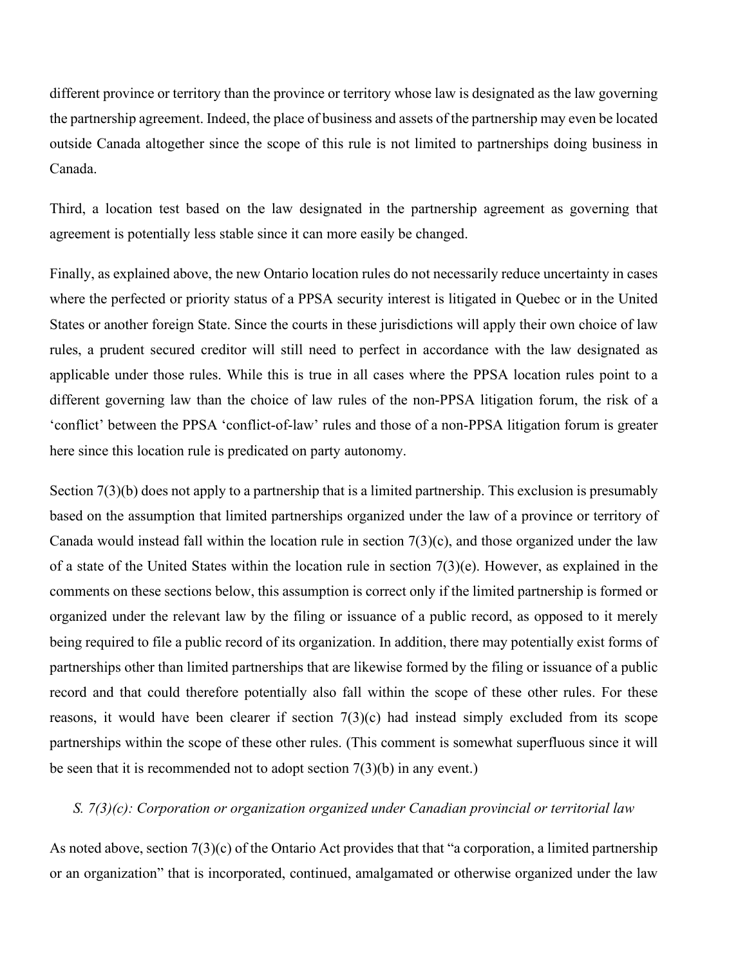different province or territory than the province or territory whose law is designated as the law governing the partnership agreement. Indeed, the place of business and assets of the partnership may even be located outside Canada altogether since the scope of this rule is not limited to partnerships doing business in Canada.

Third, a location test based on the law designated in the partnership agreement as governing that agreement is potentially less stable since it can more easily be changed.

Finally, as explained above, the new Ontario location rules do not necessarily reduce uncertainty in cases where the perfected or priority status of a PPSA security interest is litigated in Quebec or in the United States or another foreign State. Since the courts in these jurisdictions will apply their own choice of law rules, a prudent secured creditor will still need to perfect in accordance with the law designated as applicable under those rules. While this is true in all cases where the PPSA location rules point to a different governing law than the choice of law rules of the non-PPSA litigation forum, the risk of a 'conflict' between the PPSA 'conflict-of-law' rules and those of a non-PPSA litigation forum is greater here since this location rule is predicated on party autonomy.

Section 7(3)(b) does not apply to a partnership that is a limited partnership. This exclusion is presumably based on the assumption that limited partnerships organized under the law of a province or territory of Canada would instead fall within the location rule in section  $7(3)(c)$ , and those organized under the law of a state of the United States within the location rule in section  $7(3)(e)$ . However, as explained in the comments on these sections below, this assumption is correct only if the limited partnership is formed or organized under the relevant law by the filing or issuance of a public record, as opposed to it merely being required to file a public record of its organization. In addition, there may potentially exist forms of partnerships other than limited partnerships that are likewise formed by the filing or issuance of a public record and that could therefore potentially also fall within the scope of these other rules. For these reasons, it would have been clearer if section  $7(3)(c)$  had instead simply excluded from its scope partnerships within the scope of these other rules. (This comment is somewhat superfluous since it will be seen that it is recommended not to adopt section  $7(3)(b)$  in any event.)

#### *S. 7(3)(c): Corporation or organization organized under Canadian provincial or territorial law*

As noted above, section 7(3)(c) of the Ontario Act provides that that "a corporation, a limited partnership or an organization" that is incorporated, continued, amalgamated or otherwise organized under the law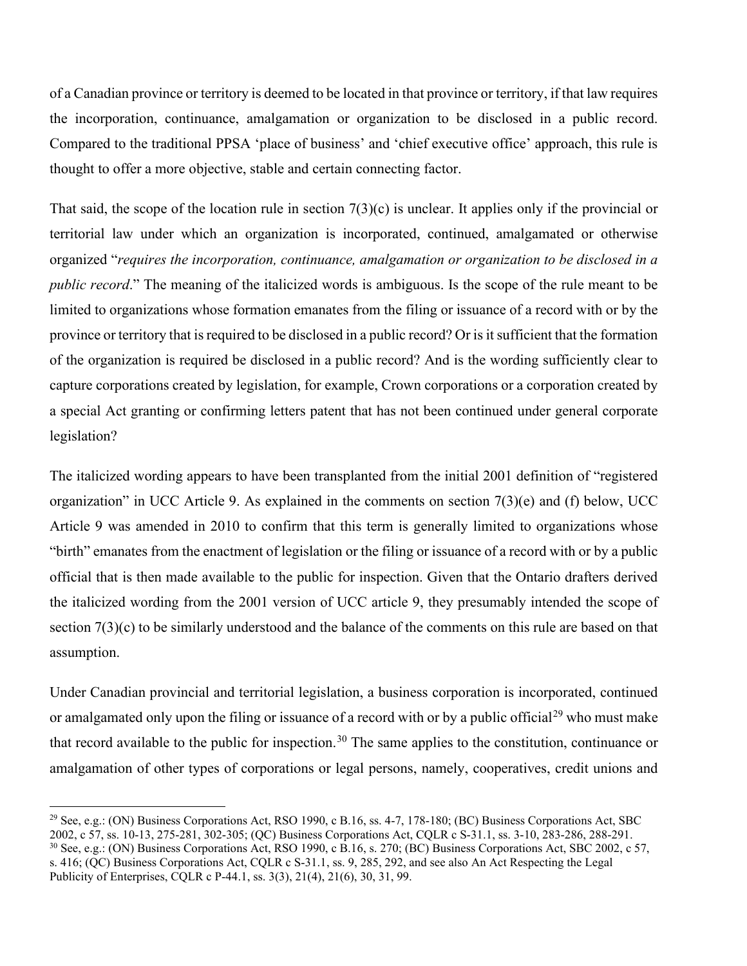of a Canadian province or territory is deemed to be located in that province or territory, if that law requires the incorporation, continuance, amalgamation or organization to be disclosed in a public record. Compared to the traditional PPSA 'place of business' and 'chief executive office' approach, this rule is thought to offer a more objective, stable and certain connecting factor.

That said, the scope of the location rule in section 7(3)(c) is unclear. It applies only if the provincial or territorial law under which an organization is incorporated, continued, amalgamated or otherwise organized "*requires the incorporation, continuance, amalgamation or organization to be disclosed in a public record*." The meaning of the italicized words is ambiguous. Is the scope of the rule meant to be limited to organizations whose formation emanates from the filing or issuance of a record with or by the province or territory that is required to be disclosed in a public record? Or is it sufficient that the formation of the organization is required be disclosed in a public record? And is the wording sufficiently clear to capture corporations created by legislation, for example, Crown corporations or a corporation created by a special Act granting or confirming letters patent that has not been continued under general corporate legislation?

The italicized wording appears to have been transplanted from the initial 2001 definition of "registered organization" in UCC Article 9. As explained in the comments on section  $7(3)(e)$  and (f) below, UCC Article 9 was amended in 2010 to confirm that this term is generally limited to organizations whose "birth" emanates from the enactment of legislation or the filing or issuance of a record with or by a public official that is then made available to the public for inspection. Given that the Ontario drafters derived the italicized wording from the 2001 version of UCC article 9, they presumably intended the scope of section 7(3)(c) to be similarly understood and the balance of the comments on this rule are based on that assumption.

Under Canadian provincial and territorial legislation, a business corporation is incorporated, continued or amalgamated only upon the filing or issuance of a record with or by a public official<sup>[29](#page-15-0)</sup> who must make that record available to the public for inspection.<sup>[30](#page-15-1)</sup> The same applies to the constitution, continuance or amalgamation of other types of corporations or legal persons, namely, cooperatives, credit unions and

<span id="page-15-0"></span><sup>&</sup>lt;sup>29</sup> See, e.g.: (ON) Business Corporations Act, RSO 1990, c B.16, ss. 4-7, 178-180; (BC) Business Corporations Act, SBC 2002, c 57, ss. 10-13, 275-281, 302-305; (QC) Business Corporations Act, CQLR c S-31.1, ss. 3-10, 283-286, 288-291.

<span id="page-15-1"></span><sup>30</sup> See, e.g.: (ON) Business Corporations Act, RSO 1990, c B.16, s. 270; (BC) Business Corporations Act, SBC 2002, c 57, s. 416; (QC) Business Corporations Act, CQLR c S-31.1, ss. 9, 285, 292, and see also An Act Respecting the Legal Publicity of Enterprises, CQLR c P-44.1, ss. 3(3), 21(4), 21(6), 30, 31, 99.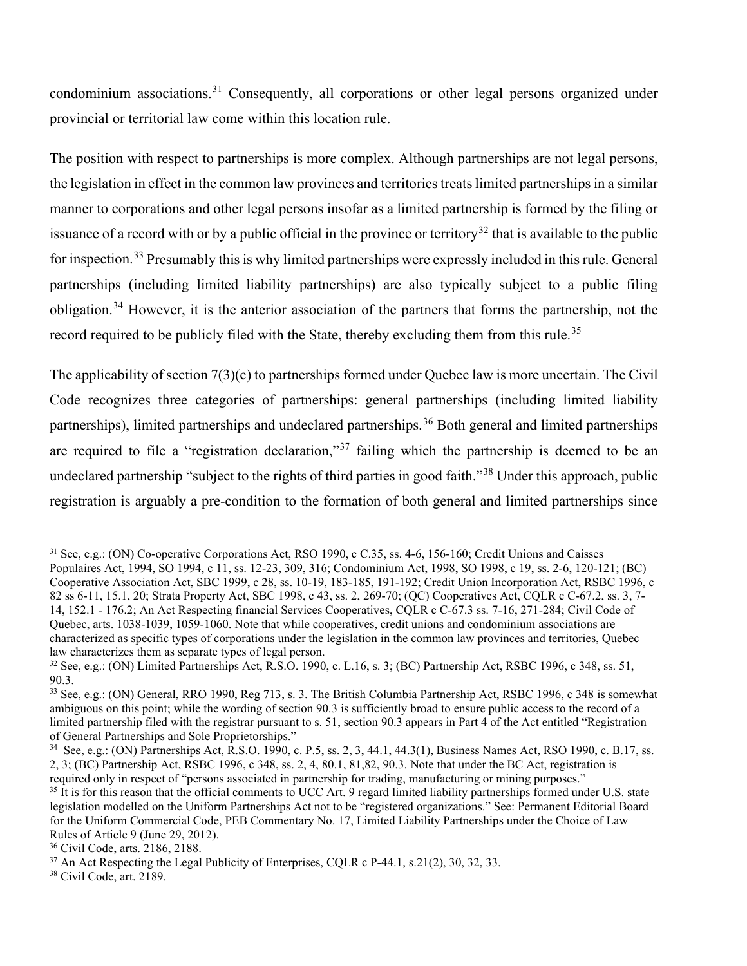condominium associations.[31](#page-16-0) Consequently, all corporations or other legal persons organized under provincial or territorial law come within this location rule.

The position with respect to partnerships is more complex. Although partnerships are not legal persons, the legislation in effect in the common law provinces and territories treats limited partnerships in a similar manner to corporations and other legal persons insofar as a limited partnership is formed by the filing or issuance of a record with or by a public official in the province or territory<sup>[32](#page-16-1)</sup> that is available to the public for inspection.[33](#page-16-2) Presumably this is why limited partnerships were expressly included in this rule. General partnerships (including limited liability partnerships) are also typically subject to a public filing obligation.<sup>[34](#page-16-3)</sup> However, it is the anterior association of the partners that forms the partnership, not the record required to be publicly filed with the State, thereby excluding them from this rule.<sup>[35](#page-16-4)</sup>

The applicability of section 7(3)(c) to partnerships formed under Quebec law is more uncertain. The Civil Code recognizes three categories of partnerships: general partnerships (including limited liability partnerships), limited partnerships and undeclared partnerships.<sup>[36](#page-16-5)</sup> Both general and limited partnerships are required to file a "registration declaration,"<sup>[37](#page-16-6)</sup> failing which the partnership is deemed to be an undeclared partnership "subject to the rights of third parties in good faith."[38](#page-16-7) Under this approach, public registration is arguably a pre-condition to the formation of both general and limited partnerships since

<span id="page-16-0"></span><sup>31</sup> See, e.g.: (ON) Co-operative Corporations Act, RSO 1990, c C.35, ss. 4-6, 156-160; Credit Unions and Caisses Populaires Act, 1994, SO 1994, c 11, ss. 12-23, 309, 316; Condominium Act, 1998, SO 1998, c 19, ss. 2-6, 120-121; (BC) Cooperative Association Act, SBC 1999, c 28, ss. 10-19, 183-185, 191-192; Credit Union Incorporation Act, RSBC 1996, c 82 ss 6-11, 15.1, 20; Strata Property Act, SBC 1998, c 43, ss. 2, 269-70; (QC) Cooperatives Act, CQLR c C-67.2, ss. 3, 7- 14, 152.1 - 176.2; An Act Respecting financial Services Cooperatives, CQLR c C-67.3 ss. 7-16, 271-284; Civil Code of Quebec, arts. 1038-1039, 1059-1060. Note that while cooperatives, credit unions and condominium associations are characterized as specific types of corporations under the legislation in the common law provinces and territories, Quebec law characterizes them as separate types of legal person.

<span id="page-16-1"></span><sup>&</sup>lt;sup>32</sup> See, e.g.: (ON) Limited Partnerships Act, R.S.O. 1990, c. L.16, s. 3; (BC) Partnership Act, RSBC 1996, c 348, ss. 51, 90.3.

<span id="page-16-2"></span> $33$  See, e.g.: (ON) General, RRO 1990, Reg 713, s. 3. The British Columbia Partnership Act, RSBC 1996, c 348 is somewhat ambiguous on this point; while the wording of section 90.3 is sufficiently broad to ensure public access to the record of a limited partnership filed with the registrar pursuant to s. 51, section 90.3 appears in Part 4 of the Act entitled "Registration of General Partnerships and Sole Proprietorships."

<span id="page-16-3"></span><sup>&</sup>lt;sup>34</sup> See, e.g.: (ON) Partnerships Act, R.S.O. 1990, c. P.5, ss. 2, 3, 44.1, 44.3(1), Business Names Act, RSO 1990, c. B.17, ss. 2, 3; (BC) Partnership Act, RSBC 1996, c 348, ss. 2, 4, 80.1, 81,82, 90.3. Note that under the BC Act, registration is required only in respect of "persons associated in partnership for trading, manufacturing or mining purposes."

<span id="page-16-4"></span><sup>&</sup>lt;sup>35</sup> It is for this reason that the official comments to UCC Art. 9 regard limited liability partnerships formed under U.S. state legislation modelled on the Uniform Partnerships Act not to be "registered organizations." See: Permanent Editorial Board for the Uniform Commercial Code, PEB Commentary No. 17, Limited Liability Partnerships under the Choice of Law Rules of Article 9 (June 29, 2012).

<span id="page-16-5"></span><sup>36</sup> Civil Code, arts. 2186, 2188.

<span id="page-16-6"></span> $37$  An Act Respecting the Legal Publicity of Enterprises, COLR c P-44.1, s.21(2), 30, 32, 33.

<span id="page-16-7"></span><sup>38</sup> Civil Code, art. 2189.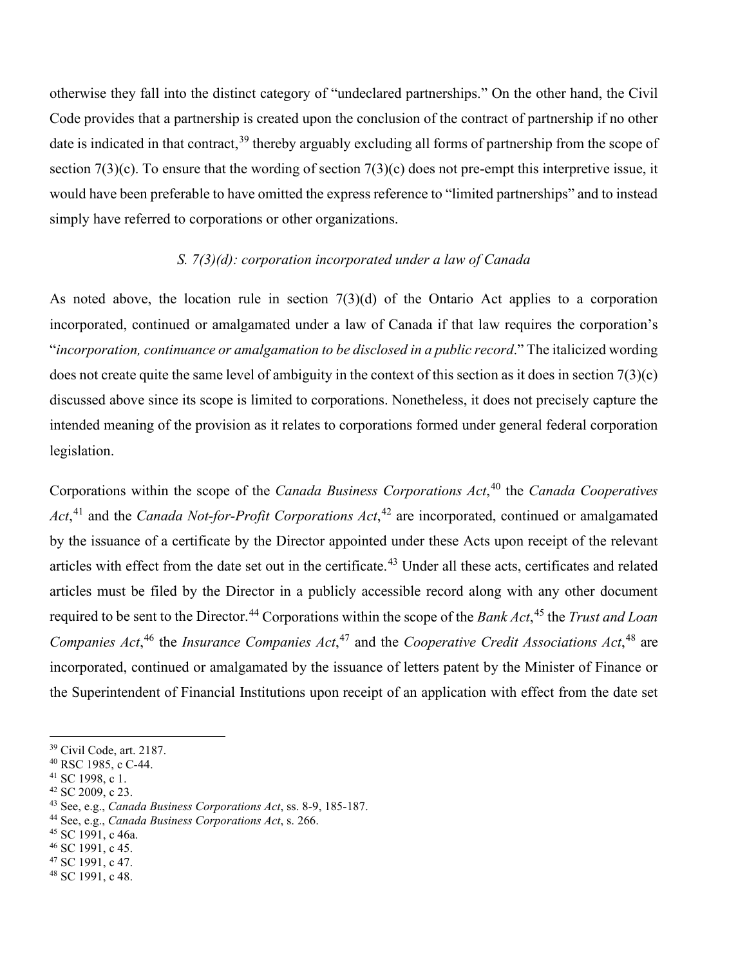otherwise they fall into the distinct category of "undeclared partnerships." On the other hand, the Civil Code provides that a partnership is created upon the conclusion of the contract of partnership if no other date is indicated in that contract,<sup>[39](#page-17-0)</sup> thereby arguably excluding all forms of partnership from the scope of section  $7(3)(c)$ . To ensure that the wording of section  $7(3)(c)$  does not pre-empt this interpretive issue, it would have been preferable to have omitted the express reference to "limited partnerships" and to instead simply have referred to corporations or other organizations.

## *S. 7(3)(d): corporation incorporated under a law of Canada*

As noted above, the location rule in section 7(3)(d) of the Ontario Act applies to a corporation incorporated, continued or amalgamated under a law of Canada if that law requires the corporation's "*incorporation, continuance or amalgamation to be disclosed in a public record*." The italicized wording does not create quite the same level of ambiguity in the context of this section as it does in section 7(3)(c) discussed above since its scope is limited to corporations. Nonetheless, it does not precisely capture the intended meaning of the provision as it relates to corporations formed under general federal corporation legislation.

Corporations within the scope of the *Canada Business Corporations Act*, [40](#page-17-1) the *Canada Cooperatives Act*, [41](#page-17-2) and the *Canada Not-for-Profit Corporations Act*, [42](#page-17-3) are incorporated, continued or amalgamated by the issuance of a certificate by the Director appointed under these Acts upon receipt of the relevant articles with effect from the date set out in the certificate.<sup>[43](#page-17-4)</sup> Under all these acts, certificates and related articles must be filed by the Director in a publicly accessible record along with any other document required to be sent to the Director.<sup>[44](#page-17-5)</sup> Corporations within the scope of the *Bank Act*,<sup>[45](#page-17-6)</sup> the *Trust and Loan* Companies Act,<sup>[46](#page-17-7)</sup> the *Insurance Companies Act*,<sup>[47](#page-17-8)</sup> and the *Cooperative Credit Associations Act*,<sup>[48](#page-17-9)</sup> are incorporated, continued or amalgamated by the issuance of letters patent by the Minister of Finance or the Superintendent of Financial Institutions upon receipt of an application with effect from the date set

<span id="page-17-0"></span><sup>39</sup> Civil Code, art. 2187.

<span id="page-17-1"></span><sup>40</sup> RSC 1985, c C-44.

<span id="page-17-2"></span><sup>41</sup> SC 1998, c 1.

<span id="page-17-3"></span><sup>42</sup> SC 2009, c 23.

<span id="page-17-4"></span><sup>43</sup> See, e.g., *Canada Business Corporations Act*, ss. 8-9, 185-187.

<span id="page-17-5"></span><sup>44</sup> See, e.g., *Canada Business Corporations Act*, s. 266.

<span id="page-17-6"></span><sup>45</sup> SC 1991, c 46a.

<span id="page-17-7"></span><sup>46</sup> SC 1991, c 45.

<span id="page-17-8"></span><sup>47</sup> SC 1991, c 47.

<span id="page-17-9"></span><sup>48</sup> SC 1991, c 48.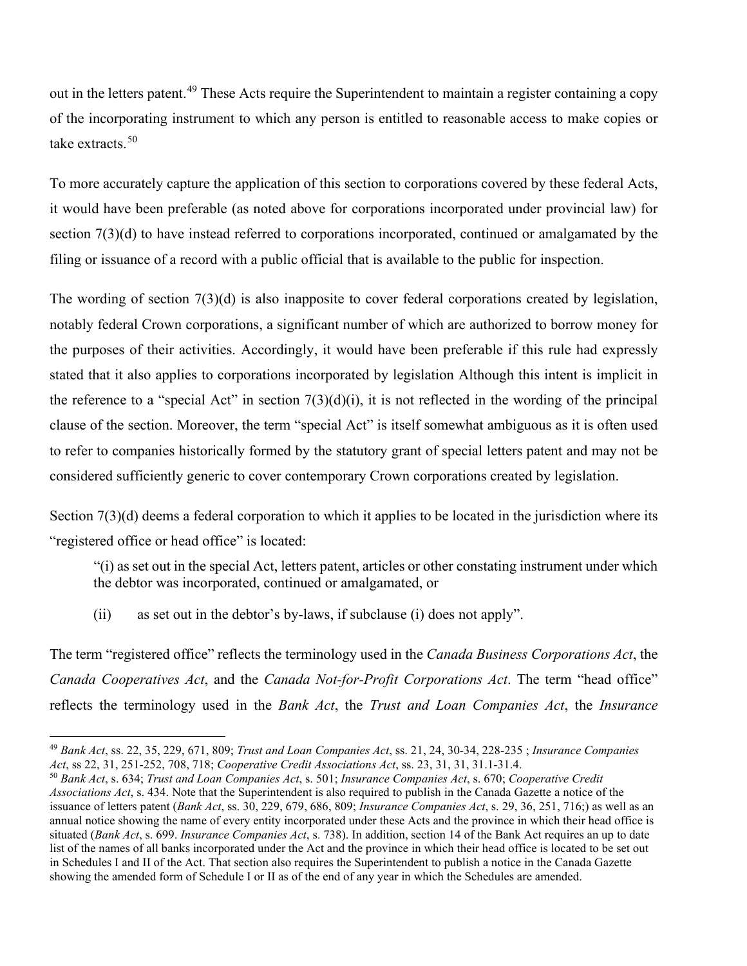out in the letters patent.<sup>[49](#page-18-0)</sup> These Acts require the Superintendent to maintain a register containing a copy of the incorporating instrument to which any person is entitled to reasonable access to make copies or take extracts.<sup>[50](#page-18-1)</sup>

To more accurately capture the application of this section to corporations covered by these federal Acts, it would have been preferable (as noted above for corporations incorporated under provincial law) for section 7(3)(d) to have instead referred to corporations incorporated, continued or amalgamated by the filing or issuance of a record with a public official that is available to the public for inspection.

The wording of section 7(3)(d) is also inapposite to cover federal corporations created by legislation, notably federal Crown corporations, a significant number of which are authorized to borrow money for the purposes of their activities. Accordingly, it would have been preferable if this rule had expressly stated that it also applies to corporations incorporated by legislation Although this intent is implicit in the reference to a "special Act" in section  $7(3)(d)(i)$ , it is not reflected in the wording of the principal clause of the section. Moreover, the term "special Act" is itself somewhat ambiguous as it is often used to refer to companies historically formed by the statutory grant of special letters patent and may not be considered sufficiently generic to cover contemporary Crown corporations created by legislation.

Section 7(3)(d) deems a federal corporation to which it applies to be located in the jurisdiction where its "registered office or head office" is located:

"(i) as set out in the special Act, letters patent, articles or other constating instrument under which the debtor was incorporated, continued or amalgamated, or

(ii) as set out in the debtor's by-laws, if subclause (i) does not apply".

The term "registered office" reflects the terminology used in the *Canada Business Corporations Act*, the *Canada Cooperatives Act*, and the *Canada Not-for-Profit Corporations Act*. The term "head office" reflects the terminology used in the *Bank Act*, the *Trust and Loan Companies Act*, the *Insurance* 

<span id="page-18-0"></span><sup>49</sup> *Bank Act*, ss. 22, 35, 229, 671, 809; *Trust and Loan Companies Act*, ss. 21, 24, 30-34, 228-235 ; *Insurance Companies Act*, ss 22, 31, 251-252, 708, 718; *Cooperative Credit Associations Act*, ss. 23, 31, 31, 31.1-31.4.

<span id="page-18-1"></span><sup>50</sup> *Bank Act*, s. 634; *Trust and Loan Companies Act*, s. 501; *Insurance Companies Act*, s. 670; *Cooperative Credit Associations Act*, s. 434. Note that the Superintendent is also required to publish in the Canada Gazette a notice of the issuance of letters patent (*Bank Act*, ss. 30, 229, 679, 686, 809; *Insurance Companies Act*, s. 29, 36, 251, 716;) as well as an annual notice showing the name of every entity incorporated under these Acts and the province in which their head office is situated (*Bank Act*, s. 699. *Insurance Companies Act*, s. 738). In addition, section 14 of the Bank Act requires an up to date list of the names of all banks incorporated under the Act and the province in which their head office is located to be set out in Schedules I and II of the Act. That section also requires the Superintendent to publish a notice in the Canada Gazette showing the amended form of Schedule I or II as of the end of any year in which the Schedules are amended.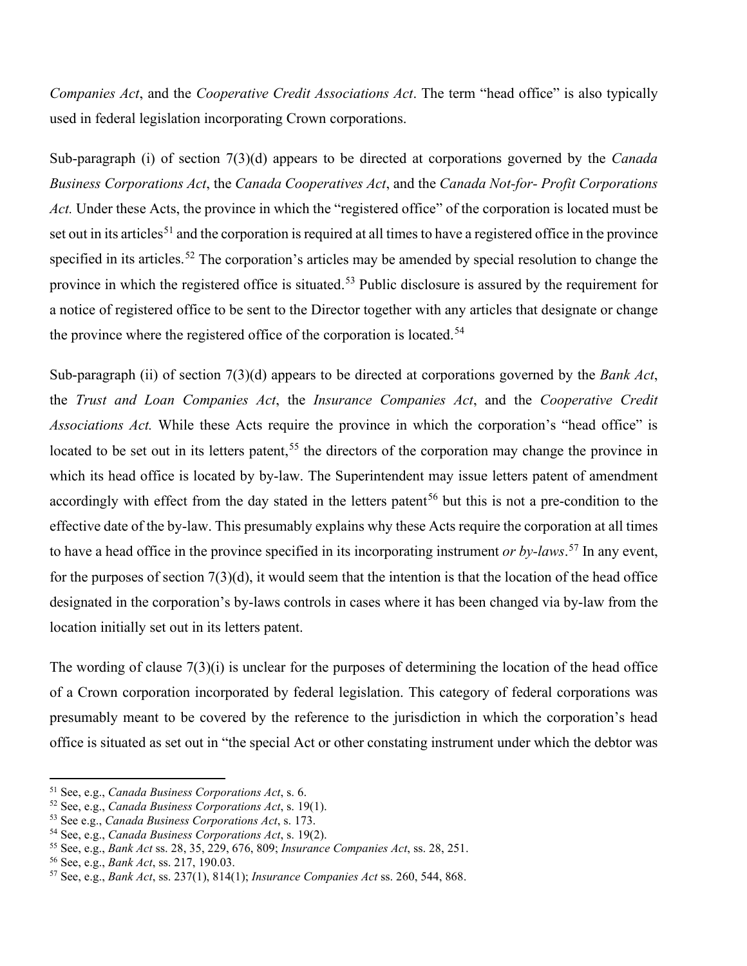*Companies Act*, and the *Cooperative Credit Associations Act*. The term "head office" is also typically used in federal legislation incorporating Crown corporations.

Sub-paragraph (i) of section 7(3)(d) appears to be directed at corporations governed by the *Canada Business Corporations Act*, the *Canada Cooperatives Act*, and the *Canada Not-for- Profit Corporations Act.* Under these Acts, the province in which the "registered office" of the corporation is located must be set out in its articles<sup>[51](#page-19-0)</sup> and the corporation is required at all times to have a registered office in the province specified in its articles.<sup>[52](#page-19-1)</sup> The corporation's articles may be amended by special resolution to change the province in which the registered office is situated.<sup>[53](#page-19-2)</sup> Public disclosure is assured by the requirement for a notice of registered office to be sent to the Director together with any articles that designate or change the province where the registered office of the corporation is located.<sup>[54](#page-19-3)</sup>

Sub-paragraph (ii) of section 7(3)(d) appears to be directed at corporations governed by the *Bank Act*, the *Trust and Loan Companies Act*, the *Insurance Companies Act*, and the *Cooperative Credit Associations Act.* While these Acts require the province in which the corporation's "head office" is located to be set out in its letters patent,<sup>[55](#page-19-4)</sup> the directors of the corporation may change the province in which its head office is located by by-law. The Superintendent may issue letters patent of amendment accordingly with effect from the day stated in the letters patent<sup>[56](#page-19-5)</sup> but this is not a pre-condition to the effective date of the by-law. This presumably explains why these Acts require the corporation at all times to have a head office in the province specified in its incorporating instrument *or by-laws*. [57](#page-19-6) In any event, for the purposes of section 7(3)(d), it would seem that the intention is that the location of the head office designated in the corporation's by-laws controls in cases where it has been changed via by-law from the location initially set out in its letters patent.

The wording of clause 7(3)(i) is unclear for the purposes of determining the location of the head office of a Crown corporation incorporated by federal legislation. This category of federal corporations was presumably meant to be covered by the reference to the jurisdiction in which the corporation's head office is situated as set out in "the special Act or other constating instrument under which the debtor was

<span id="page-19-0"></span><sup>51</sup> See, e.g., *Canada Business Corporations Act*, s. 6.

<span id="page-19-1"></span><sup>52</sup> See, e.g., *Canada Business Corporations Act*, s. 19(1).

<span id="page-19-2"></span><sup>53</sup> See e.g., *Canada Business Corporations Act*, s. 173.

<span id="page-19-3"></span><sup>54</sup> See, e.g., *Canada Business Corporations Act*, s. 19(2).

<span id="page-19-4"></span><sup>55</sup> See, e.g., *Bank Act* ss. 28, 35, 229, 676, 809; *Insurance Companies Act*, ss. 28, 251.

<span id="page-19-5"></span><sup>56</sup> See, e.g., *Bank Act*, ss. 217, 190.03.

<span id="page-19-6"></span><sup>57</sup> See, e.g., *Bank Act*, ss. 237(1), 814(1); *Insurance Companies Act* ss. 260, 544, 868.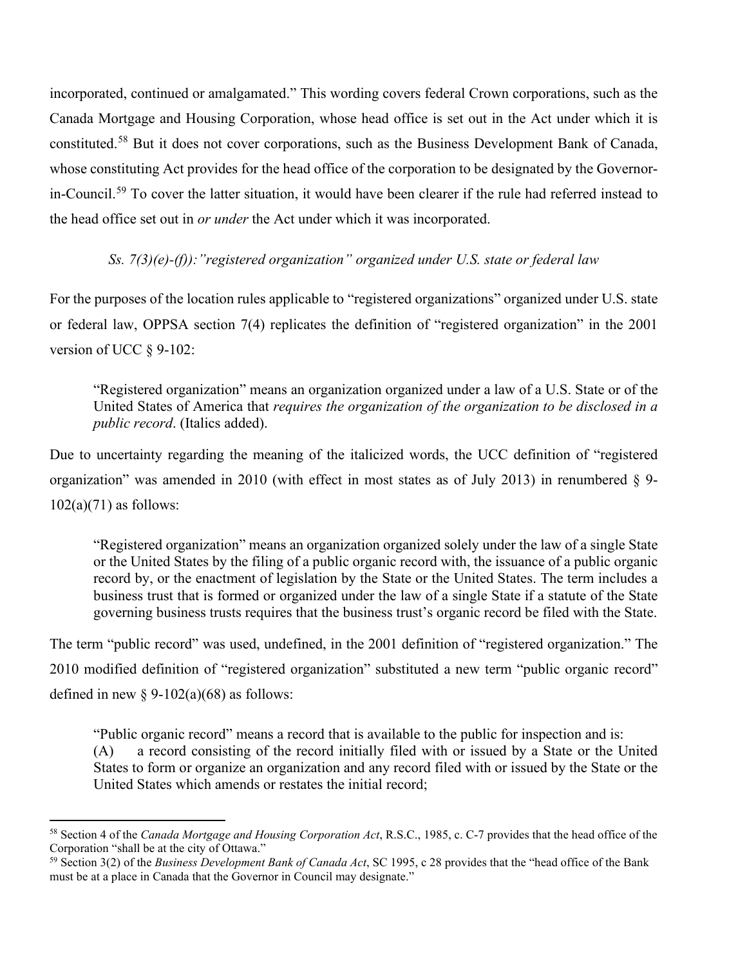incorporated, continued or amalgamated." This wording covers federal Crown corporations, such as the Canada Mortgage and Housing Corporation, whose head office is set out in the Act under which it is constituted.[58](#page-20-0) But it does not cover corporations, such as the Business Development Bank of Canada, whose constituting Act provides for the head office of the corporation to be designated by the Governor-in-Council.<sup>[59](#page-20-1)</sup> To cover the latter situation, it would have been clearer if the rule had referred instead to the head office set out in *or under* the Act under which it was incorporated.

## *Ss. 7(3)(e)-(f)):"registered organization" organized under U.S. state or federal law*

For the purposes of the location rules applicable to "registered organizations" organized under U.S. state or federal law, OPPSA section 7(4) replicates the definition of "registered organization" in the 2001 version of UCC § 9-102:

"Registered organization" means an organization organized under a law of a U.S. State or of the United States of America that *requires the organization of the organization to be disclosed in a public record*. (Italics added).

Due to uncertainty regarding the meaning of the italicized words, the UCC definition of "registered organization" was amended in 2010 (with effect in most states as of July 2013) in renumbered § 9-  $102(a)(71)$  as follows:

"Registered organization" means an organization organized solely under the law of a single State or the United States by the filing of a public organic record with, the issuance of a public organic record by, or the enactment of legislation by the State or the United States. The term includes a business trust that is formed or organized under the law of a single State if a statute of the State governing business trusts requires that the business trust's organic record be filed with the State.

The term "public record" was used, undefined, in the 2001 definition of "registered organization." The 2010 modified definition of "registered organization" substituted a new term "public organic record" defined in new  $\S 9-102(a)(68)$  as follows:

"Public organic record" means a record that is available to the public for inspection and is: (A) a record consisting of the record initially filed with or issued by a State or the United States to form or organize an organization and any record filed with or issued by the State or the United States which amends or restates the initial record;

<span id="page-20-0"></span><sup>58</sup> Section 4 of the *Canada Mortgage and Housing Corporation Act*, R.S.C., 1985, c. C-7 provides that the head office of the Corporation "shall be at the city of Ottawa."

<span id="page-20-1"></span><sup>59</sup> Section 3(2) of the *Business Development Bank of Canada Act*, SC 1995, c 28 provides that the "head office of the Bank must be at a place in Canada that the Governor in Council may designate."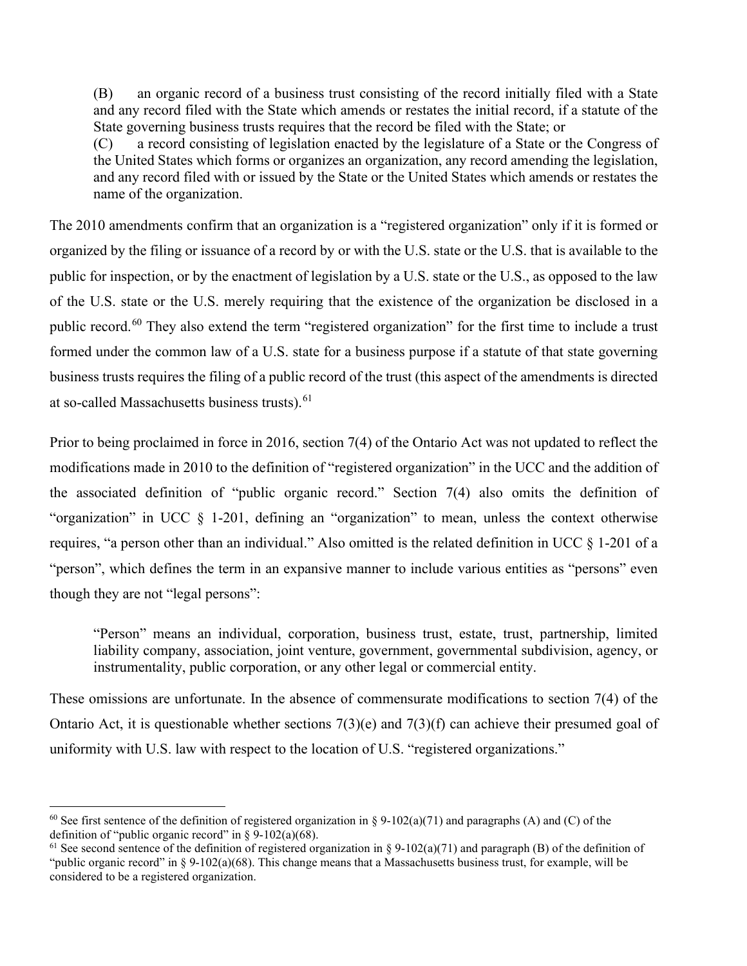(B) an organic record of a business trust consisting of the record initially filed with a State and any record filed with the State which amends or restates the initial record, if a statute of the State governing business trusts requires that the record be filed with the State; or (C) a record consisting of legislation enacted by the legislature of a State or the Congress of the United States which forms or organizes an organization, any record amending the legislation, and any record filed with or issued by the State or the United States which amends or restates the name of the organization.

The 2010 amendments confirm that an organization is a "registered organization" only if it is formed or organized by the filing or issuance of a record by or with the U.S. state or the U.S. that is available to the public for inspection, or by the enactment of legislation by a U.S. state or the U.S., as opposed to the law of the U.S. state or the U.S. merely requiring that the existence of the organization be disclosed in a public record.<sup>[60](#page-21-0)</sup> They also extend the term "registered organization" for the first time to include a trust formed under the common law of a U.S. state for a business purpose if a statute of that state governing business trusts requires the filing of a public record of the trust (this aspect of the amendments is directed at so-called Massachusetts business trusts).<sup>[61](#page-21-1)</sup>

Prior to being proclaimed in force in 2016, section 7(4) of the Ontario Act was not updated to reflect the modifications made in 2010 to the definition of "registered organization" in the UCC and the addition of the associated definition of "public organic record." Section 7(4) also omits the definition of "organization" in UCC § 1-201, defining an "organization" to mean, unless the context otherwise requires, "a person other than an individual." Also omitted is the related definition in UCC § 1-201 of a "person", which defines the term in an expansive manner to include various entities as "persons" even though they are not "legal persons":

"Person" means an individual, corporation, business trust, estate, trust, partnership, limited liability company, association, joint venture, government, governmental subdivision, agency, or instrumentality, public corporation, or any other legal or commercial entity.

These omissions are unfortunate. In the absence of commensurate modifications to section 7(4) of the Ontario Act, it is questionable whether sections 7(3)(e) and 7(3)(f) can achieve their presumed goal of uniformity with U.S. law with respect to the location of U.S. "registered organizations."

<span id="page-21-0"></span><sup>&</sup>lt;sup>60</sup> See first sentence of the definition of registered organization in § 9-102(a)(71) and paragraphs (A) and (C) of the definition of "public organic record" in  $\S$  9-102(a)(68).

<span id="page-21-1"></span><sup>&</sup>lt;sup>61</sup> See second sentence of the definition of registered organization in § 9-102(a)(71) and paragraph (B) of the definition of "public organic record" in § 9-102(a)(68). This change means that a Massachusetts business trust, for example, will be considered to be a registered organization.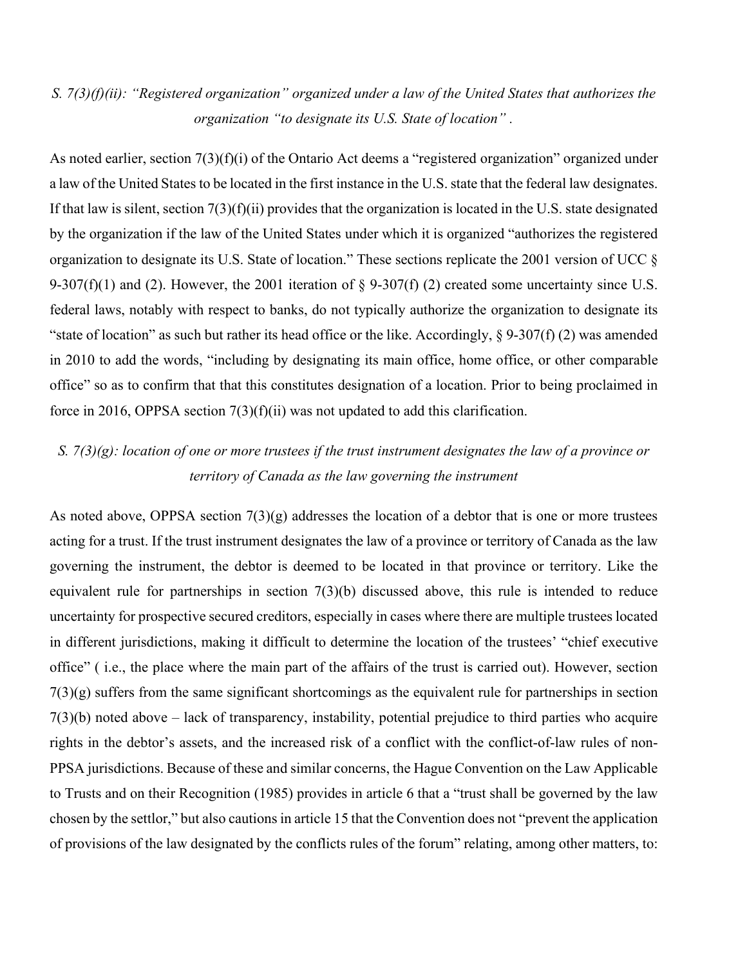## *S. 7(3)(f)(ii): "Registered organization" organized under a law of the United States that authorizes the organization "to designate its U.S. State of location" .*

As noted earlier, section 7(3)(f)(i) of the Ontario Act deems a "registered organization" organized under a law of the United States to be located in the first instance in the U.S. state that the federal law designates. If that law is silent, section 7(3)(f)(ii) provides that the organization is located in the U.S. state designated by the organization if the law of the United States under which it is organized "authorizes the registered organization to designate its U.S. State of location." These sections replicate the 2001 version of UCC § 9-307(f)(1) and (2). However, the 2001 iteration of  $\S$  9-307(f) (2) created some uncertainty since U.S. federal laws, notably with respect to banks, do not typically authorize the organization to designate its "state of location" as such but rather its head office or the like. Accordingly,  $\S$  9-307(f) (2) was amended in 2010 to add the words, "including by designating its main office, home office, or other comparable office" so as to confirm that that this constitutes designation of a location. Prior to being proclaimed in force in 2016, OPPSA section  $7(3)(f)(ii)$  was not updated to add this clarification.

## *S. 7(3)(g): location of one or more trustees if the trust instrument designates the law of a province or territory of Canada as the law governing the instrument*

As noted above, OPPSA section 7(3)(g) addresses the location of a debtor that is one or more trustees acting for a trust. If the trust instrument designates the law of a province or territory of Canada as the law governing the instrument, the debtor is deemed to be located in that province or territory. Like the equivalent rule for partnerships in section 7(3)(b) discussed above, this rule is intended to reduce uncertainty for prospective secured creditors, especially in cases where there are multiple trustees located in different jurisdictions, making it difficult to determine the location of the trustees' "chief executive office" ( i.e., the place where the main part of the affairs of the trust is carried out). However, section  $7(3)(g)$  suffers from the same significant shortcomings as the equivalent rule for partnerships in section 7(3)(b) noted above – lack of transparency, instability, potential prejudice to third parties who acquire rights in the debtor's assets, and the increased risk of a conflict with the conflict-of-law rules of non-PPSA jurisdictions. Because of these and similar concerns, the Hague Convention on the Law Applicable to Trusts and on their Recognition (1985) provides in article 6 that a "trust shall be governed by the law chosen by the settlor," but also cautions in article 15 that the Convention does not "prevent the application of provisions of the law designated by the conflicts rules of the forum" relating, among other matters, to: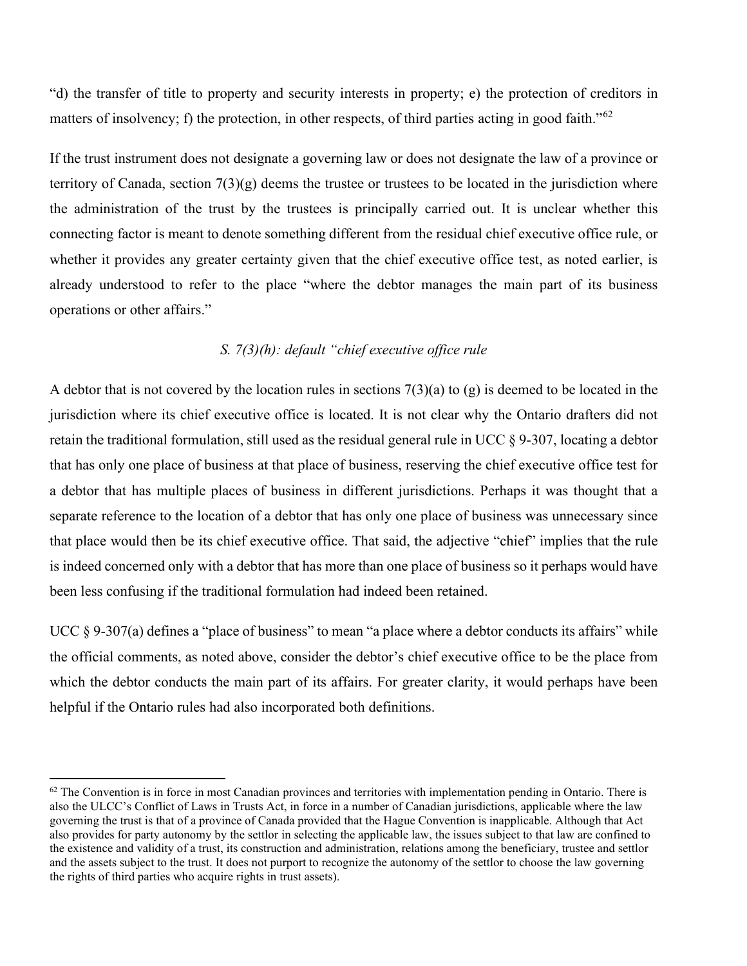"d) the transfer of title to property and security interests in property; e) the protection of creditors in matters of insolvency; f) the protection, in other respects, of third parties acting in good faith."[62](#page-23-0)

If the trust instrument does not designate a governing law or does not designate the law of a province or territory of Canada, section  $7(3)(g)$  deems the trustee or trustees to be located in the jurisdiction where the administration of the trust by the trustees is principally carried out. It is unclear whether this connecting factor is meant to denote something different from the residual chief executive office rule, or whether it provides any greater certainty given that the chief executive office test, as noted earlier, is already understood to refer to the place "where the debtor manages the main part of its business operations or other affairs."

## *S. 7(3)(h): default "chief executive office rule*

A debtor that is not covered by the location rules in sections  $7(3)(a)$  to (g) is deemed to be located in the jurisdiction where its chief executive office is located. It is not clear why the Ontario drafters did not retain the traditional formulation, still used as the residual general rule in UCC § 9-307, locating a debtor that has only one place of business at that place of business, reserving the chief executive office test for a debtor that has multiple places of business in different jurisdictions. Perhaps it was thought that a separate reference to the location of a debtor that has only one place of business was unnecessary since that place would then be its chief executive office. That said, the adjective "chief" implies that the rule is indeed concerned only with a debtor that has more than one place of business so it perhaps would have been less confusing if the traditional formulation had indeed been retained.

UCC § 9-307(a) defines a "place of business" to mean "a place where a debtor conducts its affairs" while the official comments, as noted above, consider the debtor's chief executive office to be the place from which the debtor conducts the main part of its affairs. For greater clarity, it would perhaps have been helpful if the Ontario rules had also incorporated both definitions.

<span id="page-23-0"></span> $62$  The Convention is in force in most Canadian provinces and territories with implementation pending in Ontario. There is also the ULCC's Conflict of Laws in Trusts Act, in force in a number of Canadian jurisdictions, applicable where the law governing the trust is that of a province of Canada provided that the Hague Convention is inapplicable. Although that Act also provides for party autonomy by the settlor in selecting the applicable law, the issues subject to that law are confined to the existence and validity of a trust, its construction and administration, relations among the beneficiary, trustee and settlor and the assets subject to the trust. It does not purport to recognize the autonomy of the settlor to choose the law governing the rights of third parties who acquire rights in trust assets).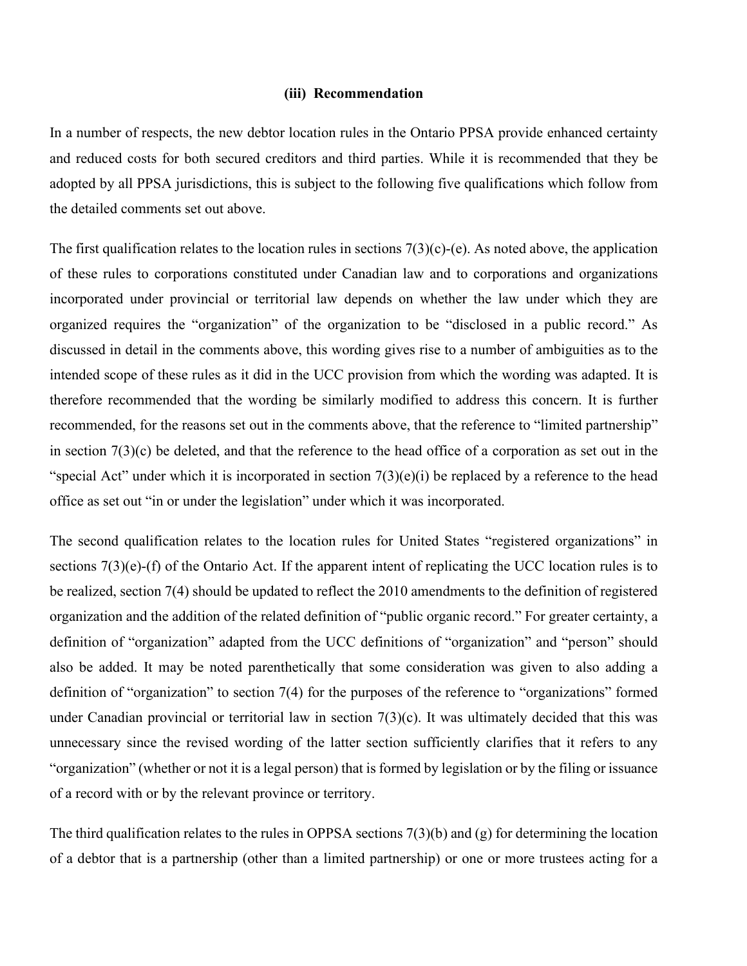#### **(iii) Recommendation**

In a number of respects, the new debtor location rules in the Ontario PPSA provide enhanced certainty and reduced costs for both secured creditors and third parties. While it is recommended that they be adopted by all PPSA jurisdictions, this is subject to the following five qualifications which follow from the detailed comments set out above.

The first qualification relates to the location rules in sections  $7(3)(c)$ -(e). As noted above, the application of these rules to corporations constituted under Canadian law and to corporations and organizations incorporated under provincial or territorial law depends on whether the law under which they are organized requires the "organization" of the organization to be "disclosed in a public record." As discussed in detail in the comments above, this wording gives rise to a number of ambiguities as to the intended scope of these rules as it did in the UCC provision from which the wording was adapted. It is therefore recommended that the wording be similarly modified to address this concern. It is further recommended, for the reasons set out in the comments above, that the reference to "limited partnership" in section  $7(3)(c)$  be deleted, and that the reference to the head office of a corporation as set out in the "special Act" under which it is incorporated in section  $7(3)(e)(i)$  be replaced by a reference to the head office as set out "in or under the legislation" under which it was incorporated.

The second qualification relates to the location rules for United States "registered organizations" in sections 7(3)(e)-(f) of the Ontario Act. If the apparent intent of replicating the UCC location rules is to be realized, section 7(4) should be updated to reflect the 2010 amendments to the definition of registered organization and the addition of the related definition of "public organic record." For greater certainty, a definition of "organization" adapted from the UCC definitions of "organization" and "person" should also be added. It may be noted parenthetically that some consideration was given to also adding a definition of "organization" to section 7(4) for the purposes of the reference to "organizations" formed under Canadian provincial or territorial law in section  $7(3)(c)$ . It was ultimately decided that this was unnecessary since the revised wording of the latter section sufficiently clarifies that it refers to any "organization" (whether or not it is a legal person) that is formed by legislation or by the filing or issuance of a record with or by the relevant province or territory.

The third qualification relates to the rules in OPPSA sections 7(3)(b) and (g) for determining the location of a debtor that is a partnership (other than a limited partnership) or one or more trustees acting for a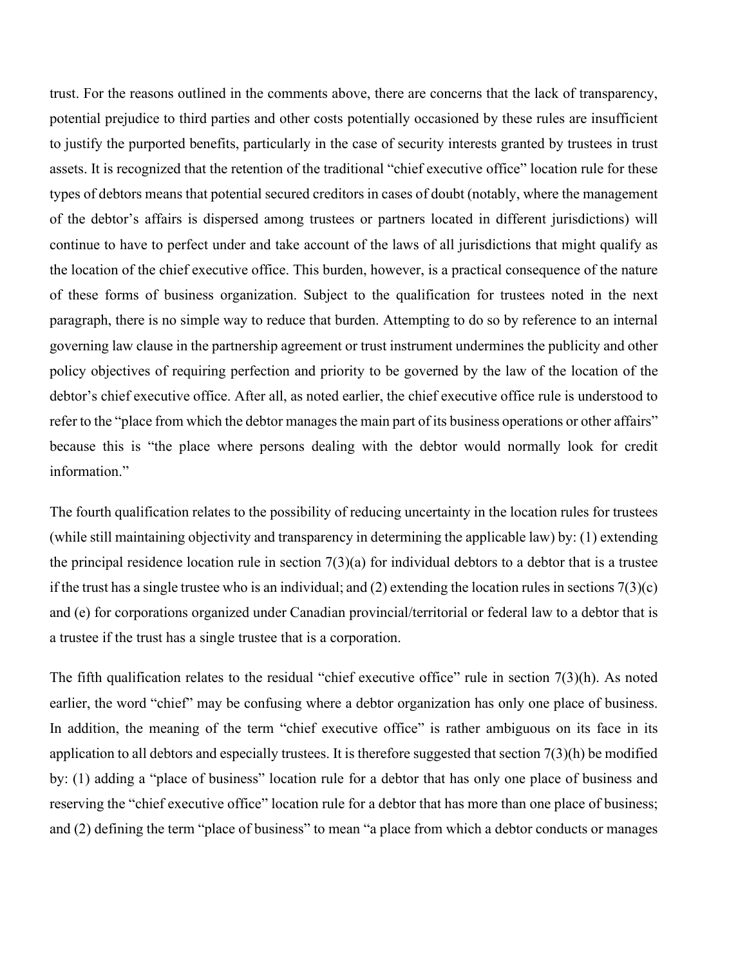trust. For the reasons outlined in the comments above, there are concerns that the lack of transparency, potential prejudice to third parties and other costs potentially occasioned by these rules are insufficient to justify the purported benefits, particularly in the case of security interests granted by trustees in trust assets. It is recognized that the retention of the traditional "chief executive office" location rule for these types of debtors means that potential secured creditors in cases of doubt (notably, where the management of the debtor's affairs is dispersed among trustees or partners located in different jurisdictions) will continue to have to perfect under and take account of the laws of all jurisdictions that might qualify as the location of the chief executive office. This burden, however, is a practical consequence of the nature of these forms of business organization. Subject to the qualification for trustees noted in the next paragraph, there is no simple way to reduce that burden. Attempting to do so by reference to an internal governing law clause in the partnership agreement or trust instrument undermines the publicity and other policy objectives of requiring perfection and priority to be governed by the law of the location of the debtor's chief executive office. After all, as noted earlier, the chief executive office rule is understood to refer to the "place from which the debtor manages the main part of its business operations or other affairs" because this is "the place where persons dealing with the debtor would normally look for credit information."

The fourth qualification relates to the possibility of reducing uncertainty in the location rules for trustees (while still maintaining objectivity and transparency in determining the applicable law) by: (1) extending the principal residence location rule in section  $7(3)(a)$  for individual debtors to a debtor that is a trustee if the trust has a single trustee who is an individual; and  $(2)$  extending the location rules in sections  $7(3)(c)$ and (e) for corporations organized under Canadian provincial/territorial or federal law to a debtor that is a trustee if the trust has a single trustee that is a corporation.

The fifth qualification relates to the residual "chief executive office" rule in section  $7(3)(h)$ . As noted earlier, the word "chief" may be confusing where a debtor organization has only one place of business. In addition, the meaning of the term "chief executive office" is rather ambiguous on its face in its application to all debtors and especially trustees. It is therefore suggested that section 7(3)(h) be modified by: (1) adding a "place of business" location rule for a debtor that has only one place of business and reserving the "chief executive office" location rule for a debtor that has more than one place of business; and (2) defining the term "place of business" to mean "a place from which a debtor conducts or manages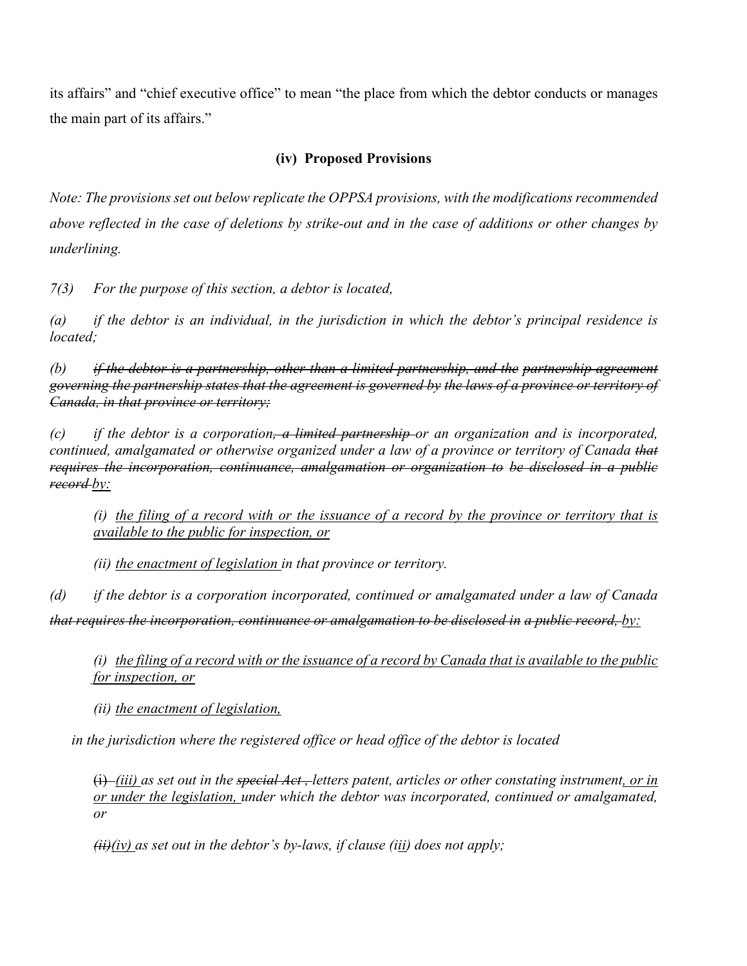its affairs" and "chief executive office" to mean "the place from which the debtor conducts or manages the main part of its affairs."

## **(iv) Proposed Provisions**

*Note: The provisions set out below replicate the OPPSA provisions, with the modifications recommended above reflected in the case of deletions by strike-out and in the case of additions or other changes by underlining.*

*7(3) For the purpose of this section, a debtor is located,*

*(a) if the debtor is an individual, in the jurisdiction in which the debtor's principal residence is located;*

*(b) if the debtor is a partnership, other than a limited partnership, and the partnership agreement governing the partnership states that the agreement is governed by the laws of a province or territory of Canada, in that province or territory;*

*(c) if the debtor is a corporation, a limited partnership or an organization and is incorporated, continued, amalgamated or otherwise organized under a law of a province or territory of Canada that requires the incorporation, continuance, amalgamation or organization to be disclosed in a public record by:*

*(i) the filing of a record with or the issuance of a record by the province or territory that is available to the public for inspection, or*

*(ii) the enactment of legislation in that province or territory.*

*(d) if the debtor is a corporation incorporated, continued or amalgamated under a law of Canada that requires the incorporation, continuance or amalgamation to be disclosed in a public record, by:*

*(i) the filing of a record with or the issuance of a record by Canada that is available to the public for inspection, or*

*(ii) the enactment of legislation,*

*in the jurisdiction where the registered office or head office of the debtor is located*

(i) *(iii) as set out in the special Act , letters patent, articles or other constating instrument, or in or under the legislation, under which the debtor was incorporated, continued or amalgamated, or*

 $(iii)(iv)$  as set out in the debtor's by-laws, if clause (iii) does not apply;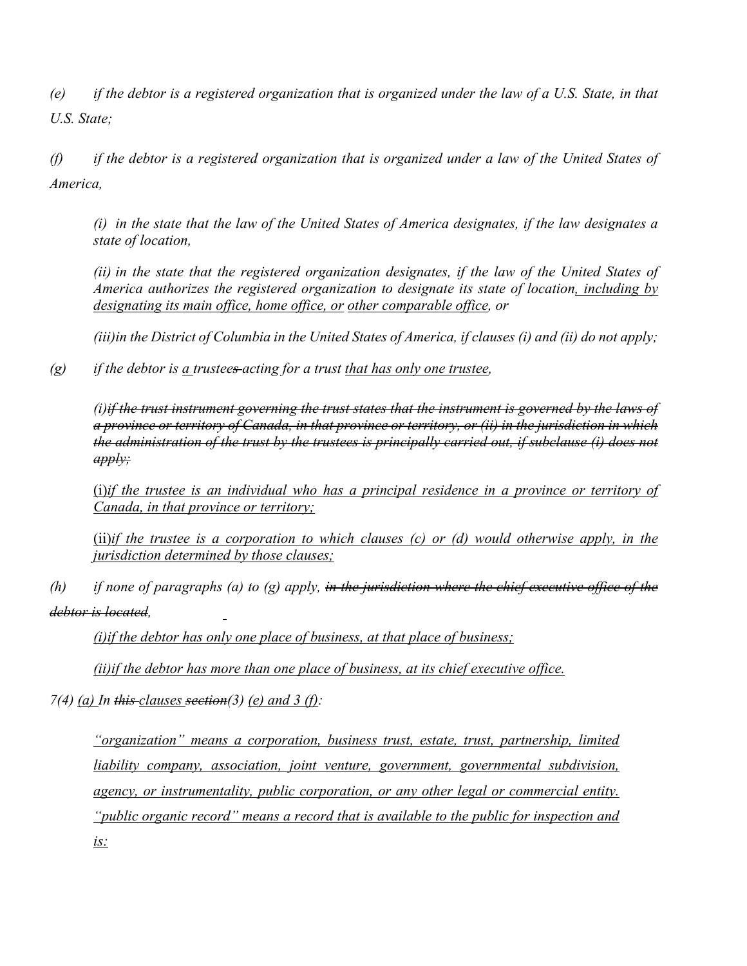*(e) if the debtor is a registered organization that is organized under the law of a U.S. State, in that U.S. State;*

*(f) if the debtor is a registered organization that is organized under a law of the United States of America,*

*(i) in the state that the law of the United States of America designates, if the law designates a state of location,*

*(ii) in the state that the registered organization designates, if the law of the United States of America authorizes the registered organization to designate its state of location, including by designating its main office, home office, or other comparable office, or*

*(iii)in the District of Columbia in the United States of America, if clauses (i) and (ii) do not apply;*

*(g) if the debtor is a trustees acting for a trust that has only one trustee,*

*(i)if the trust instrument governing the trust states that the instrument is governed by the laws of a province or territory of Canada, in that province or territory, or (ii) in the jurisdiction in which the administration of the trust by the trustees is principally carried out, if subclause (i) does not apply;*

(i)*if the trustee is an individual who has a principal residence in a province or territory of Canada, in that province or territory;*

(ii)*if the trustee is a corporation to which clauses (c) or (d) would otherwise apply, in the jurisdiction determined by those clauses;*

*(h) if none of paragraphs (a) to (g) apply, in the jurisdiction where the chief executive office of the debtor is located,*

*(i)if the debtor has only one place of business, at that place of business;*

*(ii)if the debtor has more than one place of business, at its chief executive office.*

*7(4) (a) In this clauses section(3) (e) and 3 (f):*

*"organization" means a corporation, business trust, estate, trust, partnership, limited liability company, association, joint venture, government, governmental subdivision, agency, or instrumentality, public corporation, or any other legal or commercial entity. "public organic record" means a record that is available to the public for inspection and is:*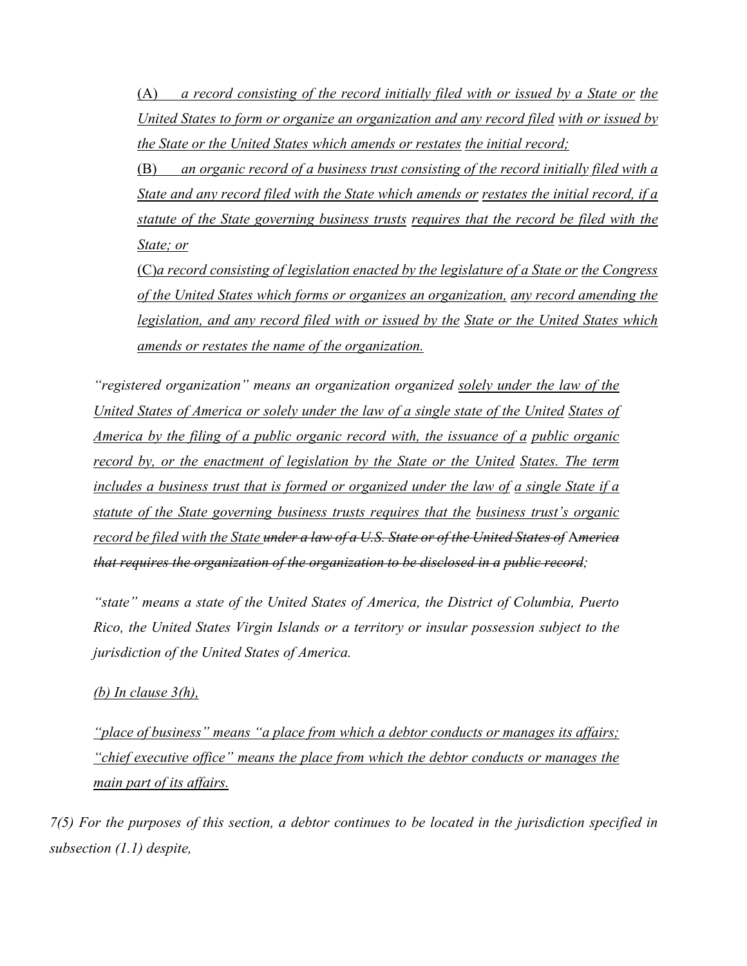(A) *a record consisting of the record initially filed with or issued by a State or the United States to form or organize an organization and any record filed with or issued by the State or the United States which amends or restates the initial record;*

(B) *an organic record of a business trust consisting of the record initially filed with a State and any record filed with the State which amends or restates the initial record, if a statute of the State governing business trusts requires that the record be filed with the State; or*

(C)*a record consisting of legislation enacted by the legislature of a State or the Congress of the United States which forms or organizes an organization, any record amending the legislation, and any record filed with or issued by the State or the United States which amends or restates the name of the organization.*

*"registered organization" means an organization organized solely under the law of the United States of America or solely under the law of a single state of the United States of America by the filing of a public organic record with, the issuance of a public organic record by, or the enactment of legislation by the State or the United States. The term includes a business trust that is formed or organized under the law of a single State if a statute of the State governing business trusts requires that the business trust's organic record be filed with the State under a law of a U.S. State or of the United States of* A*merica that requires the organization of the organization to be disclosed in a public record;*

*"state" means a state of the United States of America, the District of Columbia, Puerto Rico, the United States Virgin Islands or a territory or insular possession subject to the jurisdiction of the United States of America.*

## *(b) In clause 3(h),*

*"place of business" means "a place from which a debtor conducts or manages its affairs; "chief executive office" means the place from which the debtor conducts or manages the main part of its affairs.*

*7(5) For the purposes of this section, a debtor continues to be located in the jurisdiction specified in subsection (1.1) despite,*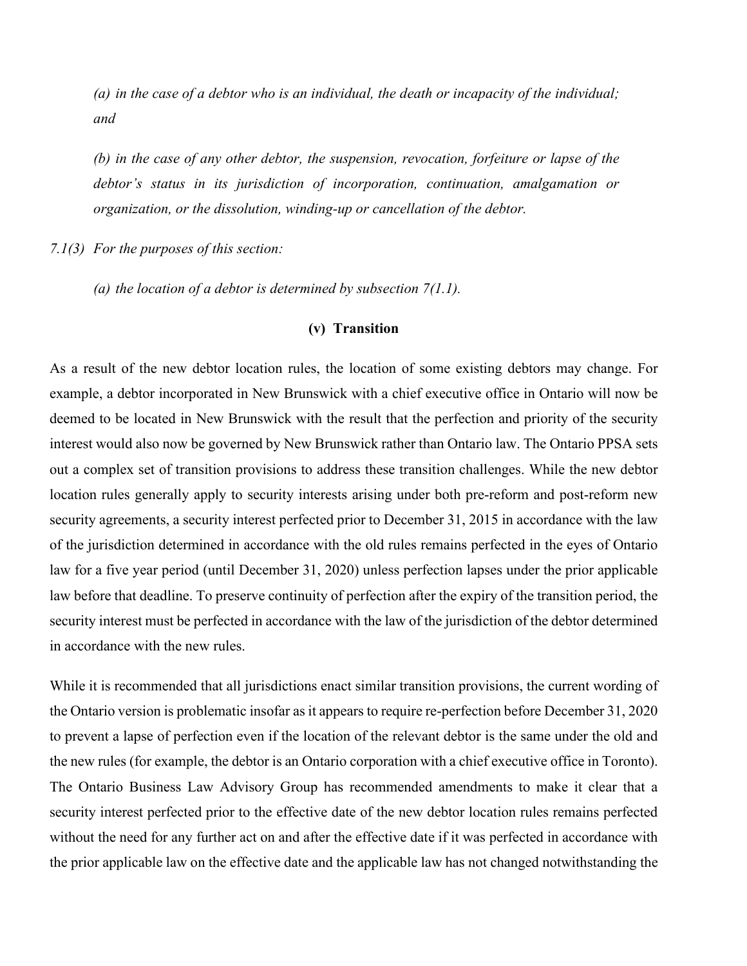*(a) in the case of a debtor who is an individual, the death or incapacity of the individual; and*

*(b) in the case of any other debtor, the suspension, revocation, forfeiture or lapse of the debtor's status in its jurisdiction of incorporation, continuation, amalgamation or organization, or the dissolution, winding-up or cancellation of the debtor.*

*7.1(3) For the purposes of this section:*

*(a) the location of a debtor is determined by subsection 7(1.1).*

#### **(v) Transition**

As a result of the new debtor location rules, the location of some existing debtors may change. For example, a debtor incorporated in New Brunswick with a chief executive office in Ontario will now be deemed to be located in New Brunswick with the result that the perfection and priority of the security interest would also now be governed by New Brunswick rather than Ontario law. The Ontario PPSA sets out a complex set of transition provisions to address these transition challenges. While the new debtor location rules generally apply to security interests arising under both pre-reform and post-reform new security agreements, a security interest perfected prior to December 31, 2015 in accordance with the law of the jurisdiction determined in accordance with the old rules remains perfected in the eyes of Ontario law for a five year period (until December 31, 2020) unless perfection lapses under the prior applicable law before that deadline. To preserve continuity of perfection after the expiry of the transition period, the security interest must be perfected in accordance with the law of the jurisdiction of the debtor determined in accordance with the new rules.

While it is recommended that all jurisdictions enact similar transition provisions, the current wording of the Ontario version is problematic insofar as it appears to require re-perfection before December 31, 2020 to prevent a lapse of perfection even if the location of the relevant debtor is the same under the old and the new rules (for example, the debtor is an Ontario corporation with a chief executive office in Toronto). The Ontario Business Law Advisory Group has recommended amendments to make it clear that a security interest perfected prior to the effective date of the new debtor location rules remains perfected without the need for any further act on and after the effective date if it was perfected in accordance with the prior applicable law on the effective date and the applicable law has not changed notwithstanding the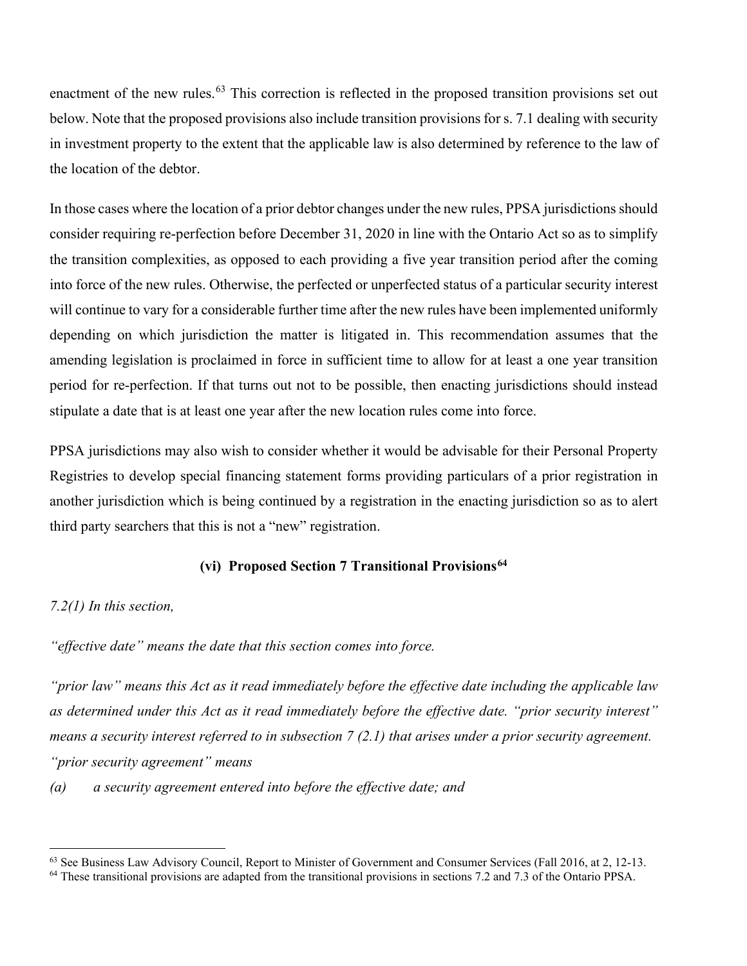enactment of the new rules.<sup>[63](#page-30-0)</sup> This correction is reflected in the proposed transition provisions set out below. Note that the proposed provisions also include transition provisions for s. 7.1 dealing with security in investment property to the extent that the applicable law is also determined by reference to the law of the location of the debtor.

In those cases where the location of a prior debtor changes under the new rules, PPSA jurisdictions should consider requiring re-perfection before December 31, 2020 in line with the Ontario Act so as to simplify the transition complexities, as opposed to each providing a five year transition period after the coming into force of the new rules. Otherwise, the perfected or unperfected status of a particular security interest will continue to vary for a considerable further time after the new rules have been implemented uniformly depending on which jurisdiction the matter is litigated in. This recommendation assumes that the amending legislation is proclaimed in force in sufficient time to allow for at least a one year transition period for re-perfection. If that turns out not to be possible, then enacting jurisdictions should instead stipulate a date that is at least one year after the new location rules come into force.

PPSA jurisdictions may also wish to consider whether it would be advisable for their Personal Property Registries to develop special financing statement forms providing particulars of a prior registration in another jurisdiction which is being continued by a registration in the enacting jurisdiction so as to alert third party searchers that this is not a "new" registration.

## **(vi) Proposed Section 7 Transitional Provisions[64](#page-30-1)**

#### *7.2(1) In this section,*

*"effective date" means the date that this section comes into force.*

*"prior law" means this Act as it read immediately before the effective date including the applicable law as determined under this Act as it read immediately before the effective date. "prior security interest" means a security interest referred to in subsection 7 (2.1) that arises under a prior security agreement. "prior security agreement" means*

*(a) a security agreement entered into before the effective date; and*

<span id="page-30-0"></span> $63$  See Business Law Advisory Council, Report to Minister of Government and Consumer Services (Fall 2016, at 2, 12-13.

<span id="page-30-1"></span><sup>64</sup> These transitional provisions are adapted from the transitional provisions in sections 7.2 and 7.3 of the Ontario PPSA.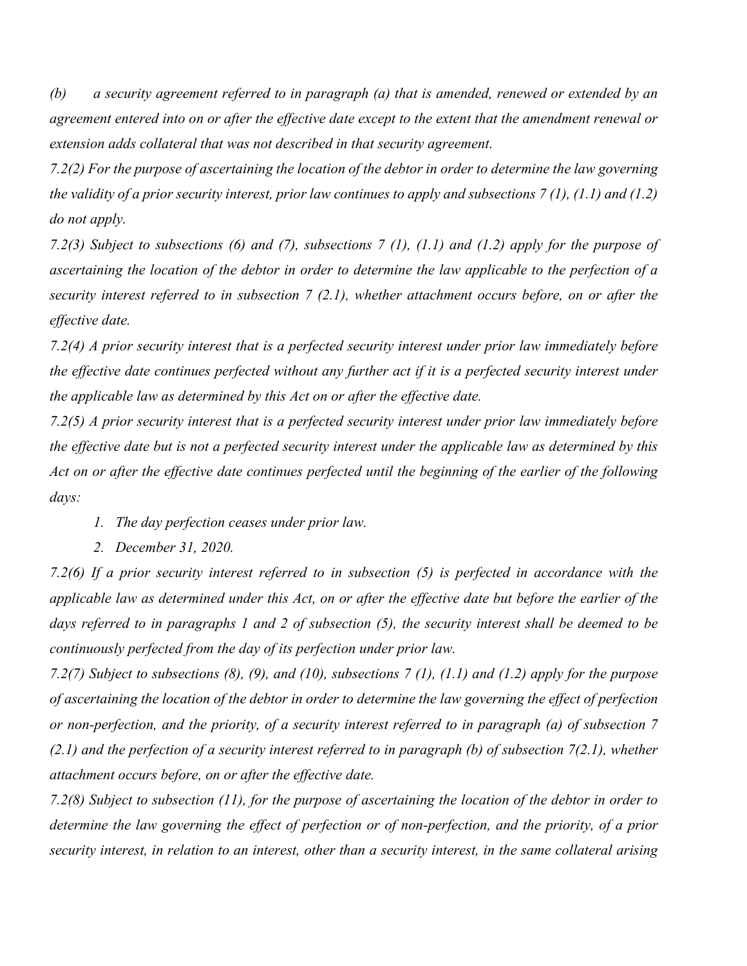*(b) a security agreement referred to in paragraph (a) that is amended, renewed or extended by an agreement entered into on or after the effective date except to the extent that the amendment renewal or extension adds collateral that was not described in that security agreement.*

*7.2(2) For the purpose of ascertaining the location of the debtor in order to determine the law governing the validity of a prior security interest, prior law continues to apply and subsections 7 (1), (1.1) and (1.2) do not apply.*

*7.2(3) Subject to subsections (6) and (7), subsections 7 (1), (1.1) and (1.2) apply for the purpose of ascertaining the location of the debtor in order to determine the law applicable to the perfection of a security interest referred to in subsection 7 (2.1), whether attachment occurs before, on or after the effective date.*

*7.2(4) A prior security interest that is a perfected security interest under prior law immediately before the effective date continues perfected without any further act if it is a perfected security interest under the applicable law as determined by this Act on or after the effective date.*

*7.2(5) A prior security interest that is a perfected security interest under prior law immediately before the effective date but is not a perfected security interest under the applicable law as determined by this Act on or after the effective date continues perfected until the beginning of the earlier of the following days:*

- *1. The day perfection ceases under prior law.*
- *2. December 31, 2020.*

*7.2(6) If a prior security interest referred to in subsection (5) is perfected in accordance with the applicable law as determined under this Act, on or after the effective date but before the earlier of the days referred to in paragraphs 1 and 2 of subsection (5), the security interest shall be deemed to be continuously perfected from the day of its perfection under prior law.*

*7.2(7) Subject to subsections (8), (9), and (10), subsections 7 (1), (1.1) and (1.2) apply for the purpose of ascertaining the location of the debtor in order to determine the law governing the effect of perfection or non-perfection, and the priority, of a security interest referred to in paragraph (a) of subsection 7 (2.1) and the perfection of a security interest referred to in paragraph (b) of subsection 7(2.1), whether attachment occurs before, on or after the effective date.*

*7.2(8) Subject to subsection (11), for the purpose of ascertaining the location of the debtor in order to determine the law governing the effect of perfection or of non-perfection, and the priority, of a prior security interest, in relation to an interest, other than a security interest, in the same collateral arising*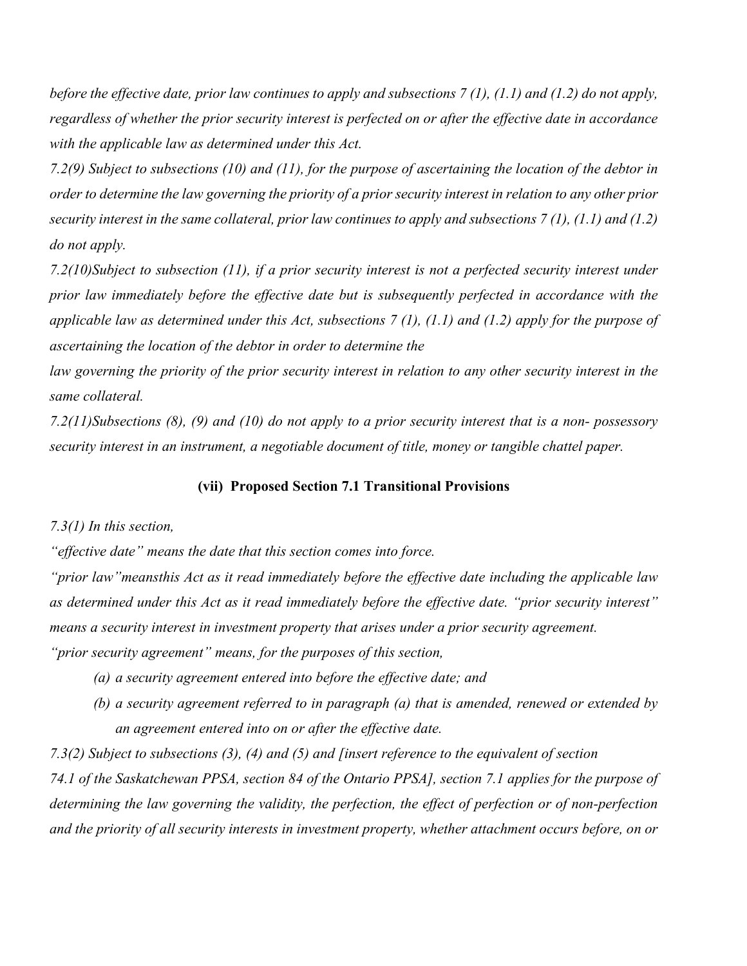*before the effective date, prior law continues to apply and subsections 7 (1), (1.1) and (1.2) do not apply, regardless of whether the prior security interest is perfected on or after the effective date in accordance with the applicable law as determined under this Act.*

*7.2(9) Subject to subsections (10) and (11), for the purpose of ascertaining the location of the debtor in order to determine the law governing the priority of a prior security interest in relation to any other prior security interest in the same collateral, prior law continues to apply and subsections 7 (1), (1.1) and (1.2) do not apply.*

*7.2(10)Subject to subsection (11), if a prior security interest is not a perfected security interest under prior law immediately before the effective date but is subsequently perfected in accordance with the applicable law as determined under this Act, subsections 7 (1), (1.1) and (1.2) apply for the purpose of ascertaining the location of the debtor in order to determine the*

*law governing the priority of the prior security interest in relation to any other security interest in the same collateral.*

*7.2(11)Subsections (8), (9) and (10) do not apply to a prior security interest that is a non- possessory security interest in an instrument, a negotiable document of title, money or tangible chattel paper.*

#### **(vii) Proposed Section 7.1 Transitional Provisions**

### *7.3(1) In this section,*

*"effective date" means the date that this section comes into force.*

*"prior law"meansthis Act as it read immediately before the effective date including the applicable law as determined under this Act as it read immediately before the effective date. "prior security interest" means a security interest in investment property that arises under a prior security agreement.*

*"prior security agreement" means, for the purposes of this section,*

*(a) a security agreement entered into before the effective date; and*

*(b) a security agreement referred to in paragraph (a) that is amended, renewed or extended by an agreement entered into on or after the effective date.*

*7.3(2) Subject to subsections (3), (4) and (5) and [insert reference to the equivalent of section 74.1 of the Saskatchewan PPSA, section 84 of the Ontario PPSA], section 7.1 applies for the purpose of determining the law governing the validity, the perfection, the effect of perfection or of non-perfection and the priority of all security interests in investment property, whether attachment occurs before, on or*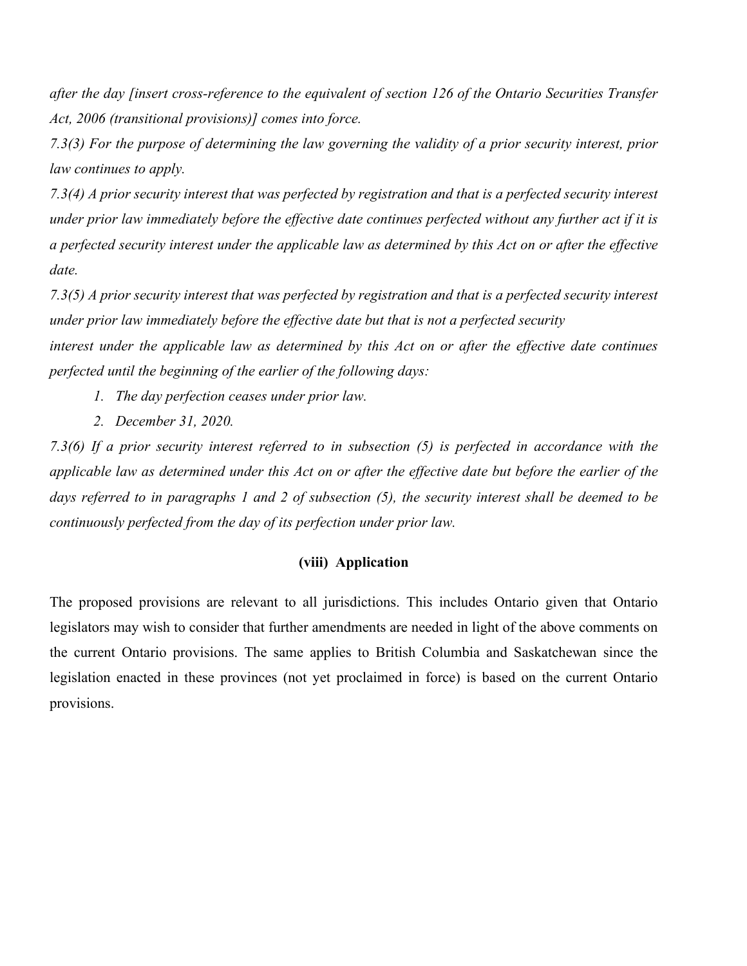*after the day [insert cross-reference to the equivalent of section 126 of the Ontario Securities Transfer Act, 2006 (transitional provisions)] comes into force.*

*7.3(3) For the purpose of determining the law governing the validity of a prior security interest, prior law continues to apply.*

*7.3(4) A prior security interest that was perfected by registration and that is a perfected security interest under prior law immediately before the effective date continues perfected without any further act if it is a perfected security interest under the applicable law as determined by this Act on or after the effective date.*

*7.3(5) A prior security interest that was perfected by registration and that is a perfected security interest under prior law immediately before the effective date but that is not a perfected security*

*interest under the applicable law as determined by this Act on or after the effective date continues perfected until the beginning of the earlier of the following days:*

- *1. The day perfection ceases under prior law.*
- *2. December 31, 2020.*

*7.3(6) If a prior security interest referred to in subsection (5) is perfected in accordance with the applicable law as determined under this Act on or after the effective date but before the earlier of the days referred to in paragraphs 1 and 2 of subsection (5), the security interest shall be deemed to be continuously perfected from the day of its perfection under prior law.*

#### **(viii) Application**

The proposed provisions are relevant to all jurisdictions. This includes Ontario given that Ontario legislators may wish to consider that further amendments are needed in light of the above comments on the current Ontario provisions. The same applies to British Columbia and Saskatchewan since the legislation enacted in these provinces (not yet proclaimed in force) is based on the current Ontario provisions.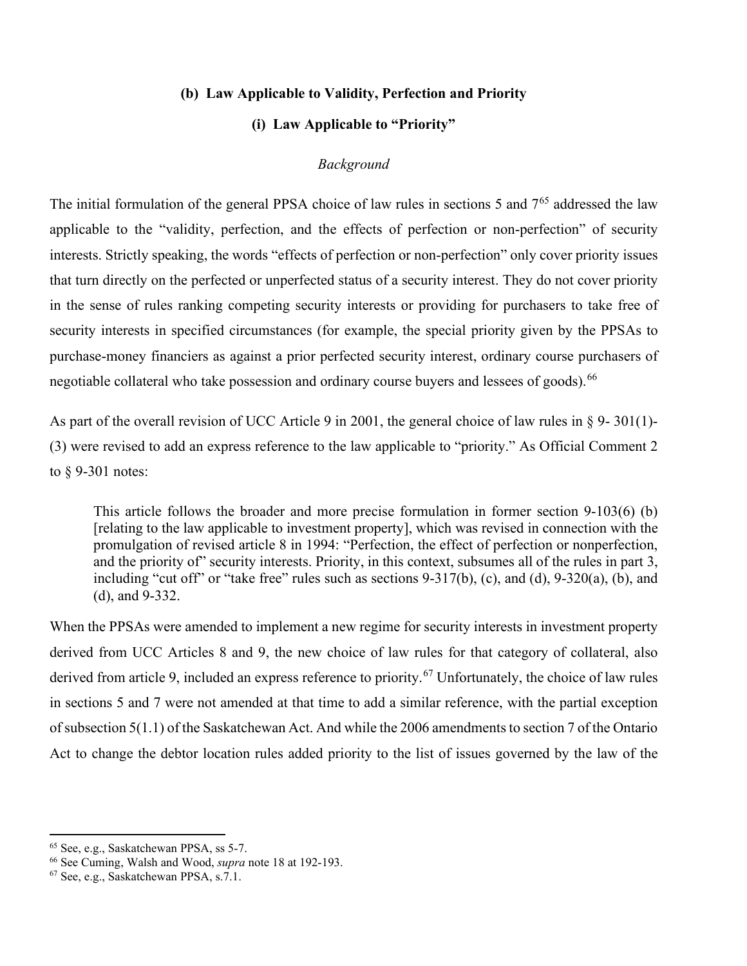### **(b) Law Applicable to Validity, Perfection and Priority**

### **(i) Law Applicable to "Priority"**

#### *Background*

The initial formulation of the general PPSA choice of law rules in sections 5 and  $7<sup>65</sup>$  $7<sup>65</sup>$  $7<sup>65</sup>$  addressed the law applicable to the "validity, perfection, and the effects of perfection or non-perfection" of security interests. Strictly speaking, the words "effects of perfection or non-perfection" only cover priority issues that turn directly on the perfected or unperfected status of a security interest. They do not cover priority in the sense of rules ranking competing security interests or providing for purchasers to take free of security interests in specified circumstances (for example, the special priority given by the PPSAs to purchase-money financiers as against a prior perfected security interest, ordinary course purchasers of negotiable collateral who take possession and ordinary course buyers and lessees of goods).<sup>[66](#page-34-1)</sup>

As part of the overall revision of UCC Article 9 in 2001, the general choice of law rules in § 9- 301(1)- (3) were revised to add an express reference to the law applicable to "priority." As Official Comment 2 to § 9-301 notes:

This article follows the broader and more precise formulation in former section 9-103(6) (b) [relating to the law applicable to investment property], which was revised in connection with the promulgation of revised article 8 in 1994: "Perfection, the effect of perfection or nonperfection, and the priority of" security interests. Priority, in this context, subsumes all of the rules in part 3, including "cut off" or "take free" rules such as sections 9-317(b), (c), and (d), 9-320(a), (b), and (d), and 9-332.

When the PPSAs were amended to implement a new regime for security interests in investment property derived from UCC Articles 8 and 9, the new choice of law rules for that category of collateral, also derived from article 9, included an express reference to priority.<sup>[67](#page-34-2)</sup> Unfortunately, the choice of law rules in sections 5 and 7 were not amended at that time to add a similar reference, with the partial exception of subsection 5(1.1) of the Saskatchewan Act. And while the 2006 amendments to section 7 of the Ontario Act to change the debtor location rules added priority to the list of issues governed by the law of the

<span id="page-34-0"></span><sup>65</sup> See, e.g., Saskatchewan PPSA, ss 5-7.

<span id="page-34-1"></span><sup>66</sup> See Cuming, Walsh and Wood, *supra* note 18 at 192-193.

<span id="page-34-2"></span><sup>67</sup> See, e.g., Saskatchewan PPSA, s.7.1.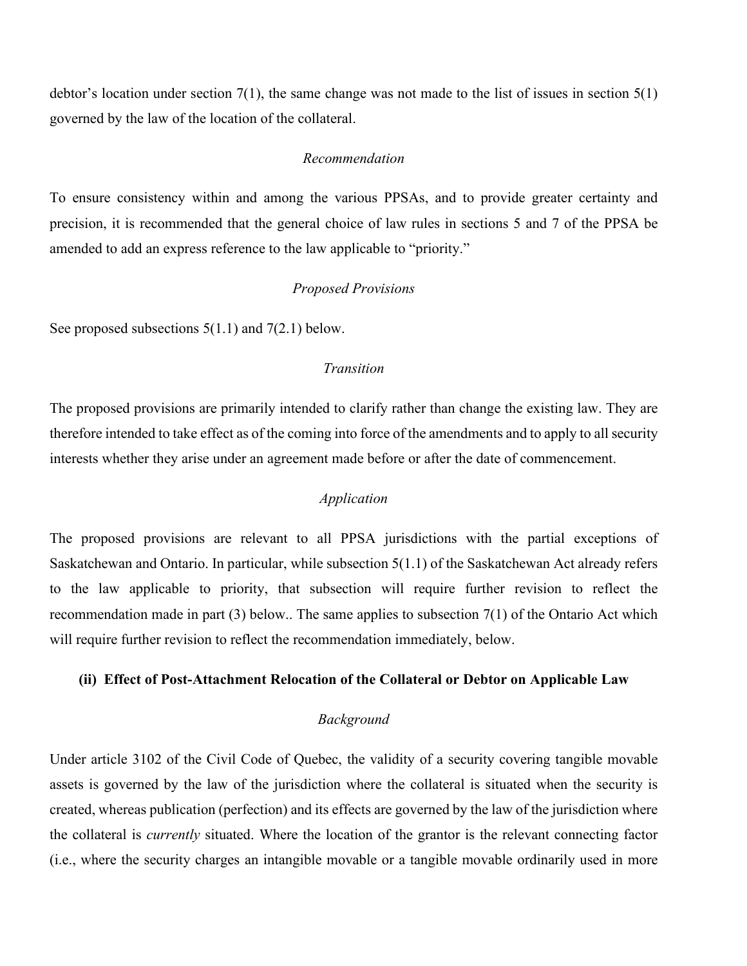debtor's location under section  $7(1)$ , the same change was not made to the list of issues in section  $5(1)$ governed by the law of the location of the collateral.

#### *Recommendation*

To ensure consistency within and among the various PPSAs, and to provide greater certainty and precision, it is recommended that the general choice of law rules in sections 5 and 7 of the PPSA be amended to add an express reference to the law applicable to "priority."

#### *Proposed Provisions*

See proposed subsections  $5(1.1)$  and  $7(2.1)$  below.

#### *Transition*

The proposed provisions are primarily intended to clarify rather than change the existing law. They are therefore intended to take effect as of the coming into force of the amendments and to apply to all security interests whether they arise under an agreement made before or after the date of commencement.

#### *Application*

The proposed provisions are relevant to all PPSA jurisdictions with the partial exceptions of Saskatchewan and Ontario. In particular, while subsection 5(1.1) of the Saskatchewan Act already refers to the law applicable to priority, that subsection will require further revision to reflect the recommendation made in part (3) below.. The same applies to subsection 7(1) of the Ontario Act which will require further revision to reflect the recommendation immediately, below.

#### **(ii) Effect of Post-Attachment Relocation of the Collateral or Debtor on Applicable Law**

#### *Background*

Under article 3102 of the Civil Code of Quebec, the validity of a security covering tangible movable assets is governed by the law of the jurisdiction where the collateral is situated when the security is created, whereas publication (perfection) and its effects are governed by the law of the jurisdiction where the collateral is *currently* situated. Where the location of the grantor is the relevant connecting factor (i.e., where the security charges an intangible movable or a tangible movable ordinarily used in more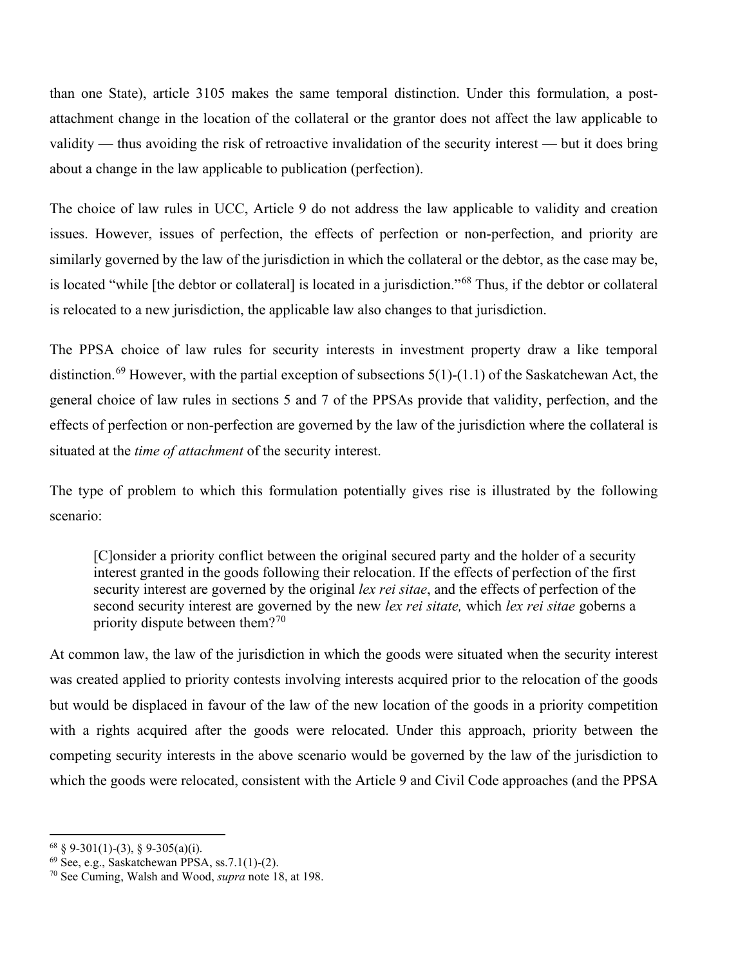than one State), article 3105 makes the same temporal distinction. Under this formulation, a postattachment change in the location of the collateral or the grantor does not affect the law applicable to validity — thus avoiding the risk of retroactive invalidation of the security interest — but it does bring about a change in the law applicable to publication (perfection).

The choice of law rules in UCC, Article 9 do not address the law applicable to validity and creation issues. However, issues of perfection, the effects of perfection or non-perfection, and priority are similarly governed by the law of the jurisdiction in which the collateral or the debtor, as the case may be, is located "while [the debtor or collateral] is located in a jurisdiction."[68](#page-36-0) Thus, if the debtor or collateral is relocated to a new jurisdiction, the applicable law also changes to that jurisdiction.

The PPSA choice of law rules for security interests in investment property draw a like temporal distinction.<sup>[69](#page-36-1)</sup> However, with the partial exception of subsections  $5(1)-(1.1)$  of the Saskatchewan Act, the general choice of law rules in sections 5 and 7 of the PPSAs provide that validity, perfection, and the effects of perfection or non-perfection are governed by the law of the jurisdiction where the collateral is situated at the *time of attachment* of the security interest.

The type of problem to which this formulation potentially gives rise is illustrated by the following scenario:

[C]onsider a priority conflict between the original secured party and the holder of a security interest granted in the goods following their relocation. If the effects of perfection of the first security interest are governed by the original *lex rei sitae*, and the effects of perfection of the second security interest are governed by the new *lex rei sitate,* which *lex rei sitae* goberns a priority dispute between them?[70](#page-36-2)

At common law, the law of the jurisdiction in which the goods were situated when the security interest was created applied to priority contests involving interests acquired prior to the relocation of the goods but would be displaced in favour of the law of the new location of the goods in a priority competition with a rights acquired after the goods were relocated. Under this approach, priority between the competing security interests in the above scenario would be governed by the law of the jurisdiction to which the goods were relocated, consistent with the Article 9 and Civil Code approaches (and the PPSA

<span id="page-36-0"></span> $68 \& 9-301(1)-(3), \& 9-305(a)(i).$ 

<span id="page-36-1"></span> $^{69}$  See, e.g., Saskatchewan PPSA, ss.7.1(1)-(2).

<span id="page-36-2"></span><sup>70</sup> See Cuming, Walsh and Wood, *supra* note 18, at 198.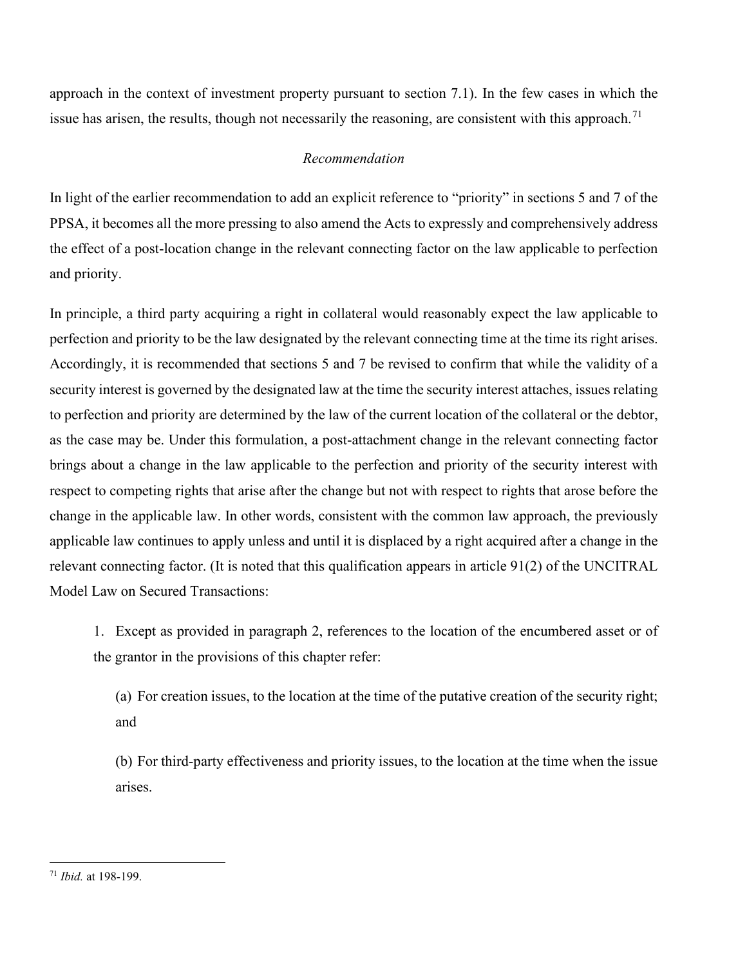approach in the context of investment property pursuant to section 7.1). In the few cases in which the issue has arisen, the results, though not necessarily the reasoning, are consistent with this approach.<sup>[71](#page-37-0)</sup>

## *Recommendation*

In light of the earlier recommendation to add an explicit reference to "priority" in sections 5 and 7 of the PPSA, it becomes all the more pressing to also amend the Acts to expressly and comprehensively address the effect of a post-location change in the relevant connecting factor on the law applicable to perfection and priority.

In principle, a third party acquiring a right in collateral would reasonably expect the law applicable to perfection and priority to be the law designated by the relevant connecting time at the time its right arises. Accordingly, it is recommended that sections 5 and 7 be revised to confirm that while the validity of a security interest is governed by the designated law at the time the security interest attaches, issues relating to perfection and priority are determined by the law of the current location of the collateral or the debtor, as the case may be. Under this formulation, a post-attachment change in the relevant connecting factor brings about a change in the law applicable to the perfection and priority of the security interest with respect to competing rights that arise after the change but not with respect to rights that arose before the change in the applicable law. In other words, consistent with the common law approach, the previously applicable law continues to apply unless and until it is displaced by a right acquired after a change in the relevant connecting factor. (It is noted that this qualification appears in article 91(2) of the UNCITRAL Model Law on Secured Transactions:

1. Except as provided in paragraph 2, references to the location of the encumbered asset or of the grantor in the provisions of this chapter refer:

(a) For creation issues, to the location at the time of the putative creation of the security right; and

(b) For third-party effectiveness and priority issues, to the location at the time when the issue arises.

<span id="page-37-0"></span><sup>71</sup> *Ibid.* at 198-199.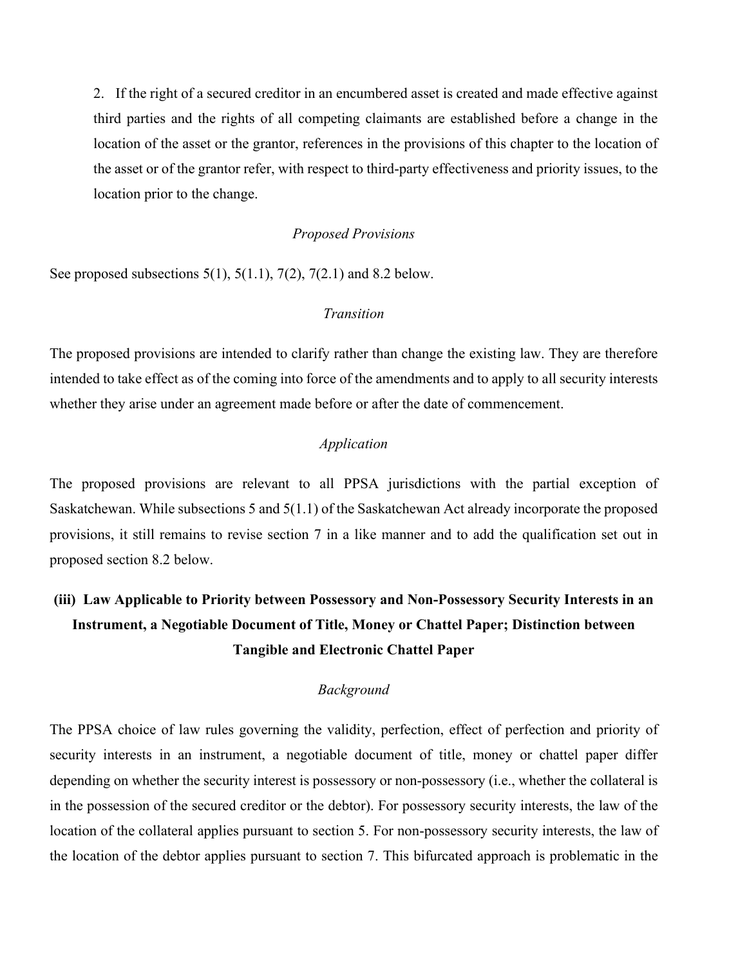2. If the right of a secured creditor in an encumbered asset is created and made effective against third parties and the rights of all competing claimants are established before a change in the location of the asset or the grantor, references in the provisions of this chapter to the location of the asset or of the grantor refer, with respect to third-party effectiveness and priority issues, to the location prior to the change.

#### *Proposed Provisions*

See proposed subsections  $5(1)$ ,  $5(1.1)$ ,  $7(2)$ ,  $7(2.1)$  and 8.2 below.

#### *Transition*

The proposed provisions are intended to clarify rather than change the existing law. They are therefore intended to take effect as of the coming into force of the amendments and to apply to all security interests whether they arise under an agreement made before or after the date of commencement.

## *Application*

The proposed provisions are relevant to all PPSA jurisdictions with the partial exception of Saskatchewan. While subsections 5 and 5(1.1) of the Saskatchewan Act already incorporate the proposed provisions, it still remains to revise section 7 in a like manner and to add the qualification set out in proposed section 8.2 below.

# **(iii) Law Applicable to Priority between Possessory and Non-Possessory Security Interests in an Instrument, a Negotiable Document of Title, Money or Chattel Paper; Distinction between Tangible and Electronic Chattel Paper**

#### *Background*

The PPSA choice of law rules governing the validity, perfection, effect of perfection and priority of security interests in an instrument, a negotiable document of title, money or chattel paper differ depending on whether the security interest is possessory or non-possessory (i.e., whether the collateral is in the possession of the secured creditor or the debtor). For possessory security interests, the law of the location of the collateral applies pursuant to section 5. For non-possessory security interests, the law of the location of the debtor applies pursuant to section 7. This bifurcated approach is problematic in the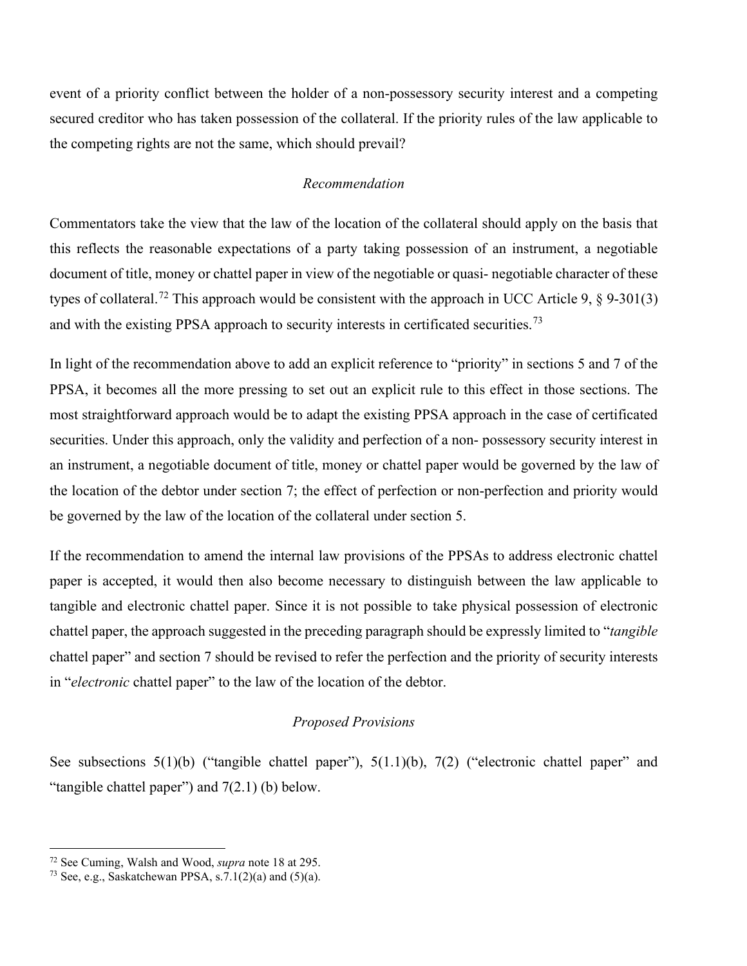event of a priority conflict between the holder of a non-possessory security interest and a competing secured creditor who has taken possession of the collateral. If the priority rules of the law applicable to the competing rights are not the same, which should prevail?

## *Recommendation*

Commentators take the view that the law of the location of the collateral should apply on the basis that this reflects the reasonable expectations of a party taking possession of an instrument, a negotiable document of title, money or chattel paper in view of the negotiable or quasi- negotiable character of these types of collateral.<sup>[72](#page-39-0)</sup> This approach would be consistent with the approach in UCC Article 9,  $\S$  9-301(3) and with the existing PPSA approach to security interests in certificated securities.<sup>[73](#page-39-1)</sup>

In light of the recommendation above to add an explicit reference to "priority" in sections 5 and 7 of the PPSA, it becomes all the more pressing to set out an explicit rule to this effect in those sections. The most straightforward approach would be to adapt the existing PPSA approach in the case of certificated securities. Under this approach, only the validity and perfection of a non- possessory security interest in an instrument, a negotiable document of title, money or chattel paper would be governed by the law of the location of the debtor under section 7; the effect of perfection or non-perfection and priority would be governed by the law of the location of the collateral under section 5.

If the recommendation to amend the internal law provisions of the PPSAs to address electronic chattel paper is accepted, it would then also become necessary to distinguish between the law applicable to tangible and electronic chattel paper. Since it is not possible to take physical possession of electronic chattel paper, the approach suggested in the preceding paragraph should be expressly limited to "*tangible*  chattel paper" and section 7 should be revised to refer the perfection and the priority of security interests in "*electronic* chattel paper" to the law of the location of the debtor.

#### *Proposed Provisions*

See subsections 5(1)(b) ("tangible chattel paper"), 5(1.1)(b), 7(2) ("electronic chattel paper" and "tangible chattel paper") and  $7(2.1)$  (b) below.

<span id="page-39-0"></span><sup>72</sup> See Cuming, Walsh and Wood, *supra* note 18 at 295.

<span id="page-39-1"></span><sup>&</sup>lt;sup>73</sup> See, e.g., Saskatchewan PPSA, s.7.1(2)(a) and (5)(a).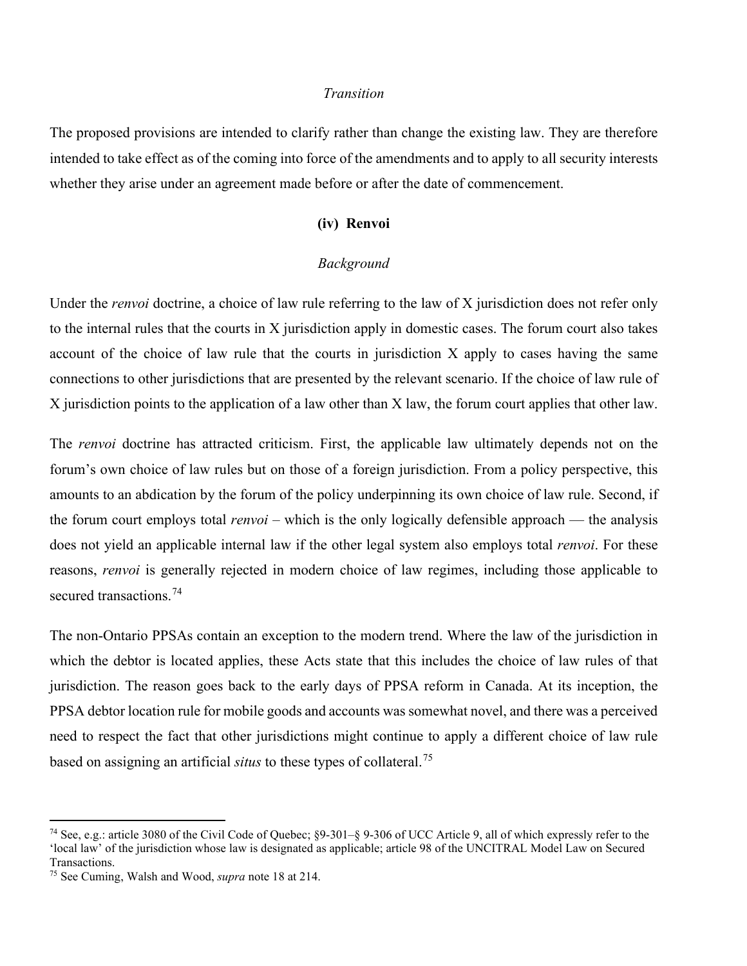#### *Transition*

The proposed provisions are intended to clarify rather than change the existing law. They are therefore intended to take effect as of the coming into force of the amendments and to apply to all security interests whether they arise under an agreement made before or after the date of commencement.

#### **(iv) Renvoi**

#### *Background*

Under the *renvoi* doctrine, a choice of law rule referring to the law of X jurisdiction does not refer only to the internal rules that the courts in X jurisdiction apply in domestic cases. The forum court also takes account of the choice of law rule that the courts in jurisdiction X apply to cases having the same connections to other jurisdictions that are presented by the relevant scenario. If the choice of law rule of X jurisdiction points to the application of a law other than X law, the forum court applies that other law.

The *renvoi* doctrine has attracted criticism. First, the applicable law ultimately depends not on the forum's own choice of law rules but on those of a foreign jurisdiction. From a policy perspective, this amounts to an abdication by the forum of the policy underpinning its own choice of law rule. Second, if the forum court employs total *renvoi* – which is the only logically defensible approach — the analysis does not yield an applicable internal law if the other legal system also employs total *renvoi*. For these reasons, *renvoi* is generally rejected in modern choice of law regimes, including those applicable to secured transactions.<sup>[74](#page-40-0)</sup>

The non-Ontario PPSAs contain an exception to the modern trend. Where the law of the jurisdiction in which the debtor is located applies, these Acts state that this includes the choice of law rules of that jurisdiction. The reason goes back to the early days of PPSA reform in Canada. At its inception, the PPSA debtor location rule for mobile goods and accounts was somewhat novel, and there was a perceived need to respect the fact that other jurisdictions might continue to apply a different choice of law rule based on assigning an artificial *situs* to these types of collateral.[75](#page-40-1)

<span id="page-40-0"></span><sup>74</sup> See, e.g.: article 3080 of the Civil Code of Quebec; §9-301–§ 9-306 of UCC Article 9, all of which expressly refer to the 'local law' of the jurisdiction whose law is designated as applicable; article 98 of the UNCITRAL Model Law on Secured Transactions.

<span id="page-40-1"></span><sup>75</sup> See Cuming, Walsh and Wood, *supra* note 18 at 214.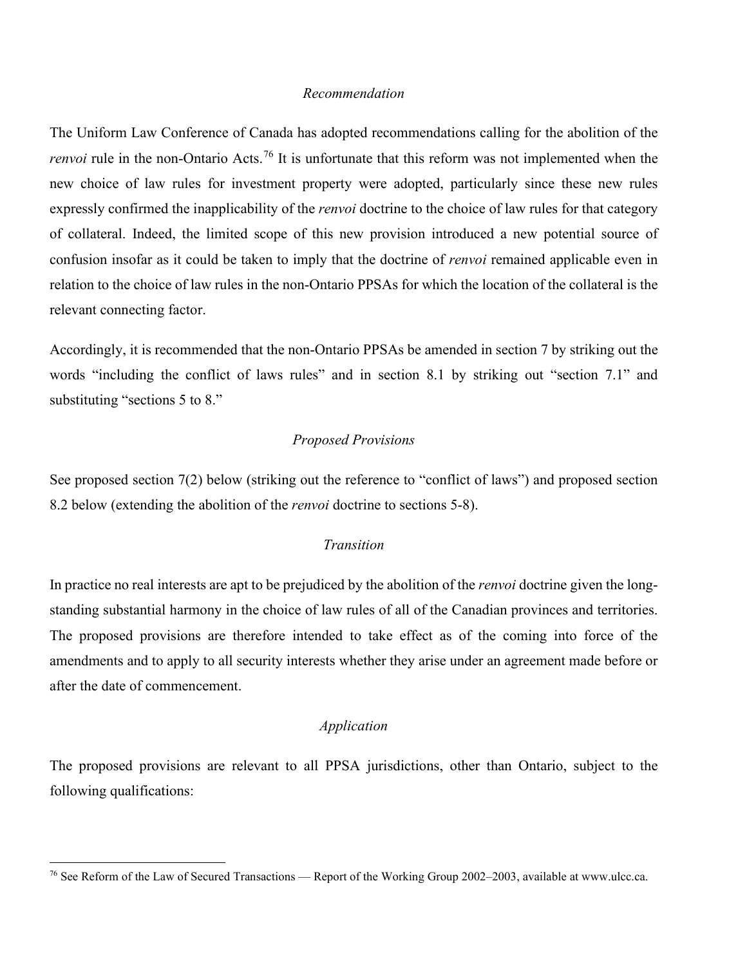#### *Recommendation*

The Uniform Law Conference of Canada has adopted recommendations calling for the abolition of the *renvoi* rule in the non-Ontario Acts.<sup>[76](#page-41-0)</sup> It is unfortunate that this reform was not implemented when the new choice of law rules for investment property were adopted, particularly since these new rules expressly confirmed the inapplicability of the *renvoi* doctrine to the choice of law rules for that category of collateral. Indeed, the limited scope of this new provision introduced a new potential source of confusion insofar as it could be taken to imply that the doctrine of *renvoi* remained applicable even in relation to the choice of law rules in the non-Ontario PPSAs for which the location of the collateral is the relevant connecting factor.

Accordingly, it is recommended that the non-Ontario PPSAs be amended in section 7 by striking out the words "including the conflict of laws rules" and in section 8.1 by striking out "section 7.1" and substituting "sections 5 to 8."

#### *Proposed Provisions*

See proposed section 7(2) below (striking out the reference to "conflict of laws") and proposed section 8.2 below (extending the abolition of the *renvoi* doctrine to sections 5-8).

### *Transition*

In practice no real interests are apt to be prejudiced by the abolition of the *renvoi* doctrine given the longstanding substantial harmony in the choice of law rules of all of the Canadian provinces and territories. The proposed provisions are therefore intended to take effect as of the coming into force of the amendments and to apply to all security interests whether they arise under an agreement made before or after the date of commencement.

### *Application*

The proposed provisions are relevant to all PPSA jurisdictions, other than Ontario, subject to the following qualifications:

<span id="page-41-0"></span><sup>76</sup> See Reform of the Law of Secured Transactions — Report of the Working Group 2002–2003, available at www.ulcc.ca.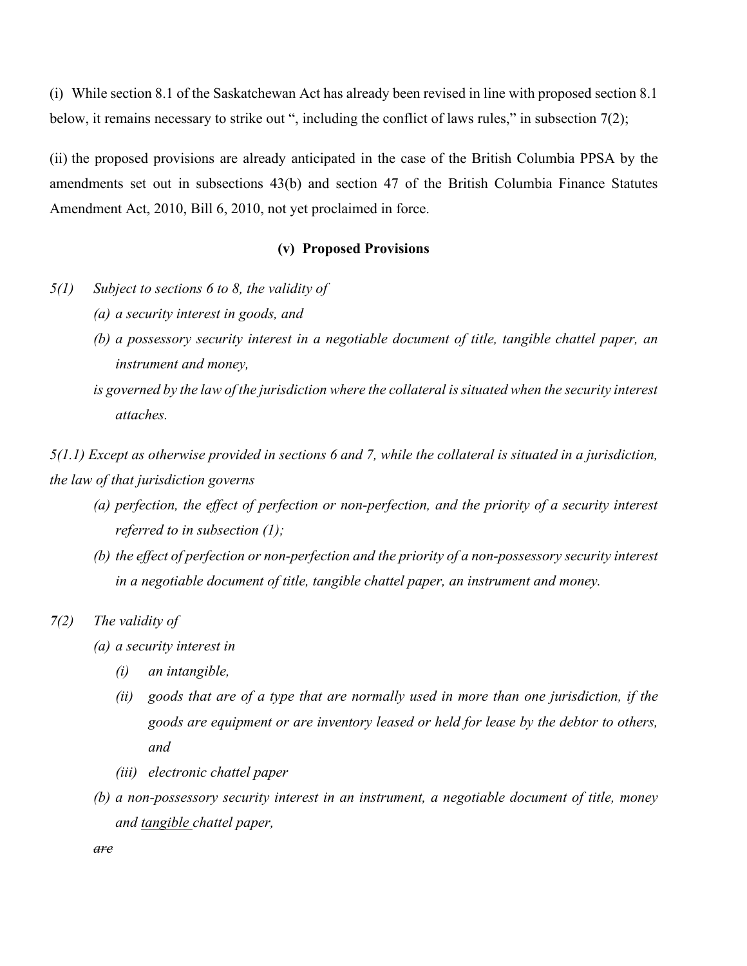(i) While section 8.1 of the Saskatchewan Act has already been revised in line with proposed section 8.1 below, it remains necessary to strike out ", including the conflict of laws rules," in subsection 7(2);

(ii) the proposed provisions are already anticipated in the case of the British Columbia PPSA by the amendments set out in subsections 43(b) and section 47 of the British Columbia Finance Statutes Amendment Act, 2010, Bill 6, 2010, not yet proclaimed in force.

## **(v) Proposed Provisions**

- *5(1) Subject to sections 6 to 8, the validity of*
	- *(a) a security interest in goods, and*
	- *(b) a possessory security interest in a negotiable document of title, tangible chattel paper, an instrument and money,*
	- *is governed by the law of the jurisdiction where the collateral is situated when the security interest attaches.*

*5(1.1) Except as otherwise provided in sections 6 and 7, while the collateral is situated in a jurisdiction, the law of that jurisdiction governs*

- *(a) perfection, the effect of perfection or non-perfection, and the priority of a security interest referred to in subsection (1);*
- *(b) the effect of perfection or non-perfection and the priority of a non-possessory security interest in a negotiable document of title, tangible chattel paper, an instrument and money.*

#### *7(2) The validity of*

- *(a) a security interest in*
	- *(i) an intangible,*
	- *(ii) goods that are of a type that are normally used in more than one jurisdiction, if the goods are equipment or are inventory leased or held for lease by the debtor to others, and*
	- *(iii) electronic chattel paper*
- *(b) a non-possessory security interest in an instrument, a negotiable document of title, money and tangible chattel paper,*

*are*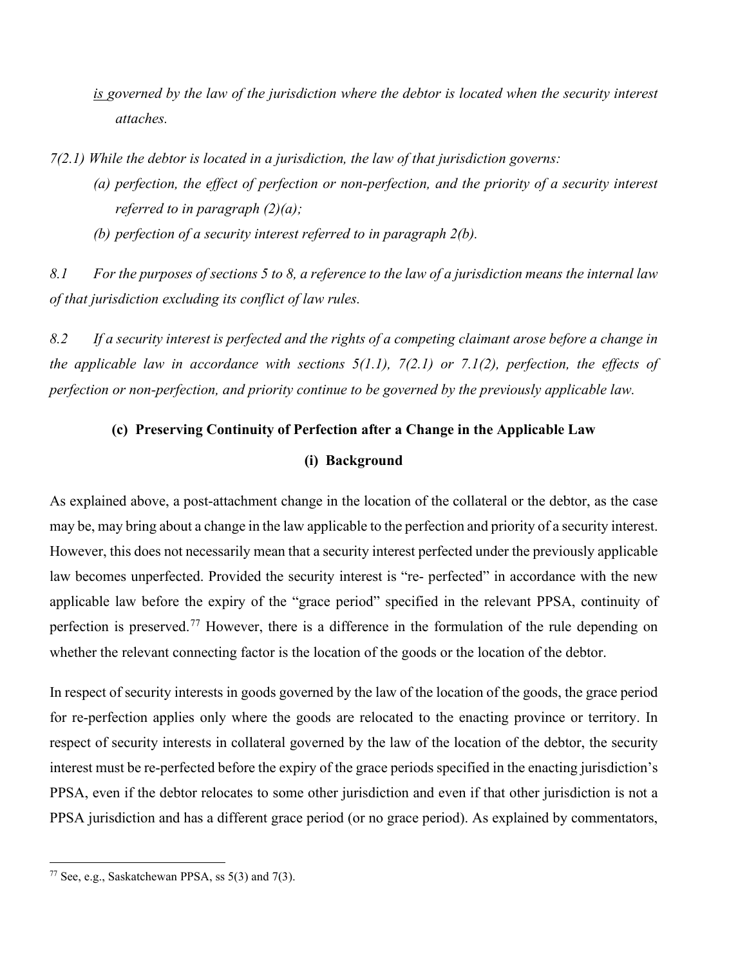*is governed by the law of the jurisdiction where the debtor is located when the security interest attaches.*

*7(2.1) While the debtor is located in a jurisdiction, the law of that jurisdiction governs:*

- *(a) perfection, the effect of perfection or non-perfection, and the priority of a security interest referred to in paragraph (2)(a);*
- *(b) perfection of a security interest referred to in paragraph 2(b).*

*8.1 For the purposes of sections 5 to 8, a reference to the law of a jurisdiction means the internal law of that jurisdiction excluding its conflict of law rules.*

*8.2 If a security interest is perfected and the rights of a competing claimant arose before a change in the applicable law in accordance with sections 5(1.1), 7(2.1) or 7.1(2), perfection, the effects of perfection or non-perfection, and priority continue to be governed by the previously applicable law.*

## **(c) Preserving Continuity of Perfection after a Change in the Applicable Law**

## **(i) Background**

As explained above, a post-attachment change in the location of the collateral or the debtor, as the case may be, may bring about a change in the law applicable to the perfection and priority of a security interest. However, this does not necessarily mean that a security interest perfected under the previously applicable law becomes unperfected. Provided the security interest is "re- perfected" in accordance with the new applicable law before the expiry of the "grace period" specified in the relevant PPSA, continuity of perfection is preserved.<sup>[77](#page-43-0)</sup> However, there is a difference in the formulation of the rule depending on whether the relevant connecting factor is the location of the goods or the location of the debtor.

In respect of security interests in goods governed by the law of the location of the goods, the grace period for re-perfection applies only where the goods are relocated to the enacting province or territory. In respect of security interests in collateral governed by the law of the location of the debtor, the security interest must be re-perfected before the expiry of the grace periods specified in the enacting jurisdiction's PPSA, even if the debtor relocates to some other jurisdiction and even if that other jurisdiction is not a PPSA jurisdiction and has a different grace period (or no grace period). As explained by commentators,

<span id="page-43-0"></span><sup>&</sup>lt;sup>77</sup> See, e.g., Saskatchewan PPSA, ss  $5(3)$  and  $7(3)$ .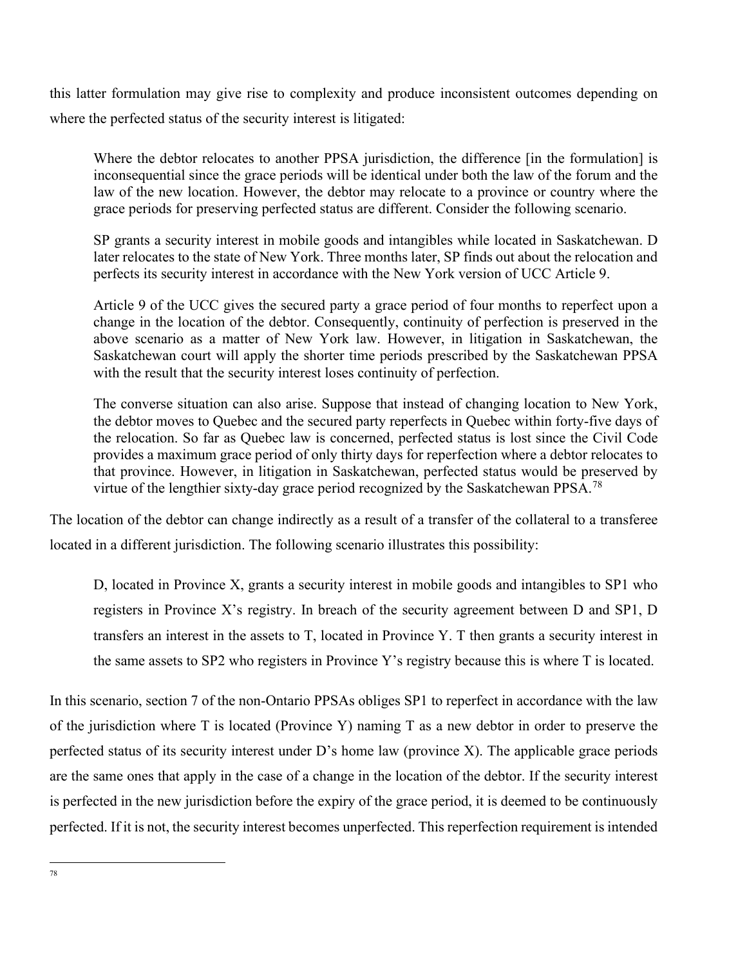this latter formulation may give rise to complexity and produce inconsistent outcomes depending on where the perfected status of the security interest is litigated:

Where the debtor relocates to another PPSA jurisdiction, the difference [in the formulation] is inconsequential since the grace periods will be identical under both the law of the forum and the law of the new location. However, the debtor may relocate to a province or country where the grace periods for preserving perfected status are different. Consider the following scenario.

SP grants a security interest in mobile goods and intangibles while located in Saskatchewan. D later relocates to the state of New York. Three months later, SP finds out about the relocation and perfects its security interest in accordance with the New York version of UCC Article 9.

Article 9 of the UCC gives the secured party a grace period of four months to reperfect upon a change in the location of the debtor. Consequently, continuity of perfection is preserved in the above scenario as a matter of New York law. However, in litigation in Saskatchewan, the Saskatchewan court will apply the shorter time periods prescribed by the Saskatchewan PPSA with the result that the security interest loses continuity of perfection.

The converse situation can also arise. Suppose that instead of changing location to New York, the debtor moves to Quebec and the secured party reperfects in Quebec within forty-five days of the relocation. So far as Quebec law is concerned, perfected status is lost since the Civil Code provides a maximum grace period of only thirty days for reperfection where a debtor relocates to that province. However, in litigation in Saskatchewan, perfected status would be preserved by virtue of the lengthier sixty-day grace period recognized by the Saskatchewan PPSA.[78](#page-44-0)

The location of the debtor can change indirectly as a result of a transfer of the collateral to a transferee located in a different jurisdiction. The following scenario illustrates this possibility:

D, located in Province X, grants a security interest in mobile goods and intangibles to SP1 who registers in Province X's registry. In breach of the security agreement between D and SP1, D transfers an interest in the assets to T, located in Province Y. T then grants a security interest in the same assets to SP2 who registers in Province Y's registry because this is where T is located.

<span id="page-44-0"></span>In this scenario, section 7 of the non-Ontario PPSAs obliges SP1 to reperfect in accordance with the law of the jurisdiction where T is located (Province Y) naming T as a new debtor in order to preserve the perfected status of its security interest under D's home law (province X). The applicable grace periods are the same ones that apply in the case of a change in the location of the debtor. If the security interest is perfected in the new jurisdiction before the expiry of the grace period, it is deemed to be continuously perfected. If it is not, the security interest becomes unperfected. This reperfection requirement is intended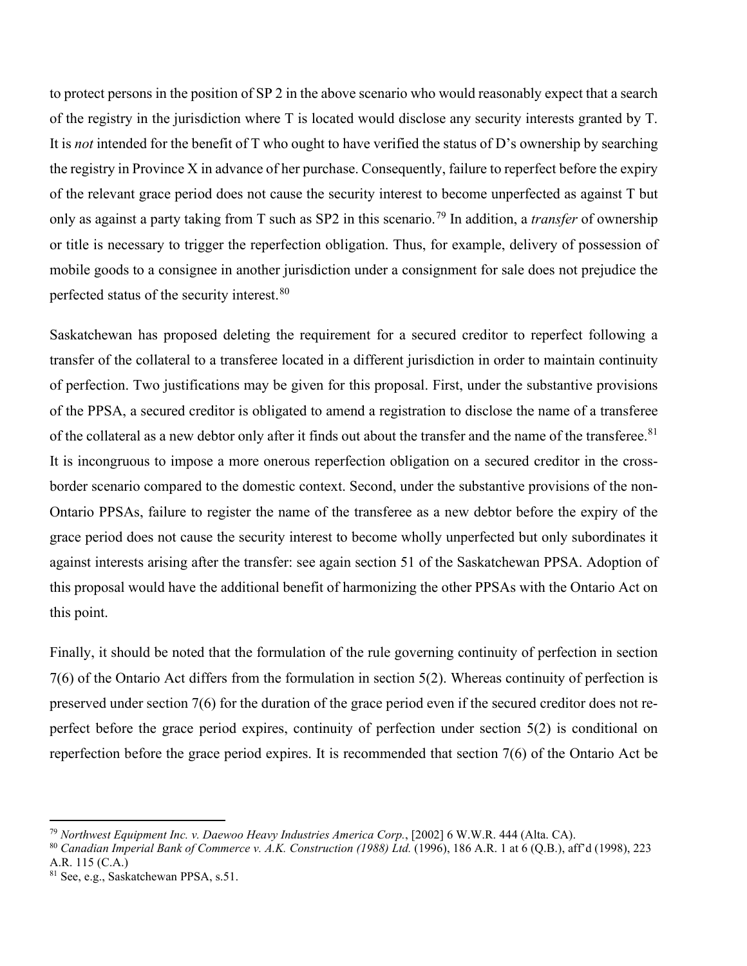to protect persons in the position of SP 2 in the above scenario who would reasonably expect that a search of the registry in the jurisdiction where T is located would disclose any security interests granted by T. It is *not* intended for the benefit of T who ought to have verified the status of D's ownership by searching the registry in Province X in advance of her purchase. Consequently, failure to reperfect before the expiry of the relevant grace period does not cause the security interest to become unperfected as against T but only as against a party taking from T such as SP2 in this scenario.[79](#page-45-0) In addition, a *transfer* of ownership or title is necessary to trigger the reperfection obligation. Thus, for example, delivery of possession of mobile goods to a consignee in another jurisdiction under a consignment for sale does not prejudice the perfected status of the security interest.<sup>[80](#page-45-1)</sup>

Saskatchewan has proposed deleting the requirement for a secured creditor to reperfect following a transfer of the collateral to a transferee located in a different jurisdiction in order to maintain continuity of perfection. Two justifications may be given for this proposal. First, under the substantive provisions of the PPSA, a secured creditor is obligated to amend a registration to disclose the name of a transferee of the collateral as a new debtor only after it finds out about the transfer and the name of the transferee.<sup>[81](#page-45-2)</sup> It is incongruous to impose a more onerous reperfection obligation on a secured creditor in the crossborder scenario compared to the domestic context. Second, under the substantive provisions of the non-Ontario PPSAs, failure to register the name of the transferee as a new debtor before the expiry of the grace period does not cause the security interest to become wholly unperfected but only subordinates it against interests arising after the transfer: see again section 51 of the Saskatchewan PPSA. Adoption of this proposal would have the additional benefit of harmonizing the other PPSAs with the Ontario Act on this point.

Finally, it should be noted that the formulation of the rule governing continuity of perfection in section 7(6) of the Ontario Act differs from the formulation in section 5(2). Whereas continuity of perfection is preserved under section 7(6) for the duration of the grace period even if the secured creditor does not reperfect before the grace period expires, continuity of perfection under section 5(2) is conditional on reperfection before the grace period expires. It is recommended that section 7(6) of the Ontario Act be

<span id="page-45-0"></span><sup>79</sup> *Northwest Equipment Inc. v. Daewoo Heavy Industries America Corp.*, [2002] 6 W.W.R. 444 (Alta. CA).

<span id="page-45-1"></span><sup>80</sup> *Canadian Imperial Bank of Commerce v. A.K. Construction (1988) Ltd.* (1996), 186 A.R. 1 at 6 (Q.B.), aff'd (1998), 223 A.R. 115 (C.A.)

<span id="page-45-2"></span><sup>81</sup> See, e.g., Saskatchewan PPSA, s.51.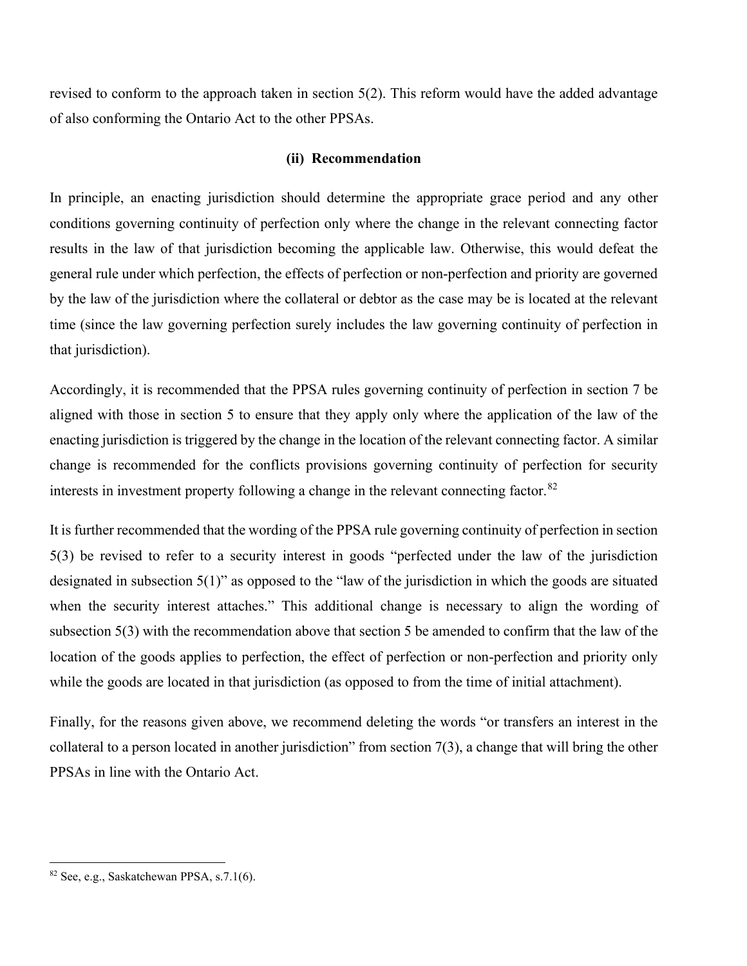revised to conform to the approach taken in section 5(2). This reform would have the added advantage of also conforming the Ontario Act to the other PPSAs.

## **(ii) Recommendation**

In principle, an enacting jurisdiction should determine the appropriate grace period and any other conditions governing continuity of perfection only where the change in the relevant connecting factor results in the law of that jurisdiction becoming the applicable law. Otherwise, this would defeat the general rule under which perfection, the effects of perfection or non-perfection and priority are governed by the law of the jurisdiction where the collateral or debtor as the case may be is located at the relevant time (since the law governing perfection surely includes the law governing continuity of perfection in that jurisdiction).

Accordingly, it is recommended that the PPSA rules governing continuity of perfection in section 7 be aligned with those in section 5 to ensure that they apply only where the application of the law of the enacting jurisdiction is triggered by the change in the location of the relevant connecting factor. A similar change is recommended for the conflicts provisions governing continuity of perfection for security interests in investment property following a change in the relevant connecting factor.<sup>[82](#page-46-0)</sup>

It is further recommended that the wording of the PPSA rule governing continuity of perfection in section 5(3) be revised to refer to a security interest in goods "perfected under the law of the jurisdiction designated in subsection 5(1)" as opposed to the "law of the jurisdiction in which the goods are situated when the security interest attaches." This additional change is necessary to align the wording of subsection 5(3) with the recommendation above that section 5 be amended to confirm that the law of the location of the goods applies to perfection, the effect of perfection or non-perfection and priority only while the goods are located in that jurisdiction (as opposed to from the time of initial attachment).

Finally, for the reasons given above, we recommend deleting the words "or transfers an interest in the collateral to a person located in another jurisdiction" from section 7(3), a change that will bring the other PPSAs in line with the Ontario Act.

<span id="page-46-0"></span> $82$  See, e.g., Saskatchewan PPSA, s.7.1(6).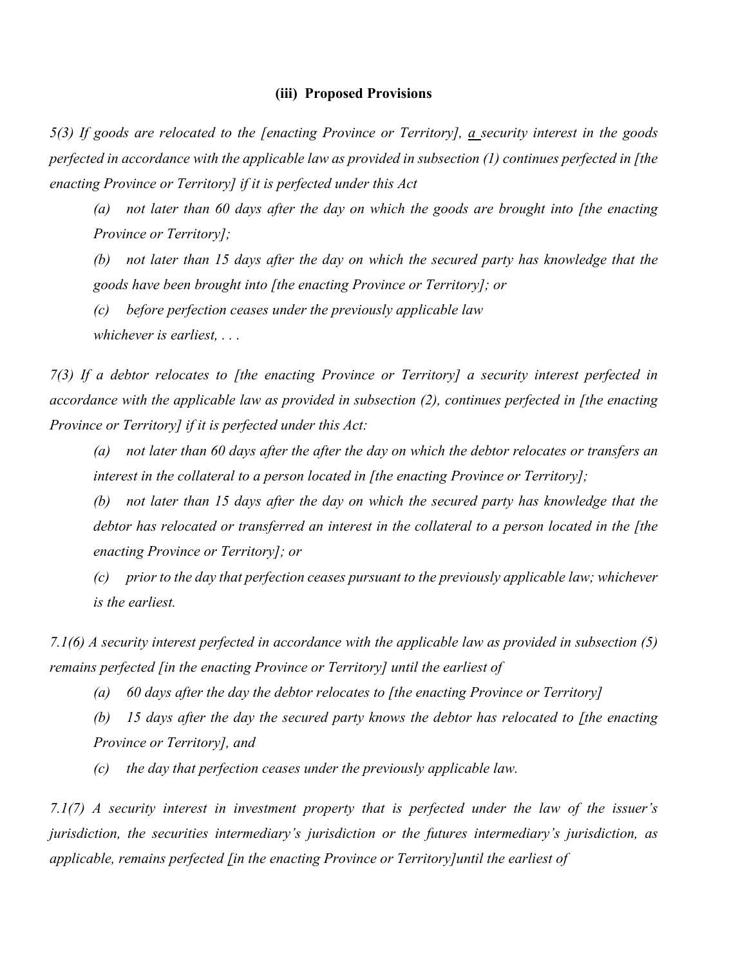#### **(iii) Proposed Provisions**

*5(3) If goods are relocated to the [enacting Province or Territory], a security interest in the goods perfected in accordance with the applicable law as provided in subsection (1) continues perfected in [the enacting Province or Territory] if it is perfected under this Act*

*(a) not later than 60 days after the day on which the goods are brought into [the enacting Province or Territory];*

*(b) not later than 15 days after the day on which the secured party has knowledge that the goods have been brought into [the enacting Province or Territory]; or*

*(c) before perfection ceases under the previously applicable law whichever is earliest, . . .*

*7(3) If a debtor relocates to [the enacting Province or Territory] a security interest perfected in accordance with the applicable law as provided in subsection (2), continues perfected in [the enacting Province or Territory] if it is perfected under this Act:*

*(a) not later than 60 days after the after the day on which the debtor relocates or transfers an interest in the collateral to a person located in [the enacting Province or Territory];*

*(b) not later than 15 days after the day on which the secured party has knowledge that the debtor has relocated or transferred an interest in the collateral to a person located in the [the enacting Province or Territory]; or*

*(c) prior to the day that perfection ceases pursuant to the previously applicable law; whichever is the earliest.*

*7.1(6) A security interest perfected in accordance with the applicable law as provided in subsection (5) remains perfected [in the enacting Province or Territory] until the earliest of*

*(a) 60 days after the day the debtor relocates to [the enacting Province or Territory]*

*(b) 15 days after the day the secured party knows the debtor has relocated to [the enacting Province or Territory], and*

*(c) the day that perfection ceases under the previously applicable law.*

*7.1(7) A security interest in investment property that is perfected under the law of the issuer's jurisdiction, the securities intermediary's jurisdiction or the futures intermediary's jurisdiction, as applicable, remains perfected [in the enacting Province or Territory]until the earliest of*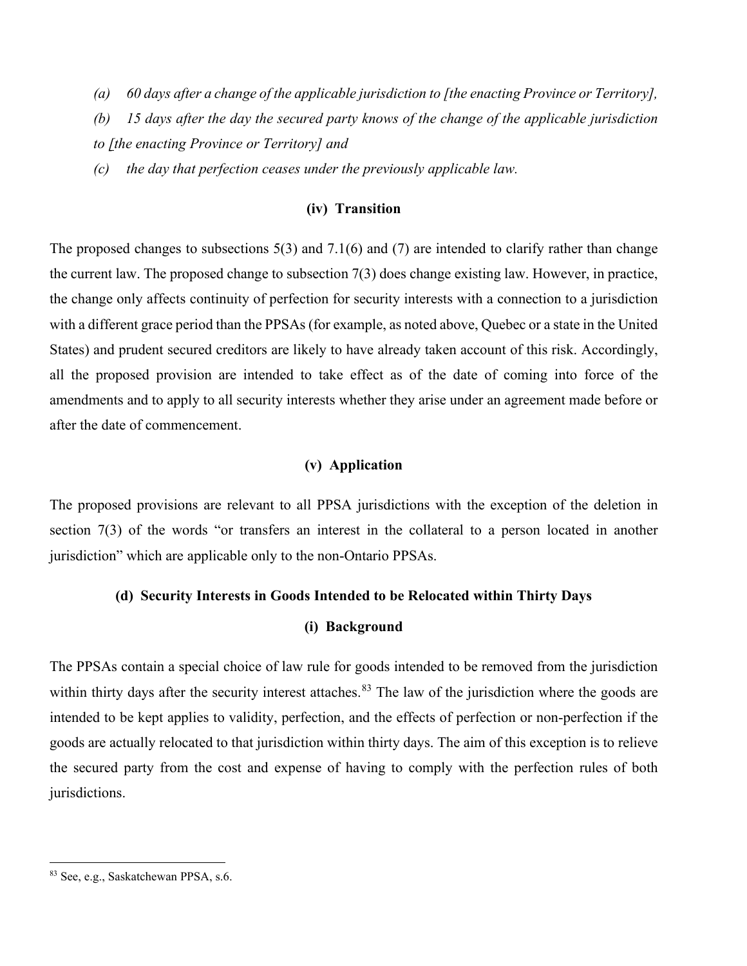*(a) 60 days after a change of the applicable jurisdiction to [the enacting Province or Territory],*

*(b) 15 days after the day the secured party knows of the change of the applicable jurisdiction to [the enacting Province or Territory] and*

*(c) the day that perfection ceases under the previously applicable law.*

## **(iv) Transition**

The proposed changes to subsections  $5(3)$  and  $7.1(6)$  and (7) are intended to clarify rather than change the current law. The proposed change to subsection 7(3) does change existing law. However, in practice, the change only affects continuity of perfection for security interests with a connection to a jurisdiction with a different grace period than the PPSAs (for example, as noted above, Quebec or a state in the United States) and prudent secured creditors are likely to have already taken account of this risk. Accordingly, all the proposed provision are intended to take effect as of the date of coming into force of the amendments and to apply to all security interests whether they arise under an agreement made before or after the date of commencement.

#### **(v) Application**

The proposed provisions are relevant to all PPSA jurisdictions with the exception of the deletion in section 7(3) of the words "or transfers an interest in the collateral to a person located in another jurisdiction" which are applicable only to the non-Ontario PPSAs.

#### **(d) Security Interests in Goods Intended to be Relocated within Thirty Days**

#### **(i) Background**

The PPSAs contain a special choice of law rule for goods intended to be removed from the jurisdiction within thirty days after the security interest attaches.<sup>[83](#page-48-0)</sup> The law of the jurisdiction where the goods are intended to be kept applies to validity, perfection, and the effects of perfection or non-perfection if the goods are actually relocated to that jurisdiction within thirty days. The aim of this exception is to relieve the secured party from the cost and expense of having to comply with the perfection rules of both jurisdictions.

<span id="page-48-0"></span><sup>83</sup> See, e.g., Saskatchewan PPSA, s.6.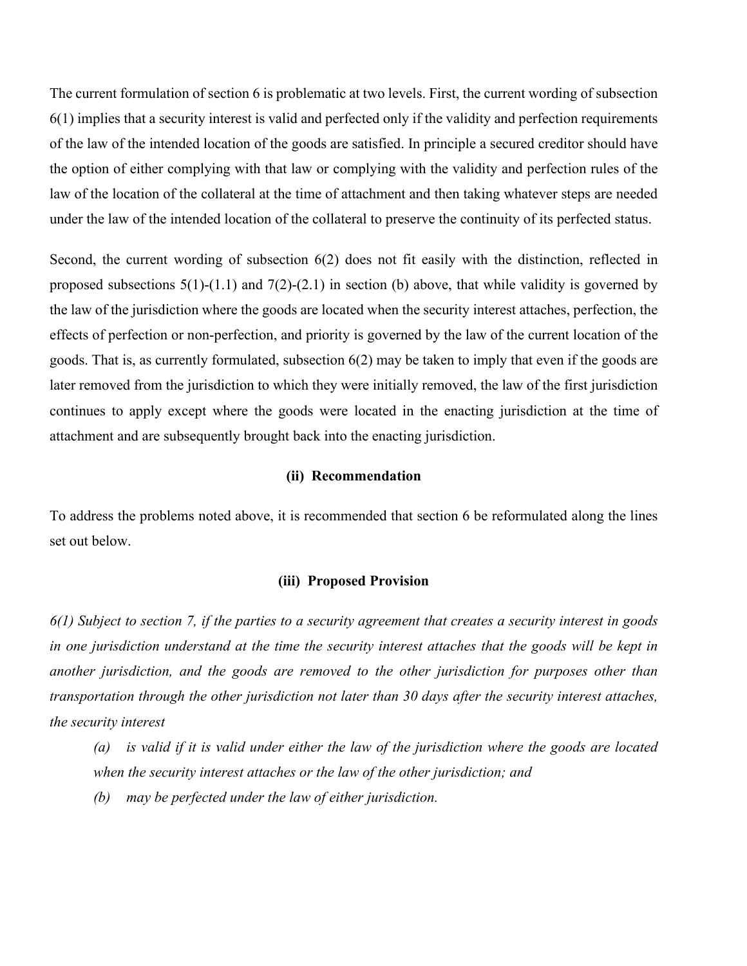The current formulation of section 6 is problematic at two levels. First, the current wording of subsection 6(1) implies that a security interest is valid and perfected only if the validity and perfection requirements of the law of the intended location of the goods are satisfied. In principle a secured creditor should have the option of either complying with that law or complying with the validity and perfection rules of the law of the location of the collateral at the time of attachment and then taking whatever steps are needed under the law of the intended location of the collateral to preserve the continuity of its perfected status.

Second, the current wording of subsection 6(2) does not fit easily with the distinction, reflected in proposed subsections  $5(1)-(1.1)$  and  $7(2)-(2.1)$  in section (b) above, that while validity is governed by the law of the jurisdiction where the goods are located when the security interest attaches, perfection, the effects of perfection or non-perfection, and priority is governed by the law of the current location of the goods. That is, as currently formulated, subsection 6(2) may be taken to imply that even if the goods are later removed from the jurisdiction to which they were initially removed, the law of the first jurisdiction continues to apply except where the goods were located in the enacting jurisdiction at the time of attachment and are subsequently brought back into the enacting jurisdiction.

#### **(ii) Recommendation**

To address the problems noted above, it is recommended that section 6 be reformulated along the lines set out below.

#### **(iii) Proposed Provision**

*6(1) Subject to section 7, if the parties to a security agreement that creates a security interest in goods in one jurisdiction understand at the time the security interest attaches that the goods will be kept in another jurisdiction, and the goods are removed to the other jurisdiction for purposes other than transportation through the other jurisdiction not later than 30 days after the security interest attaches, the security interest*

*(a) is valid if it is valid under either the law of the jurisdiction where the goods are located when the security interest attaches or the law of the other jurisdiction; and*

*(b) may be perfected under the law of either jurisdiction.*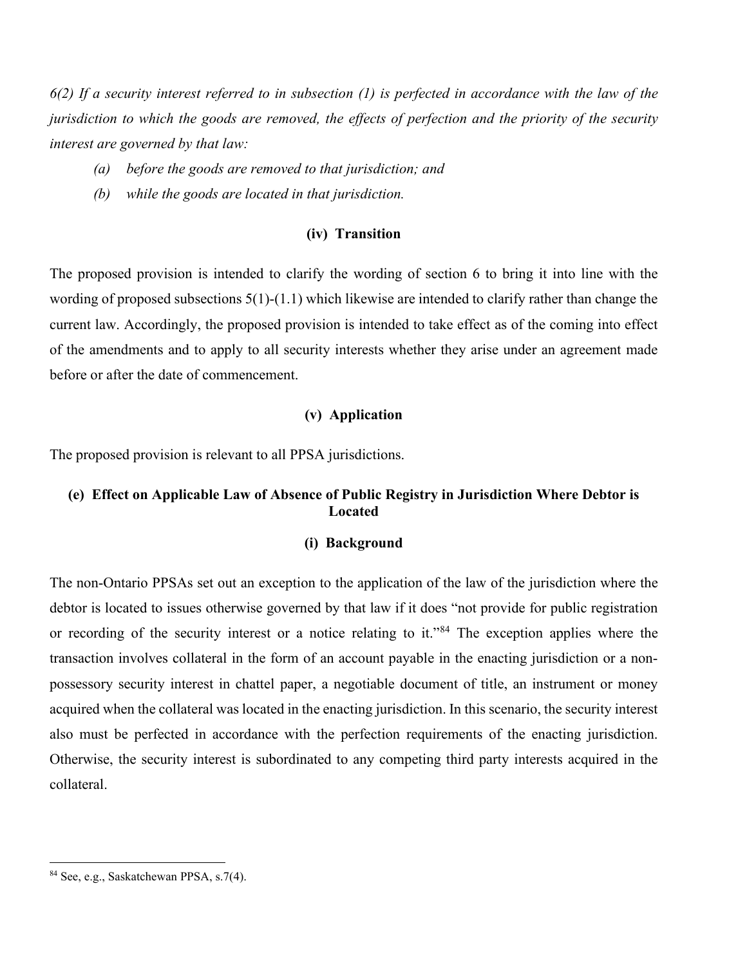*6(2) If a security interest referred to in subsection (1) is perfected in accordance with the law of the jurisdiction to which the goods are removed, the effects of perfection and the priority of the security interest are governed by that law:*

- *(a) before the goods are removed to that jurisdiction; and*
- *(b) while the goods are located in that jurisdiction.*

#### **(iv) Transition**

The proposed provision is intended to clarify the wording of section 6 to bring it into line with the wording of proposed subsections 5(1)-(1.1) which likewise are intended to clarify rather than change the current law. Accordingly, the proposed provision is intended to take effect as of the coming into effect of the amendments and to apply to all security interests whether they arise under an agreement made before or after the date of commencement.

## **(v) Application**

The proposed provision is relevant to all PPSA jurisdictions.

## **(e) Effect on Applicable Law of Absence of Public Registry in Jurisdiction Where Debtor is Located**

#### **(i) Background**

The non-Ontario PPSAs set out an exception to the application of the law of the jurisdiction where the debtor is located to issues otherwise governed by that law if it does "not provide for public registration or recording of the security interest or a notice relating to it."<sup>[84](#page-50-0)</sup> The exception applies where the transaction involves collateral in the form of an account payable in the enacting jurisdiction or a nonpossessory security interest in chattel paper, a negotiable document of title, an instrument or money acquired when the collateral was located in the enacting jurisdiction. In this scenario, the security interest also must be perfected in accordance with the perfection requirements of the enacting jurisdiction. Otherwise, the security interest is subordinated to any competing third party interests acquired in the collateral.

<span id="page-50-0"></span><sup>84</sup> See, e.g., Saskatchewan PPSA, s.7(4).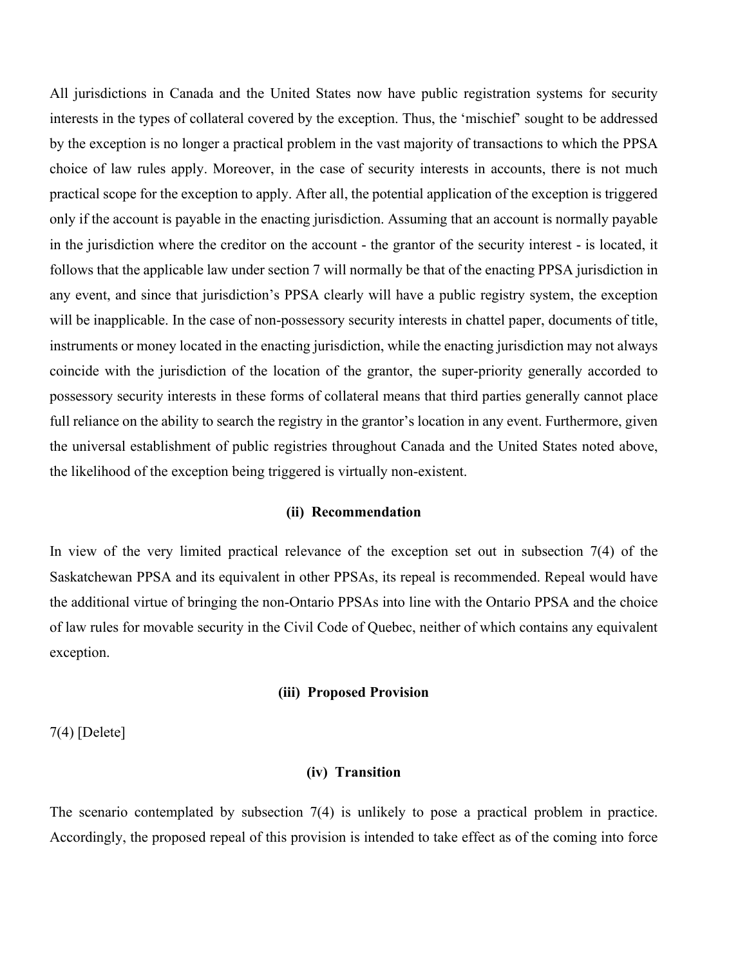All jurisdictions in Canada and the United States now have public registration systems for security interests in the types of collateral covered by the exception. Thus, the 'mischief' sought to be addressed by the exception is no longer a practical problem in the vast majority of transactions to which the PPSA choice of law rules apply. Moreover, in the case of security interests in accounts, there is not much practical scope for the exception to apply. After all, the potential application of the exception is triggered only if the account is payable in the enacting jurisdiction. Assuming that an account is normally payable in the jurisdiction where the creditor on the account - the grantor of the security interest - is located, it follows that the applicable law under section 7 will normally be that of the enacting PPSA jurisdiction in any event, and since that jurisdiction's PPSA clearly will have a public registry system, the exception will be inapplicable. In the case of non-possessory security interests in chattel paper, documents of title, instruments or money located in the enacting jurisdiction, while the enacting jurisdiction may not always coincide with the jurisdiction of the location of the grantor, the super-priority generally accorded to possessory security interests in these forms of collateral means that third parties generally cannot place full reliance on the ability to search the registry in the grantor's location in any event. Furthermore, given the universal establishment of public registries throughout Canada and the United States noted above, the likelihood of the exception being triggered is virtually non-existent.

#### **(ii) Recommendation**

In view of the very limited practical relevance of the exception set out in subsection 7(4) of the Saskatchewan PPSA and its equivalent in other PPSAs, its repeal is recommended. Repeal would have the additional virtue of bringing the non-Ontario PPSAs into line with the Ontario PPSA and the choice of law rules for movable security in the Civil Code of Quebec, neither of which contains any equivalent exception.

#### **(iii) Proposed Provision**

7(4) [Delete]

#### **(iv) Transition**

The scenario contemplated by subsection 7(4) is unlikely to pose a practical problem in practice. Accordingly, the proposed repeal of this provision is intended to take effect as of the coming into force